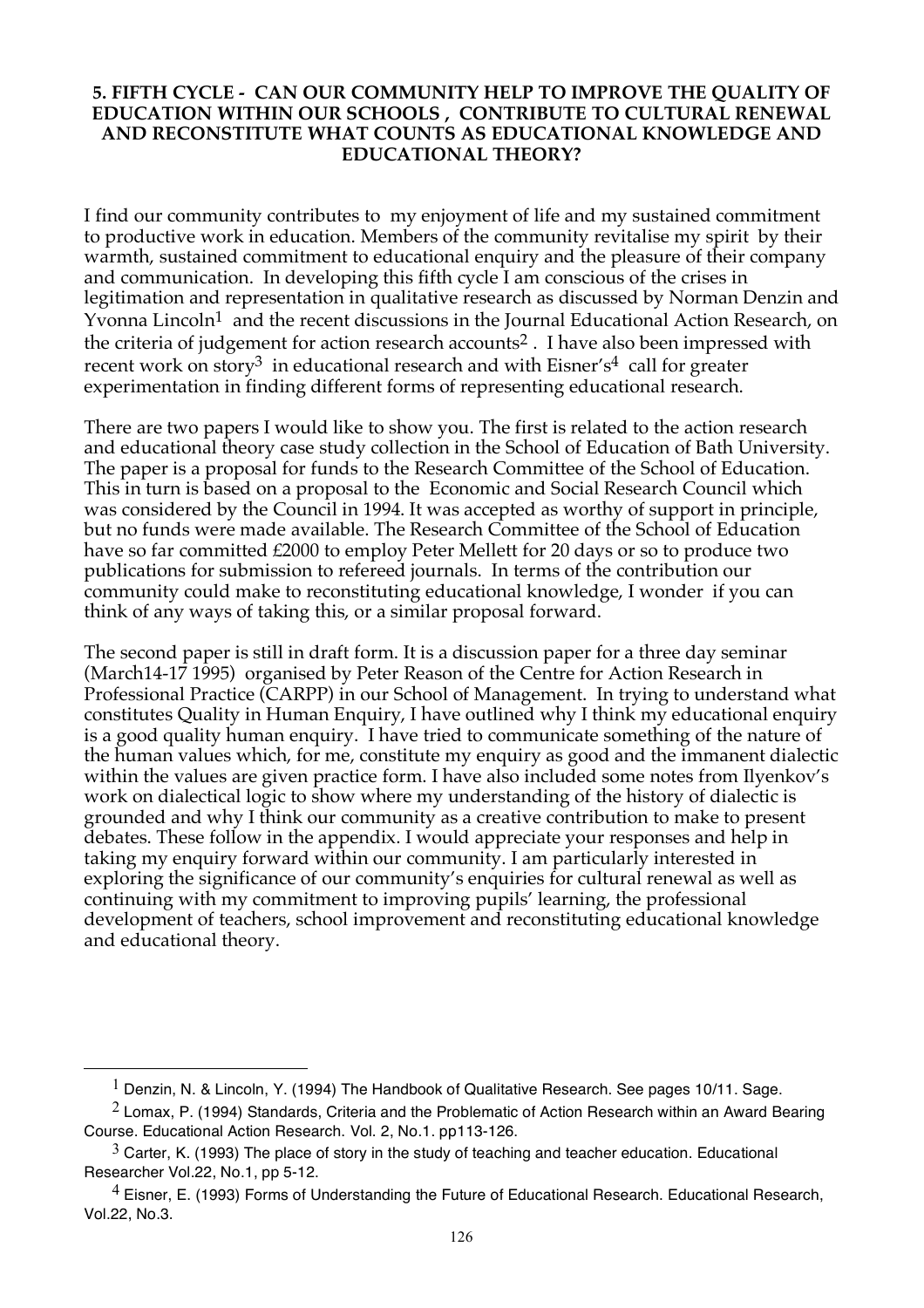### **5. FIFTH CYCLE - CAN OUR COMMUNITY HELP TO IMPROVE THE QUALITY OF EDUCATION WITHIN OUR SCHOOLS , CONTRIBUTE TO CULTURAL RENEWAL AND RECONSTITUTE WHAT COUNTS AS EDUCATIONAL KNOWLEDGE AND EDUCATIONAL THEORY?**

I find our community contributes to my enjoyment of life and my sustained commitment to productive work in education. Members of the community revitalise my spirit by their warmth, sustained commitment to educational enquiry and the pleasure of their company and communication. In developing this fifth cycle I am conscious of the crises in legitimation and representation in qualitative research as discussed by Norman Denzin and Yvonna Lincoln<sup>1</sup> and the recent discussions in the Journal Educational Action Research, on the criteria of judgement for action research accounts2 . I have also been impressed with recent work on story<sup>3</sup> in educational research and with Eisner's<sup>4</sup> call for greater experimentation in finding different forms of representing educational research.

There are two papers I would like to show you. The first is related to the action research and educational theory case study collection in the School of Education of Bath University. The paper is a proposal for funds to the Research Committee of the School of Education. This in turn is based on a proposal to the Economic and Social Research Council which was considered by the Council in 1994. It was accepted as worthy of support in principle, but no funds were made available. The Research Committee of the School of Education have so far committed £2000 to employ Peter Mellett for 20 days or so to produce two publications for submission to refereed journals. In terms of the contribution our community could make to reconstituting educational knowledge, I wonder if you can think of any ways of taking this, or a similar proposal forward.

The second paper is still in draft form. It is a discussion paper for a three day seminar (March14-17 1995) organised by Peter Reason of the Centre for Action Research in Professional Practice (CARPP) in our School of Management. In trying to understand what constitutes Quality in Human Enquiry, I have outlined why I think my educational enquiry is a good quality human enquiry. I have tried to communicate something of the nature of the human values which, for me, constitute my enquiry as good and the immanent dialectic within the values are given practice form. I have also included some notes from Ilyenkov's work on dialectical logic to show where my understanding of the history of dialectic is grounded and why I think our community as a creative contribution to make to present debates. These follow in the appendix. I would appreciate your responses and help in taking my enquiry forward within our community. I am particularly interested in exploring the significance of our community's enquiries for cultural renewal as well as continuing with my commitment to improving pupils' learning, the professional development of teachers, school improvement and reconstituting educational knowledge and educational theory.

 $1$  Denzin, N. & Lincoln, Y. (1994) The Handbook of Qualitative Research. See pages 10/11. Sage.

 $2$  Lomax, P. (1994) Standards, Criteria and the Problematic of Action Research within an Award Bearing Course. Educational Action Research. Vol. 2, No.1. pp113-126.

 $3$  Carter, K. (1993) The place of story in the study of teaching and teacher education. Educational Researcher Vol.22, No.1, pp 5-12.

 $4$  Eisner, E. (1993) Forms of Understanding the Future of Educational Research. Educational Research, Vol.22, No.3.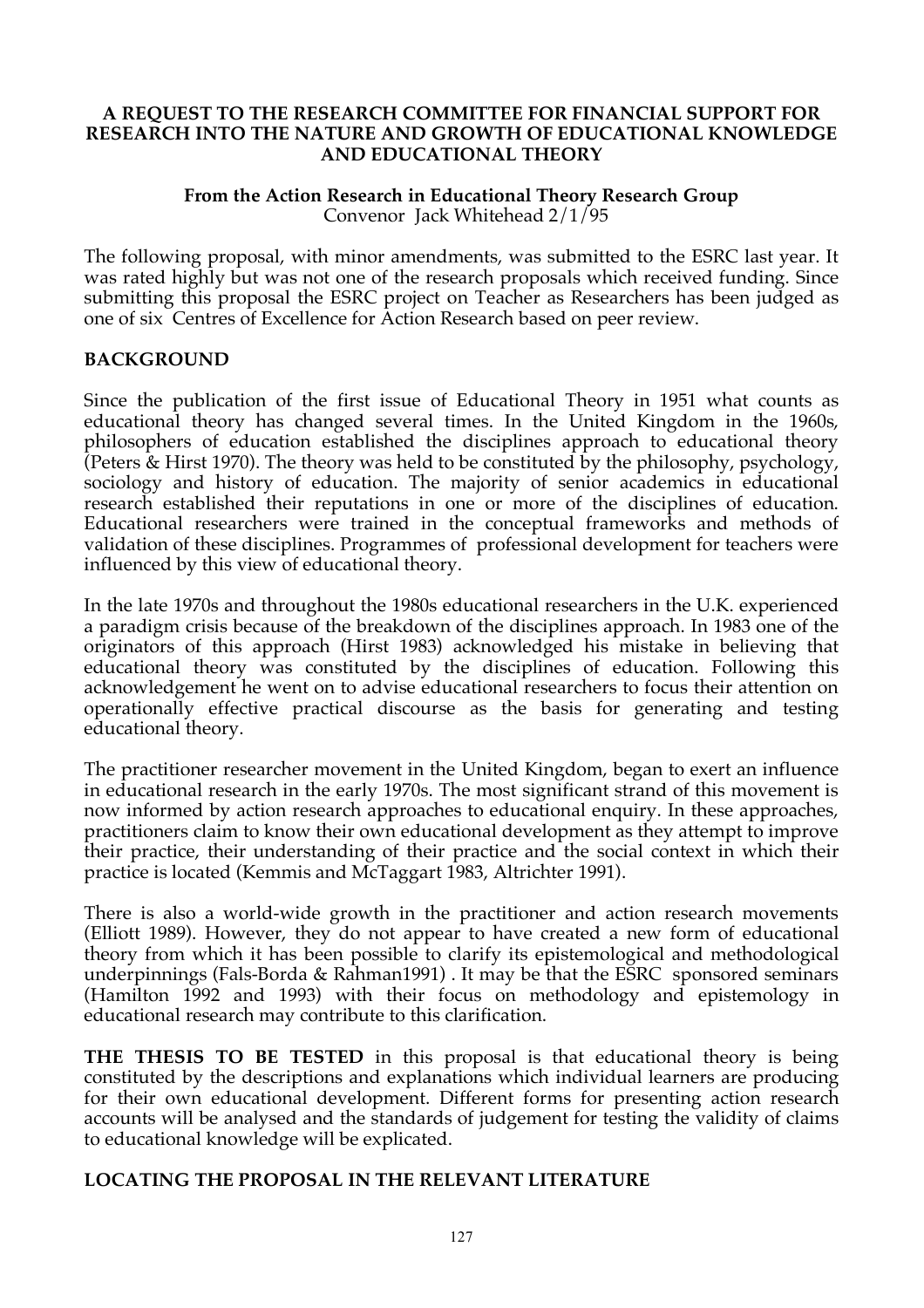### **A REQUEST TO THE RESEARCH COMMITTEE FOR FINANCIAL SUPPORT FOR RESEARCH INTO THE NATURE AND GROWTH OF EDUCATIONAL KNOWLEDGE AND EDUCATIONAL THEORY**

### **From the Action Research in Educational Theory Research Group** Convenor Jack Whitehead 2/1/95

The following proposal, with minor amendments, was submitted to the ESRC last year. It was rated highly but was not one of the research proposals which received funding. Since submitting this proposal the ESRC project on Teacher as Researchers has been judged as one of six Centres of Excellence for Action Research based on peer review.

### **BACKGROUND**

Since the publication of the first issue of Educational Theory in 1951 what counts as educational theory has changed several times. In the United Kingdom in the 1960s, philosophers of education established the disciplines approach to educational theory (Peters & Hirst 1970). The theory was held to be constituted by the philosophy, psychology, sociology and history of education. The majority of senior academics in educational research established their reputations in one or more of the disciplines of education. Educational researchers were trained in the conceptual frameworks and methods of validation of these disciplines. Programmes of professional development for teachers were influenced by this view of educational theory.

In the late 1970s and throughout the 1980s educational researchers in the U.K. experienced a paradigm crisis because of the breakdown of the disciplines approach. In 1983 one of the originators of this approach (Hirst 1983) acknowledged his mistake in believing that educational theory was constituted by the disciplines of education. Following this acknowledgement he went on to advise educational researchers to focus their attention on operationally effective practical discourse as the basis for generating and testing educational theory.

The practitioner researcher movement in the United Kingdom, began to exert an influence in educational research in the early 1970s. The most significant strand of this movement is now informed by action research approaches to educational enquiry. In these approaches, practitioners claim to know their own educational development as they attempt to improve their practice, their understanding of their practice and the social context in which their practice is located (Kemmis and McTaggart 1983, Altrichter 1991).

There is also a world-wide growth in the practitioner and action research movements (Elliott 1989). However, they do not appear to have created a new form of educational theory from which it has been possible to clarify its epistemological and methodological underpinnings (Fals-Borda & Rahman1991) . It may be that the ESRC sponsored seminars (Hamilton 1992 and 1993) with their focus on methodology and epistemology in educational research may contribute to this clarification.

**THE THESIS TO BE TESTED** in this proposal is that educational theory is being constituted by the descriptions and explanations which individual learners are producing for their own educational development. Different forms for presenting action research accounts will be analysed and the standards of judgement for testing the validity of claims to educational knowledge will be explicated.

### **LOCATING THE PROPOSAL IN THE RELEVANT LITERATURE**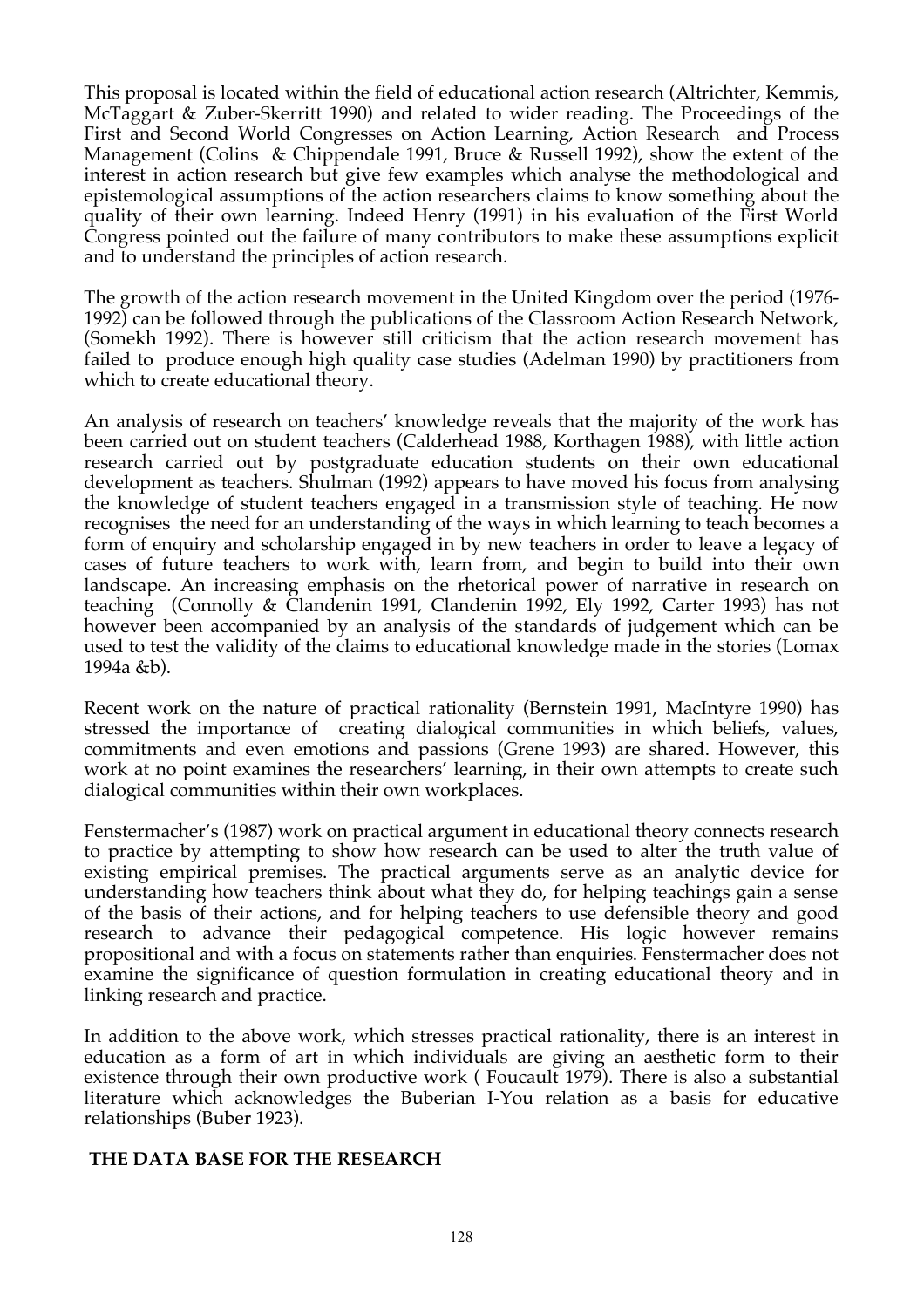This proposal is located within the field of educational action research (Altrichter, Kemmis, McTaggart & Zuber-Skerritt 1990) and related to wider reading. The Proceedings of the First and Second World Congresses on Action Learning, Action Research and Process Management (Colins & Chippendale 1991, Bruce & Russell 1992), show the extent of the interest in action research but give few examples which analyse the methodological and epistemological assumptions of the action researchers claims to know something about the quality of their own learning. Indeed Henry (1991) in his evaluation of the First World Congress pointed out the failure of many contributors to make these assumptions explicit and to understand the principles of action research.

The growth of the action research movement in the United Kingdom over the period (1976- 1992) can be followed through the publications of the Classroom Action Research Network, (Somekh 1992). There is however still criticism that the action research movement has failed to produce enough high quality case studies (Adelman 1990) by practitioners from which to create educational theory.

An analysis of research on teachers' knowledge reveals that the majority of the work has been carried out on student teachers (Calderhead 1988, Korthagen 1988), with little action research carried out by postgraduate education students on their own educational development as teachers. Shulman (1992) appears to have moved his focus from analysing the knowledge of student teachers engaged in a transmission style of teaching. He now recognises the need for an understanding of the ways in which learning to teach becomes a form of enquiry and scholarship engaged in by new teachers in order to leave a legacy of cases of future teachers to work with, learn from, and begin to build into their own landscape. An increasing emphasis on the rhetorical power of narrative in research on teaching (Connolly & Clandenin 1991, Clandenin 1992, Ely 1992, Carter 1993) has not however been accompanied by an analysis of the standards of judgement which can be used to test the validity of the claims to educational knowledge made in the stories (Lomax 1994a &b).

Recent work on the nature of practical rationality (Bernstein 1991, MacIntyre 1990) has stressed the importance of creating dialogical communities in which beliefs, values, commitments and even emotions and passions (Grene 1993) are shared. However, this work at no point examines the researchers' learning, in their own attempts to create such dialogical communities within their own workplaces.

Fenstermacher's (1987) work on practical argument in educational theory connects research to practice by attempting to show how research can be used to alter the truth value of existing empirical premises. The practical arguments serve as an analytic device for understanding how teachers think about what they do, for helping teachings gain a sense of the basis of their actions, and for helping teachers to use defensible theory and good research to advance their pedagogical competence. His logic however remains propositional and with a focus on statements rather than enquiries. Fenstermacher does not examine the significance of question formulation in creating educational theory and in linking research and practice.

In addition to the above work, which stresses practical rationality, there is an interest in education as a form of art in which individuals are giving an aesthetic form to their existence through their own productive work (Foucault 1979). There is also a substantial literature which acknowledges the Buberian I-You relation as a basis for educative relationships (Buber 1923).

### **THE DATA BASE FOR THE RESEARCH**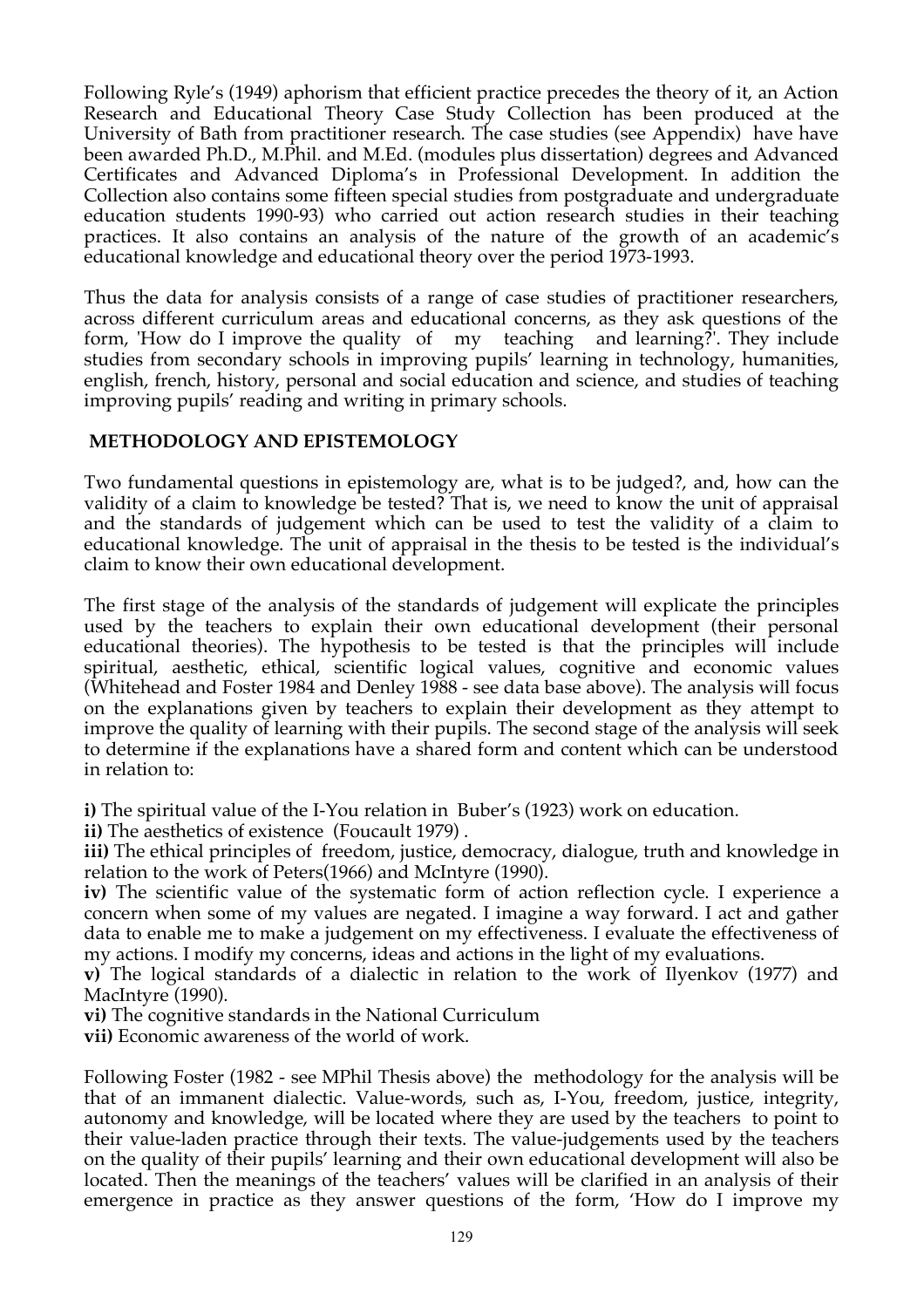Following Ryle's (1949) aphorism that efficient practice precedes the theory of it, an Action Research and Educational Theory Case Study Collection has been produced at the University of Bath from practitioner research. The case studies (see Appendix) have have been awarded Ph.D., M.Phil. and M.Ed. (modules plus dissertation) degrees and Advanced Certificates and Advanced Diploma's in Professional Development. In addition the Collection also contains some fifteen special studies from postgraduate and undergraduate education students 1990-93) who carried out action research studies in their teaching practices. It also contains an analysis of the nature of the growth of an academic's educational knowledge and educational theory over the period 1973-1993.

Thus the data for analysis consists of a range of case studies of practitioner researchers, across different curriculum areas and educational concerns, as they ask questions of the form, 'How do I improve the quality of my teaching and learning?'. They include studies from secondary schools in improving pupils' learning in technology, humanities, english, french, history, personal and social education and science, and studies of teaching improving pupils' reading and writing in primary schools.

# **METHODOLOGY AND EPISTEMOLOGY**

Two fundamental questions in epistemology are, what is to be judged?, and, how can the validity of a claim to knowledge be tested? That is, we need to know the unit of appraisal and the standards of judgement which can be used to test the validity of a claim to educational knowledge. The unit of appraisal in the thesis to be tested is the individual's claim to know their own educational development.

The first stage of the analysis of the standards of judgement will explicate the principles used by the teachers to explain their own educational development (their personal educational theories). The hypothesis to be tested is that the principles will include spiritual, aesthetic, ethical, scientific logical values, cognitive and economic values (Whitehead and Foster 1984 and Denley 1988 - see data base above). The analysis will focus on the explanations given by teachers to explain their development as they attempt to improve the quality of learning with their pupils. The second stage of the analysis will seek to determine if the explanations have a shared form and content which can be understood in relation to:

**i)** The spiritual value of the I-You relation in Buber's (1923) work on education.

**ii)** The aesthetics of existence (Foucault 1979) .

iii) The ethical principles of freedom, justice, democracy, dialogue, truth and knowledge in relation to the work of Peters(1966) and McIntyre (1990).

**iv)** The scientific value of the systematic form of action reflection cycle. I experience a concern when some of my values are negated. I imagine a way forward. I act and gather data to enable me to make a judgement on my effectiveness. I evaluate the effectiveness of my actions. I modify my concerns, ideas and actions in the light of my evaluations.

**v)** The logical standards of a dialectic in relation to the work of Ilyenkov (1977) and MacIntyre (1990).

**vi)** The cognitive standards in the National Curriculum

**vii)** Economic awareness of the world of work.

Following Foster (1982 - see MPhil Thesis above) the methodology for the analysis will be that of an immanent dialectic. Value-words, such as, I-You, freedom, justice, integrity, autonomy and knowledge, will be located where they are used by the teachers to point to their value-laden practice through their texts. The value-judgements used by the teachers on the quality of their pupils' learning and their own educational development will also be located. Then the meanings of the teachers' values will be clarified in an analysis of their emergence in practice as they answer questions of the form, 'How do I improve my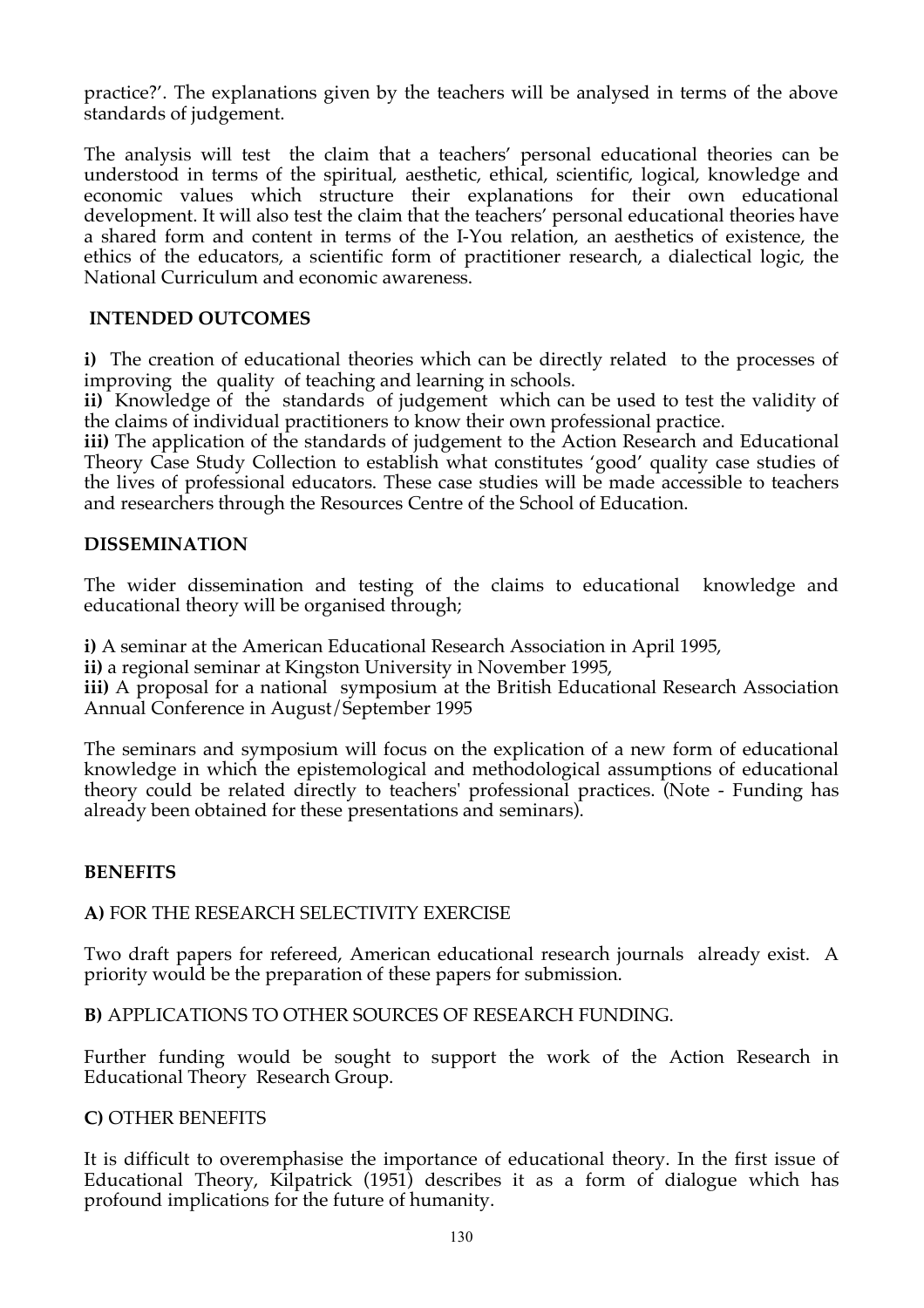practice?'. The explanations given by the teachers will be analysed in terms of the above standards of judgement.

The analysis will test the claim that a teachers' personal educational theories can be understood in terms of the spiritual, aesthetic, ethical, scientific, logical, knowledge and economic values which structure their explanations for their own educational development. It will also test the claim that the teachers' personal educational theories have a shared form and content in terms of the I-You relation, an aesthetics of existence, the ethics of the educators, a scientific form of practitioner research, a dialectical logic, the National Curriculum and economic awareness.

# **INTENDED OUTCOMES**

**i)** The creation of educational theories which can be directly related to the processes of improving the quality of teaching and learning in schools.

ii) Knowledge of the standards of judgement which can be used to test the validity of the claims of individual practitioners to know their own professional practice.

**iii)** The application of the standards of judgement to the Action Research and Educational Theory Case Study Collection to establish what constitutes 'good' quality case studies of the lives of professional educators. These case studies will be made accessible to teachers and researchers through the Resources Centre of the School of Education.

### **DISSEMINATION**

The wider dissemination and testing of the claims to educational knowledge and educational theory will be organised through;

**i)** A seminar at the American Educational Research Association in April 1995,

**ii)** a regional seminar at Kingston University in November 1995,

**iii)** A proposal for a national symposium at the British Educational Research Association Annual Conference in August/September 1995

The seminars and symposium will focus on the explication of a new form of educational knowledge in which the epistemological and methodological assumptions of educational theory could be related directly to teachers' professional practices. (Note - Funding has already been obtained for these presentations and seminars).

## **BENEFITS**

## **A)** FOR THE RESEARCH SELECTIVITY EXERCISE

Two draft papers for refereed, American educational research journals already exist. A priority would be the preparation of these papers for submission.

**B)** APPLICATIONS TO OTHER SOURCES OF RESEARCH FUNDING.

Further funding would be sought to support the work of the Action Research in Educational Theory Research Group.

### **C)** OTHER BENEFITS

It is difficult to overemphasise the importance of educational theory. In the first issue of Educational Theory, Kilpatrick (1951) describes it as a form of dialogue which has profound implications for the future of humanity.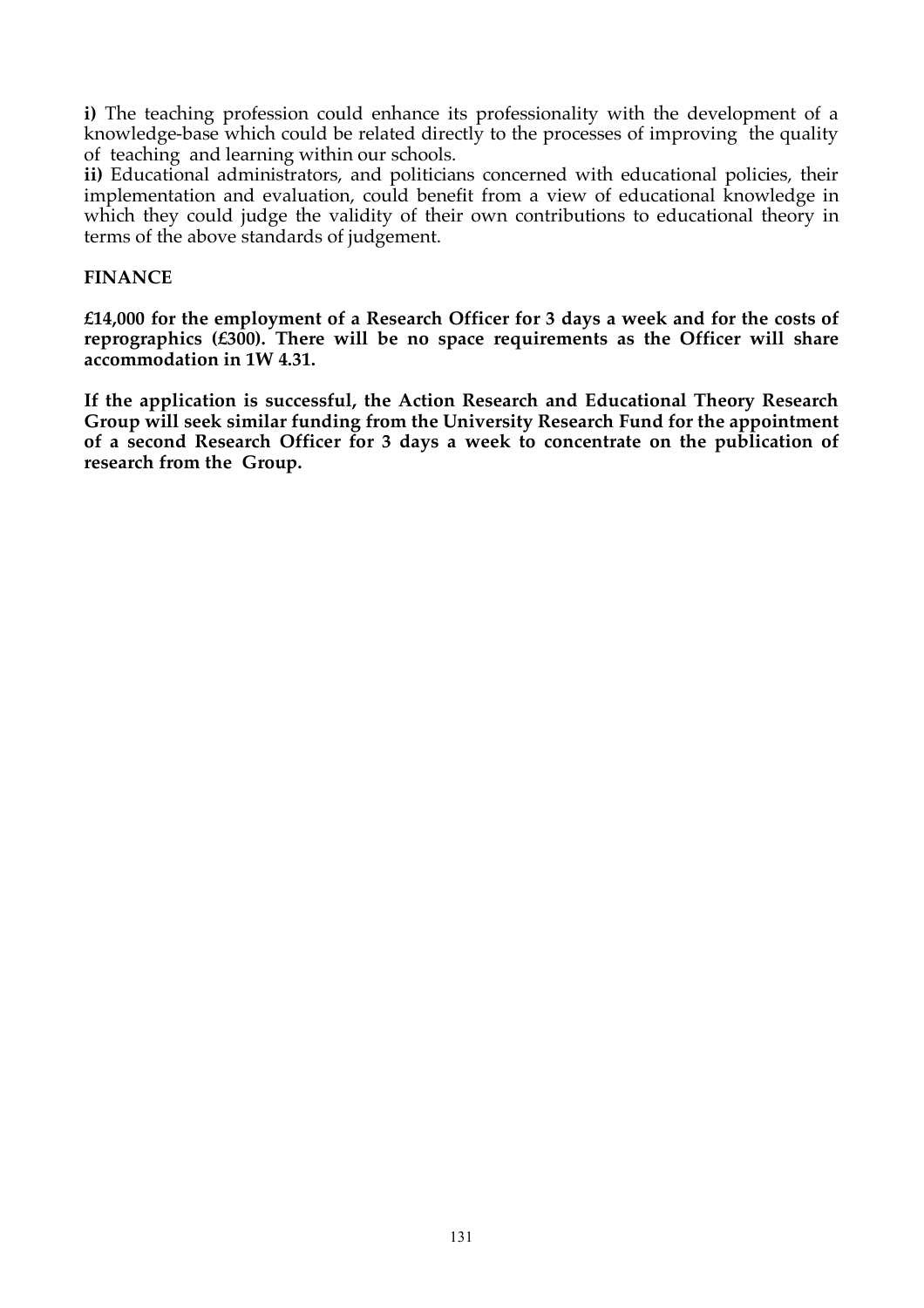**i)** The teaching profession could enhance its professionality with the development of a knowledge-base which could be related directly to the processes of improving the quality of teaching and learning within our schools.

**ii)** Educational administrators, and politicians concerned with educational policies, their implementation and evaluation, could benefit from a view of educational knowledge in which they could judge the validity of their own contributions to educational theory in terms of the above standards of judgement.

### **FINANCE**

**£14,000 for the employment of a Research Officer for 3 days a week and for the costs of reprographics (£300). There will be no space requirements as the Officer will share accommodation in 1W 4.31.**

**If the application is successful, the Action Research and Educational Theory Research Group will seek similar funding from the University Research Fund for the appointment of a second Research Officer for 3 days a week to concentrate on the publication of research from the Group.**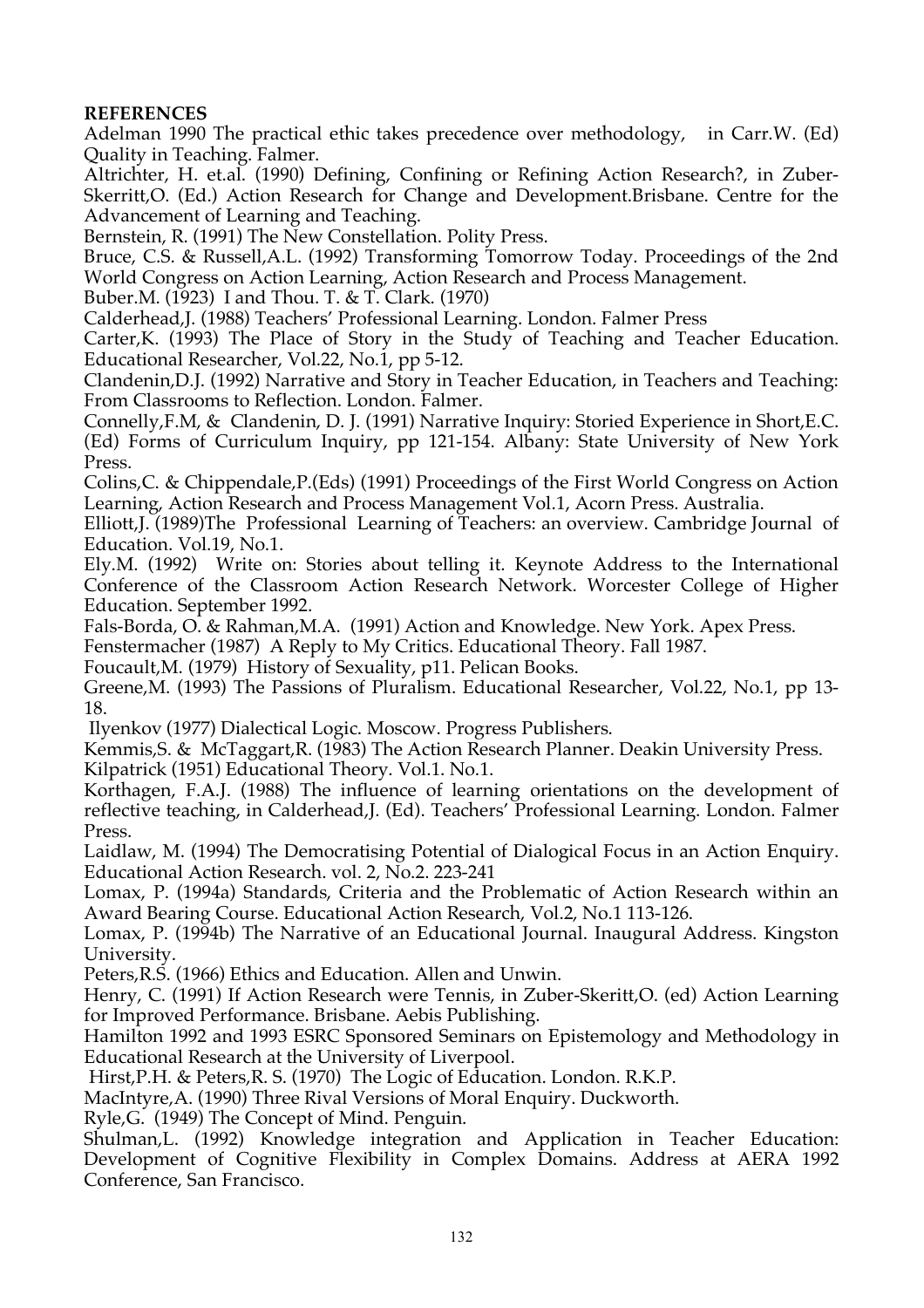# **REFERENCES**

Adelman 1990 The practical ethic takes precedence over methodology, in Carr.W. (Ed) Quality in Teaching. Falmer.

Altrichter, H. et.al. (1990) Defining, Confining or Refining Action Research?, in Zuber-Skerritt,O. (Ed.) Action Research for Change and Development.Brisbane. Centre for the Advancement of Learning and Teaching.

Bernstein, R. (1991) The New Constellation. Polity Press.

Bruce, C.S. & Russell,A.L. (1992) Transforming Tomorrow Today. Proceedings of the 2nd World Congress on Action Learning, Action Research and Process Management.

Buber.M. (1923) I and Thou. T. & T. Clark. (1970)

Calderhead,J. (1988) Teachers' Professional Learning. London. Falmer Press

Carter,K. (1993) The Place of Story in the Study of Teaching and Teacher Education. Educational Researcher, Vol.22, No.1, pp 5-12.

Clandenin,D.J. (1992) Narrative and Story in Teacher Education, in Teachers and Teaching: From Classrooms to Reflection. London. Falmer.

Connelly,F.M, & Clandenin, D. J. (1991) Narrative Inquiry: Storied Experience in Short,E.C. (Ed) Forms of Curriculum Inquiry, pp 121-154. Albany: State University of New York Press.

Colins,C. & Chippendale,P.(Eds) (1991) Proceedings of the First World Congress on Action Learning, Action Research and Process Management Vol.1, Acorn Press. Australia.

Elliott,J. (1989)The Professional Learning of Teachers: an overview. Cambridge Journal of Education. Vol.19, No.1.

Ely.M. (1992) Write on: Stories about telling it. Keynote Address to the International Conference of the Classroom Action Research Network. Worcester College of Higher Education. September 1992.

Fals-Borda, O. & Rahman,M.A. (1991) Action and Knowledge. New York. Apex Press.

Fenstermacher (1987) A Reply to My Critics. Educational Theory. Fall 1987.

Foucault,M. (1979) History of Sexuality, p11. Pelican Books.

Greene,M. (1993) The Passions of Pluralism. Educational Researcher, Vol.22, No.1, pp 13- 18.

Ilyenkov (1977) Dialectical Logic. Moscow. Progress Publishers.

Kemmis,S. & McTaggart,R. (1983) The Action Research Planner. Deakin University Press. Kilpatrick (1951) Educational Theory. Vol.1. No.1.

Korthagen, F.A.J. (1988) The influence of learning orientations on the development of reflective teaching, in Calderhead,J. (Ed). Teachers' Professional Learning. London. Falmer Press.

Laidlaw, M. (1994) The Democratising Potential of Dialogical Focus in an Action Enquiry. Educational Action Research. vol. 2, No.2. 223-241

Lomax, P. (1994a) Standards, Criteria and the Problematic of Action Research within an Award Bearing Course. Educational Action Research, Vol.2, No.1 113-126.

Lomax, P. (1994b) The Narrative of an Educational Journal. Inaugural Address. Kingston University.

Peters,R.S. (1966) Ethics and Education. Allen and Unwin.

Henry, C. (1991) If Action Research were Tennis, in Zuber-Skeritt,O. (ed) Action Learning for Improved Performance. Brisbane. Aebis Publishing.

Hamilton 1992 and 1993 ESRC Sponsored Seminars on Epistemology and Methodology in Educational Research at the University of Liverpool.

Hirst,P.H. & Peters,R. S. (1970) The Logic of Education. London. R.K.P.

MacIntyre,A. (1990) Three Rival Versions of Moral Enquiry. Duckworth.

Ryle,G. (1949) The Concept of Mind. Penguin.

Shulman,L. (1992) Knowledge integration and Application in Teacher Education: Development of Cognitive Flexibility in Complex Domains. Address at AERA 1992 Conference, San Francisco.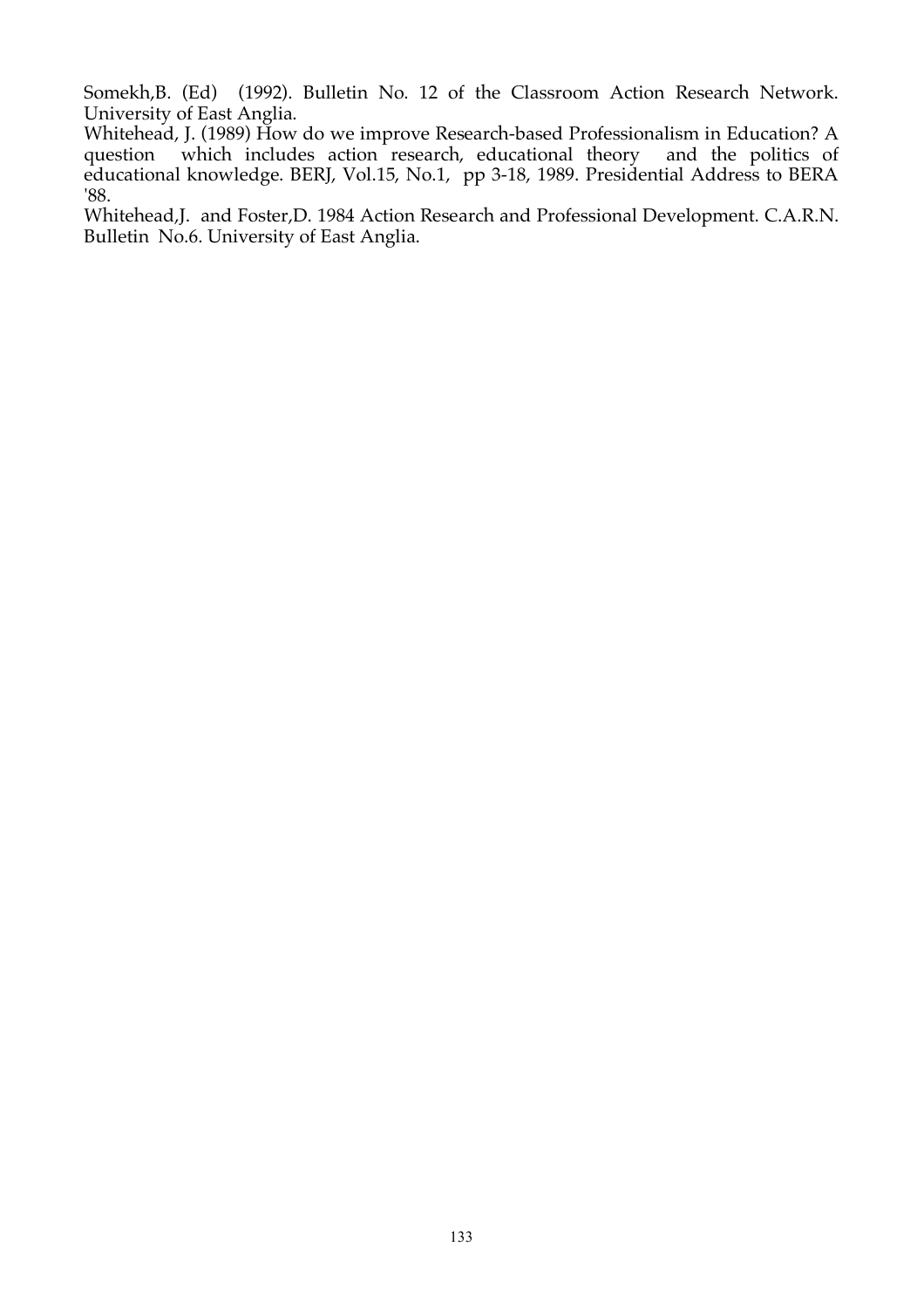Somekh,B. (Ed) (1992). Bulletin No. 12 of the Classroom Action Research Network. University of East Anglia.

Whitehead, J. (1989) How do we improve Research-based Professionalism in Education? A question which includes action research, educational theory and the politics of educational knowledge. BERJ, Vol.15, No.1, pp 3-18, 1989. Presidential Address to BERA '88.

Whitehead,J. and Foster,D. 1984 Action Research and Professional Development. C.A.R.N. Bulletin No.6. University of East Anglia.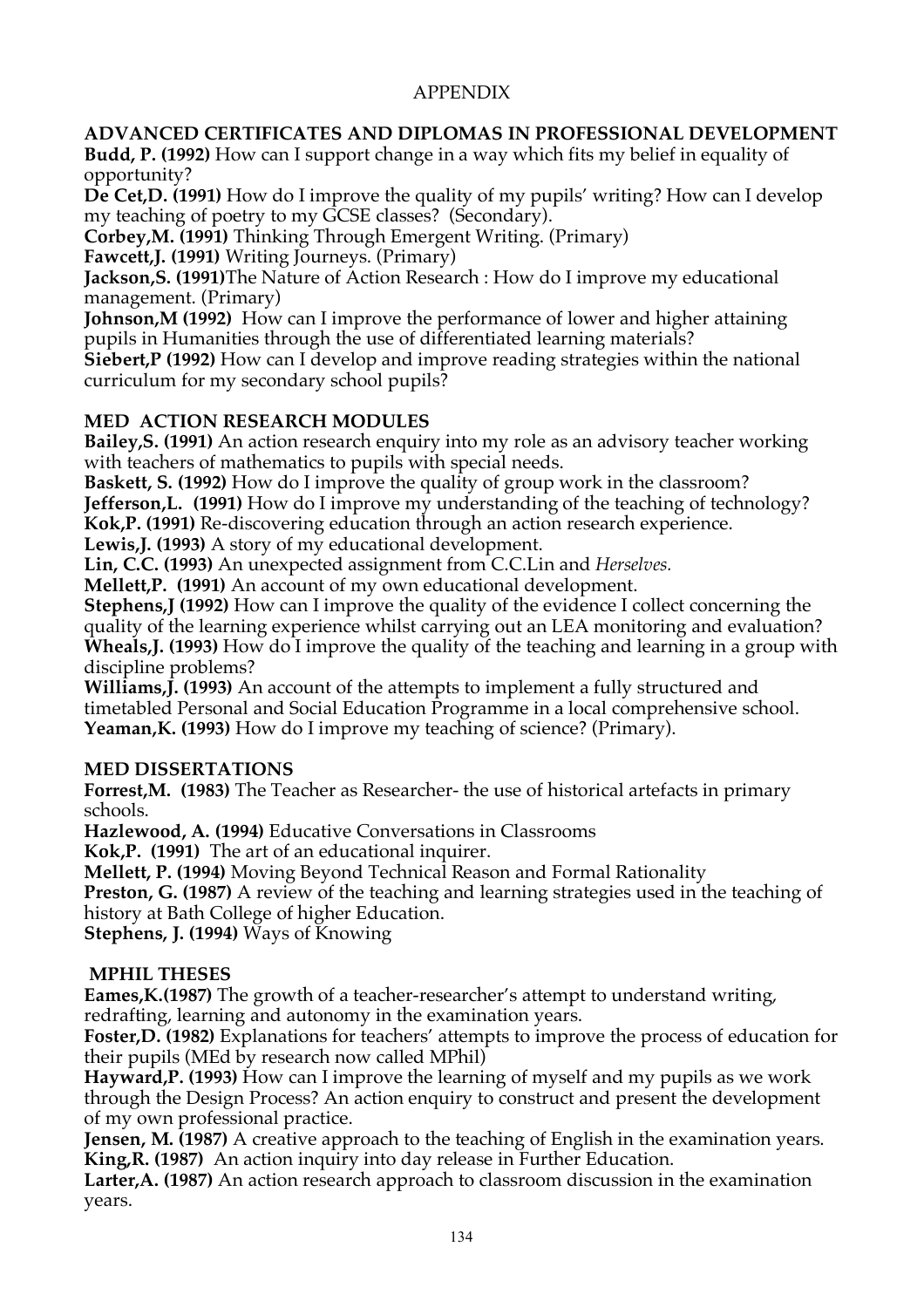# APPENDIX

# **ADVANCED CERTIFICATES AND DIPLOMAS IN PROFESSIONAL DEVELOPMENT**

**Budd, P. (1992)** How can I support change in a way which fits my belief in equality of opportunity?

**De Cet,D. (1991)** How do I improve the quality of my pupils' writing? How can I develop my teaching of poetry to my GCSE classes? (Secondary).

**Corbey,M. (1991)** Thinking Through Emergent Writing. (Primary)

**Fawcett,J. (1991)** Writing Journeys. (Primary)

**Jackson,S. (1991)**The Nature of Action Research : How do I improve my educational management. (Primary)

**Johnson,M (1992)** How can I improve the performance of lower and higher attaining pupils in Humanities through the use of differentiated learning materials?

**Siebert,P (1992)** How can I develop and improve reading strategies within the national curriculum for my secondary school pupils?

# **MED ACTION RESEARCH MODULES**

**Bailey,S. (1991)** An action research enquiry into my role as an advisory teacher working with teachers of mathematics to pupils with special needs.

**Baskett, S. (1992)** How do I improve the quality of group work in the classroom? **Jefferson,L. (1991)** How do I improve my understanding of the teaching of technology? **Kok,P. (1991)** Re-discovering education through an action research experience.

**Lewis,J. (1993)** A story of my educational development.

**Lin, C.C. (1993)** An unexpected assignment from C.C.Lin and *Herselves.*

**Mellett,P. (1991)** An account of my own educational development.

**Stephens,J (1992)** How can I improve the quality of the evidence I collect concerning the quality of the learning experience whilst carrying out an LEA monitoring and evaluation? **Wheals,J. (1993)** How do I improve the quality of the teaching and learning in a group with discipline problems?

**Williams,J. (1993)** An account of the attempts to implement a fully structured and timetabled Personal and Social Education Programme in a local comprehensive school. **Yeaman,K. (1993)** How do I improve my teaching of science? (Primary).

# **MED DISSERTATIONS**

**Forrest,M. (1983)** The Teacher as Researcher- the use of historical artefacts in primary schools.

**Hazlewood, A. (1994)** Educative Conversations in Classrooms

**Kok,P. (1991)** The art of an educational inquirer.

**Mellett, P. (1994)** Moving Beyond Technical Reason and Formal Rationality

**Preston, G. (1987)** A review of the teaching and learning strategies used in the teaching of history at Bath College of higher Education.

**Stephens, J. (1994)** Ways of Knowing

# **MPHIL THESES**

**Eames,K.(1987)** The growth of a teacher-researcher's attempt to understand writing, redrafting, learning and autonomy in the examination years.

**Foster,D. (1982)** Explanations for teachers' attempts to improve the process of education for their pupils (MEd by research now called MPhil)

**Hayward,P. (1993)** How can I improve the learning of myself and my pupils as we work through the Design Process? An action enquiry to construct and present the development of my own professional practice.

**Jensen, M. (1987)** A creative approach to the teaching of English in the examination years. **King,R. (1987)** An action inquiry into day release in Further Education.

**Larter,A. (1987)** An action research approach to classroom discussion in the examination years.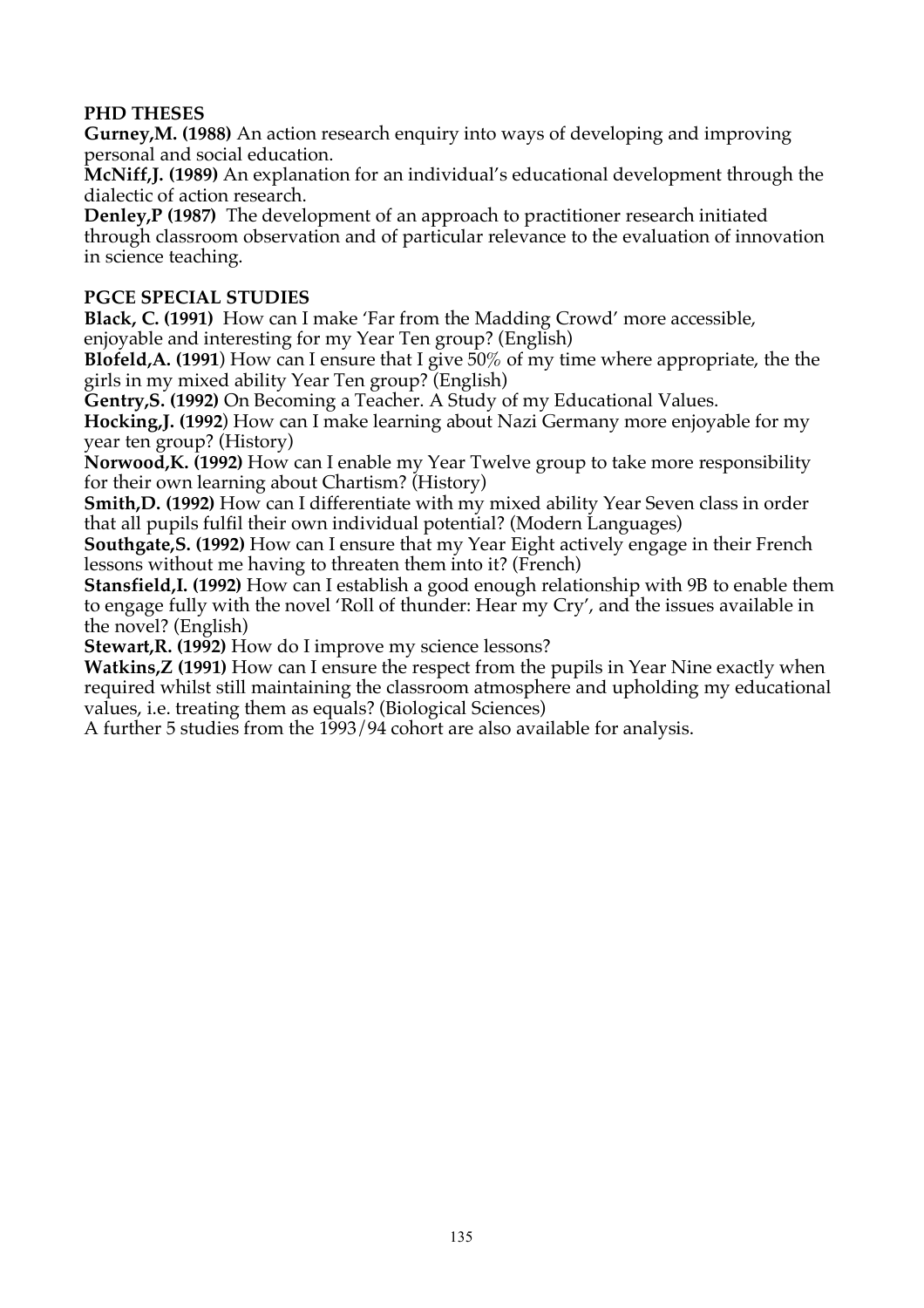# **PHD THESES**

**Gurney,M. (1988)** An action research enquiry into ways of developing and improving personal and social education.

**McNiff,J. (1989)** An explanation for an individual's educational development through the dialectic of action research.

**Denley,P (1987)** The development of an approach to practitioner research initiated through classroom observation and of particular relevance to the evaluation of innovation in science teaching.

# **PGCE SPECIAL STUDIES**

**Black, C. (1991)** How can I make 'Far from the Madding Crowd' more accessible, enjoyable and interesting for my Year Ten group? (English)

**Blofeld,A. (1991**) How can I ensure that I give 50% of my time where appropriate, the the girls in my mixed ability Year Ten group? (English)

**Gentry,S. (1992)** On Becoming a Teacher. A Study of my Educational Values.

**Hocking,J. (1992**) How can I make learning about Nazi Germany more enjoyable for my year ten group? (History)

**Norwood,K. (1992)** How can I enable my Year Twelve group to take more responsibility for their own learning about Chartism? (History)

**Smith,D. (1992)** How can I differentiate with my mixed ability Year Seven class in order that all pupils fulfil their own individual potential? (Modern Languages)

**Southgate,S. (1992)** How can I ensure that my Year Eight actively engage in their French lessons without me having to threaten them into it? (French)

**Stansfield,I. (1992)** How can I establish a good enough relationship with 9B to enable them to engage fully with the novel 'Roll of thunder: Hear my Cry', and the issues available in the novel? (English)

**Stewart,R. (1992)** How do I improve my science lessons?

**Watkins,Z (1991)** How can I ensure the respect from the pupils in Year Nine exactly when required whilst still maintaining the classroom atmosphere and upholding my educational values, i.e. treating them as equals? (Biological Sciences)

A further 5 studies from the 1993/94 cohort are also available for analysis.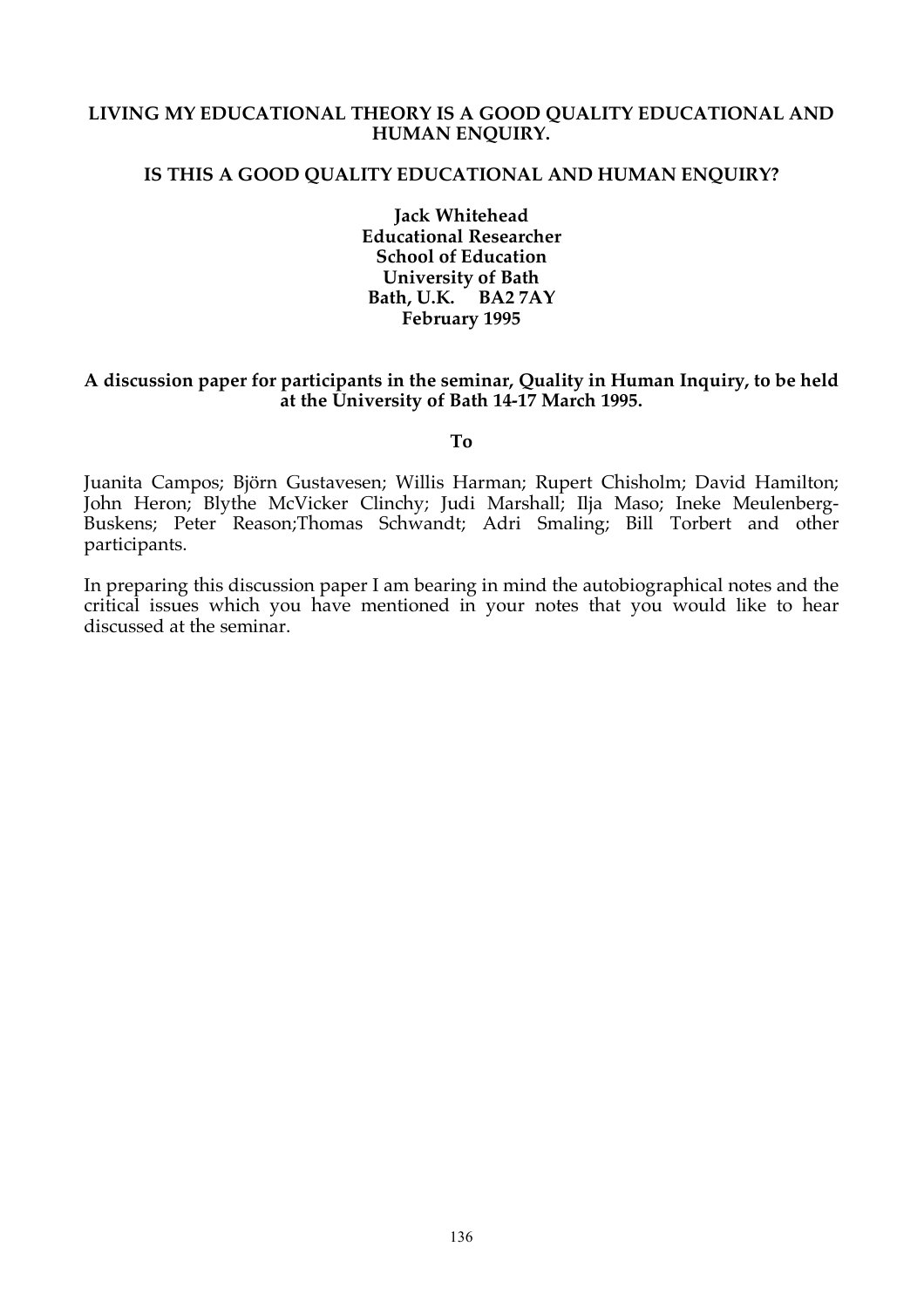### **LIVING MY EDUCATIONAL THEORY IS A GOOD QUALITY EDUCATIONAL AND HUMAN ENQUIRY.**

### **IS THIS A GOOD QUALITY EDUCATIONAL AND HUMAN ENQUIRY?**

**Jack Whitehead Educational Researcher School of Education University of Bath Bath, U.K. BA2 7AY February 1995**

### **A discussion paper for participants in the seminar, Quality in Human Inquiry, to be held at the University of Bath 14-17 March 1995.**

#### **To**

Juanita Campos; Björn Gustavesen; Willis Harman; Rupert Chisholm; David Hamilton; John Heron; Blythe McVicker Clinchy; Judi Marshall; Ilja Maso; Ineke Meulenberg-Buskens; Peter Reason;Thomas Schwandt; Adri Smaling; Bill Torbert and other participants.

In preparing this discussion paper I am bearing in mind the autobiographical notes and the critical issues which you have mentioned in your notes that you would like to hear discussed at the seminar.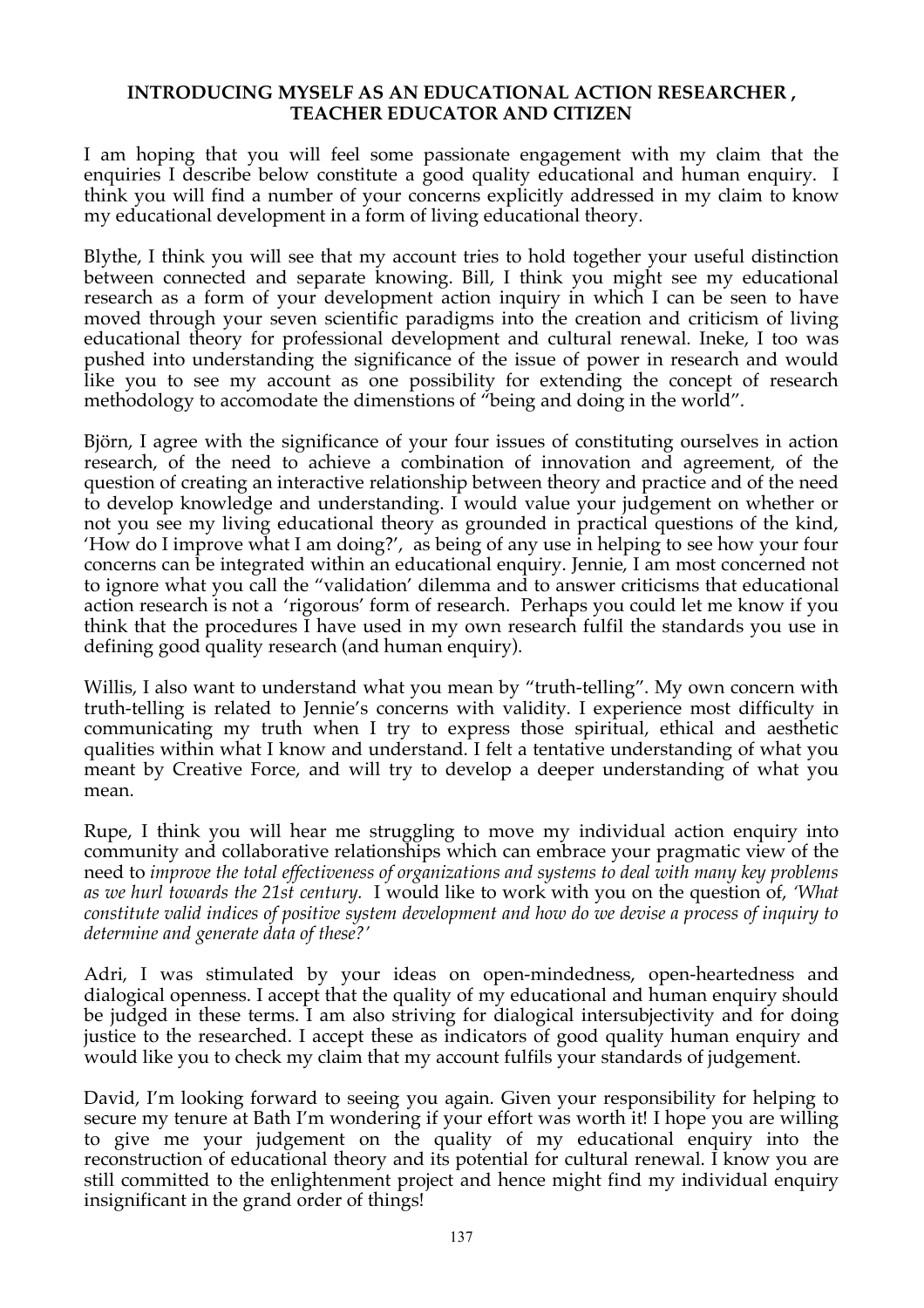### **INTRODUCING MYSELF AS AN EDUCATIONAL ACTION RESEARCHER , TEACHER EDUCATOR AND CITIZEN**

I am hoping that you will feel some passionate engagement with my claim that the enquiries I describe below constitute a good quality educational and human enquiry. I think you will find a number of your concerns explicitly addressed in my claim to know my educational development in a form of living educational theory.

Blythe, I think you will see that my account tries to hold together your useful distinction between connected and separate knowing. Bill, I think you might see my educational research as a form of your development action inquiry in which I can be seen to have moved through your seven scientific paradigms into the creation and criticism of living educational theory for professional development and cultural renewal. Ineke, I too was pushed into understanding the significance of the issue of power in research and would like you to see my account as one possibility for extending the concept of research methodology to accomodate the dimenstions of "being and doing in the world".

Björn, I agree with the significance of your four issues of constituting ourselves in action research, of the need to achieve a combination of innovation and agreement, of the question of creating an interactive relationship between theory and practice and of the need to develop knowledge and understanding. I would value your judgement on whether or not you see my living educational theory as grounded in practical questions of the kind, 'How do I improve what I am doing?', as being of any use in helping to see how your four concerns can be integrated within an educational enquiry. Jennie, I am most concerned not to ignore what you call the "validation' dilemma and to answer criticisms that educational action research is not a 'rigorous' form of research. Perhaps you could let me know if you think that the procedures I have used in my own research fulfil the standards you use in defining good quality research (and human enquiry).

Willis, I also want to understand what you mean by "truth-telling". My own concern with truth-telling is related to Jennie's concerns with validity. I experience most difficulty in communicating my truth when I try to express those spiritual, ethical and aesthetic qualities within what I know and understand. I felt a tentative understanding of what you meant by Creative Force, and will try to develop a deeper understanding of what you mean.

Rupe, I think you will hear me struggling to move my individual action enquiry into community and collaborative relationships which can embrace your pragmatic view of the need to *improve the total effectiveness of organizations and systems to deal with many key problems as we hurl towards the 21st century.* I would like to work with you on the question of, *'What constitute valid indices of positive system development and how do we devise a process of inquiry to determine and generate data of these?'*

Adri, I was stimulated by your ideas on open-mindedness, open-heartedness and dialogical openness. I accept that the quality of my educational and human enquiry should be judged in these terms. I am also striving for dialogical intersubjectivity and for doing justice to the researched. I accept these as indicators of good quality human enquiry and would like you to check my claim that my account fulfils your standards of judgement.

David, I'm looking forward to seeing you again. Given your responsibility for helping to secure my tenure at Bath I'm wondering if your effort was worth it! I hope you are willing to give me your judgement on the quality of my educational enquiry into the reconstruction of educational theory and its potential for cultural renewal. I know you are still committed to the enlightenment project and hence might find my individual enquiry insignificant in the grand order of things!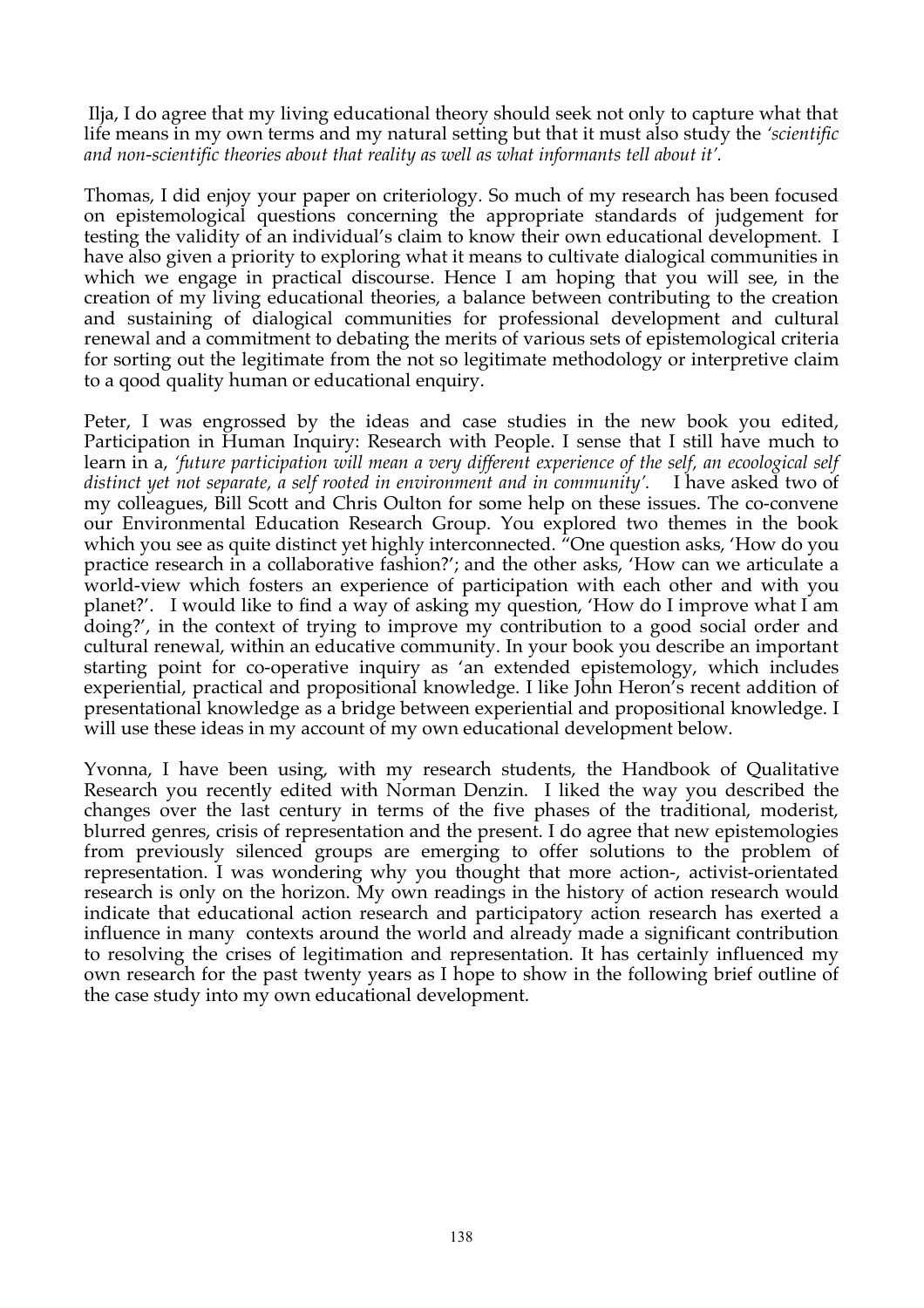Ilja, I do agree that my living educational theory should seek not only to capture what that life means in my own terms and my natural setting but that it must also study the *'scientific and non-scientific theories about that reality as well as what informants tell about it'.*

Thomas, I did enjoy your paper on criteriology. So much of my research has been focused on epistemological questions concerning the appropriate standards of judgement for testing the validity of an individual's claim to know their own educational development. I have also given a priority to exploring what it means to cultivate dialogical communities in which we engage in practical discourse. Hence I am hoping that you will see, in the creation of my living educational theories, a balance between contributing to the creation and sustaining of dialogical communities for professional development and cultural renewal and a commitment to debating the merits of various sets of epistemological criteria for sorting out the legitimate from the not so legitimate methodology or interpretive claim to a qood quality human or educational enquiry.

Peter, I was engrossed by the ideas and case studies in the new book you edited, Participation in Human Inquiry: Research with People. I sense that I still have much to learn in a, *'future participation will mean a very different experience of the self, an ecoological self distinct yet not separate, a self rooted in environment and in community'.* I have asked two of my colleagues, Bill Scott and Chris Oulton for some help on these issues. The co-convene our Environmental Education Research Group. You explored two themes in the book which you see as quite distinct yet highly interconnected. "One question asks, 'How do you practice research in a collaborative fashion?'; and the other asks, 'How can we articulate a world-view which fosters an experience of participation with each other and with you planet?'. I would like to find a way of asking my question, 'How do I improve what I am doing?', in the context of trying to improve my contribution to a good social order and cultural renewal, within an educative community. In your book you describe an important starting point for co-operative inquiry as 'an extended epistemology, which includes experiential, practical and propositional knowledge. I like John Heron's recent addition of presentational knowledge as a bridge between experiential and propositional knowledge. I will use these ideas in my account of my own educational development below.

Yvonna, I have been using, with my research students, the Handbook of Qualitative Research you recently edited with Norman Denzin. I liked the way you described the changes over the last century in terms of the five phases of the traditional, moderist, blurred genres, crisis of representation and the present. I do agree that new epistemologies from previously silenced groups are emerging to offer solutions to the problem of representation. I was wondering why you thought that more action-, activist-orientated research is only on the horizon. My own readings in the history of action research would indicate that educational action research and participatory action research has exerted a influence in many contexts around the world and already made a significant contribution to resolving the crises of legitimation and representation. It has certainly influenced my own research for the past twenty years as I hope to show in the following brief outline of the case study into my own educational development.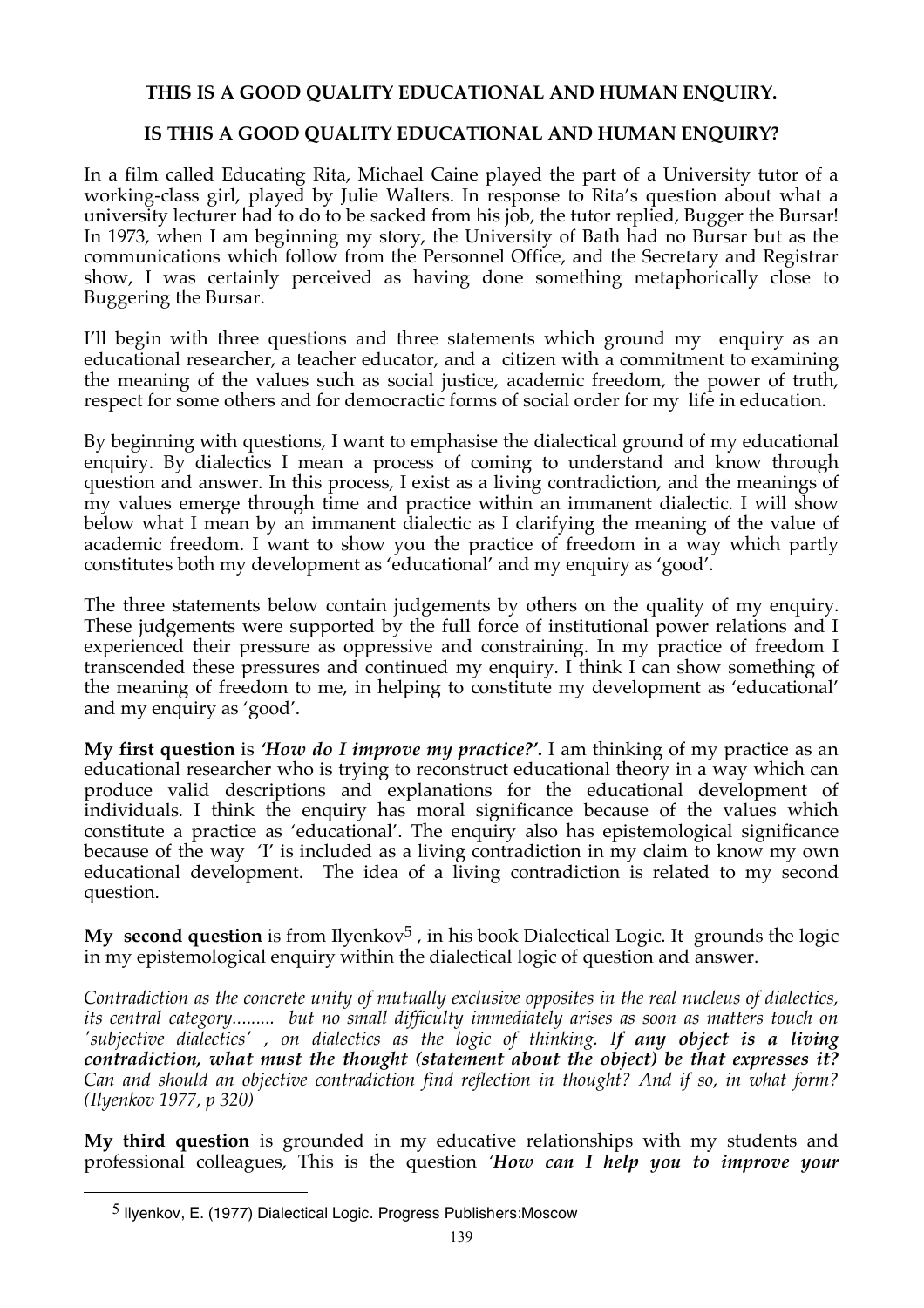## **THIS IS A GOOD QUALITY EDUCATIONAL AND HUMAN ENQUIRY.**

## **IS THIS A GOOD QUALITY EDUCATIONAL AND HUMAN ENQUIRY?**

In a film called Educating Rita, Michael Caine played the part of a University tutor of a working-class girl, played by Julie Walters. In response to Rita's question about what a university lecturer had to do to be sacked from his job, the tutor replied, Bugger the Bursar! In 1973, when I am beginning my story, the University of Bath had no Bursar but as the communications which follow from the Personnel Office, and the Secretary and Registrar show, I was certainly perceived as having done something metaphorically close to Buggering the Bursar.

I'll begin with three questions and three statements which ground my enquiry as an educational researcher, a teacher educator, and a citizen with a commitment to examining the meaning of the values such as social justice, academic freedom, the power of truth, respect for some others and for democractic forms of social order for my life in education.

By beginning with questions, I want to emphasise the dialectical ground of my educational enquiry. By dialectics I mean a process of coming to understand and know through question and answer. In this process, I exist as a living contradiction, and the meanings of my values emerge through time and practice within an immanent dialectic. I will show below what I mean by an immanent dialectic as I clarifying the meaning of the value of academic freedom. I want to show you the practice of freedom in a way which partly constitutes both my development as 'educational' and my enquiry as 'good'.

The three statements below contain judgements by others on the quality of my enquiry. These judgements were supported by the full force of institutional power relations and I experienced their pressure as oppressive and constraining. In my practice of freedom I transcended these pressures and continued my enquiry. I think I can show something of the meaning of freedom to me, in helping to constitute my development as 'educational' and my enquiry as 'good'.

**My first question** is *'How do I improve my practice?'***.** I am thinking of my practice as an educational researcher who is trying to reconstruct educational theory in a way which can produce valid descriptions and explanations for the educational development of individuals. I think the enquiry has moral significance because of the values which constitute a practice as 'educational'. The enquiry also has epistemological significance because of the way 'I' is included as a living contradiction in my claim to know my own educational development. The idea of a living contradiction is related to my second question.

**My** second question is from Ilyenkov<sup>5</sup>, in his book Dialectical Logic. It grounds the logic in my epistemological enquiry within the dialectical logic of question and answer.

*Contradiction as the concrete unity of mutually exclusive opposites in the real nucleus of dialectics, its central category......... but no small difficulty immediately arises as soon as matters touch on 'subjective dialectics' , on dialectics as the logic of thinking. If any object is a living contradiction, what must the thought (statement about the object) be that expresses it? Can and should an objective contradiction find reflection in thought? And if so, in what form? (Ilyenkov 1977, p 320)*

**My third question** is grounded in my educative relationships with my students and professional colleagues, This is the question *'How can I help you to improve your*

<sup>5</sup> Ilyenkov, E. (1977) Dialectical Logic. Progress Publishers:Moscow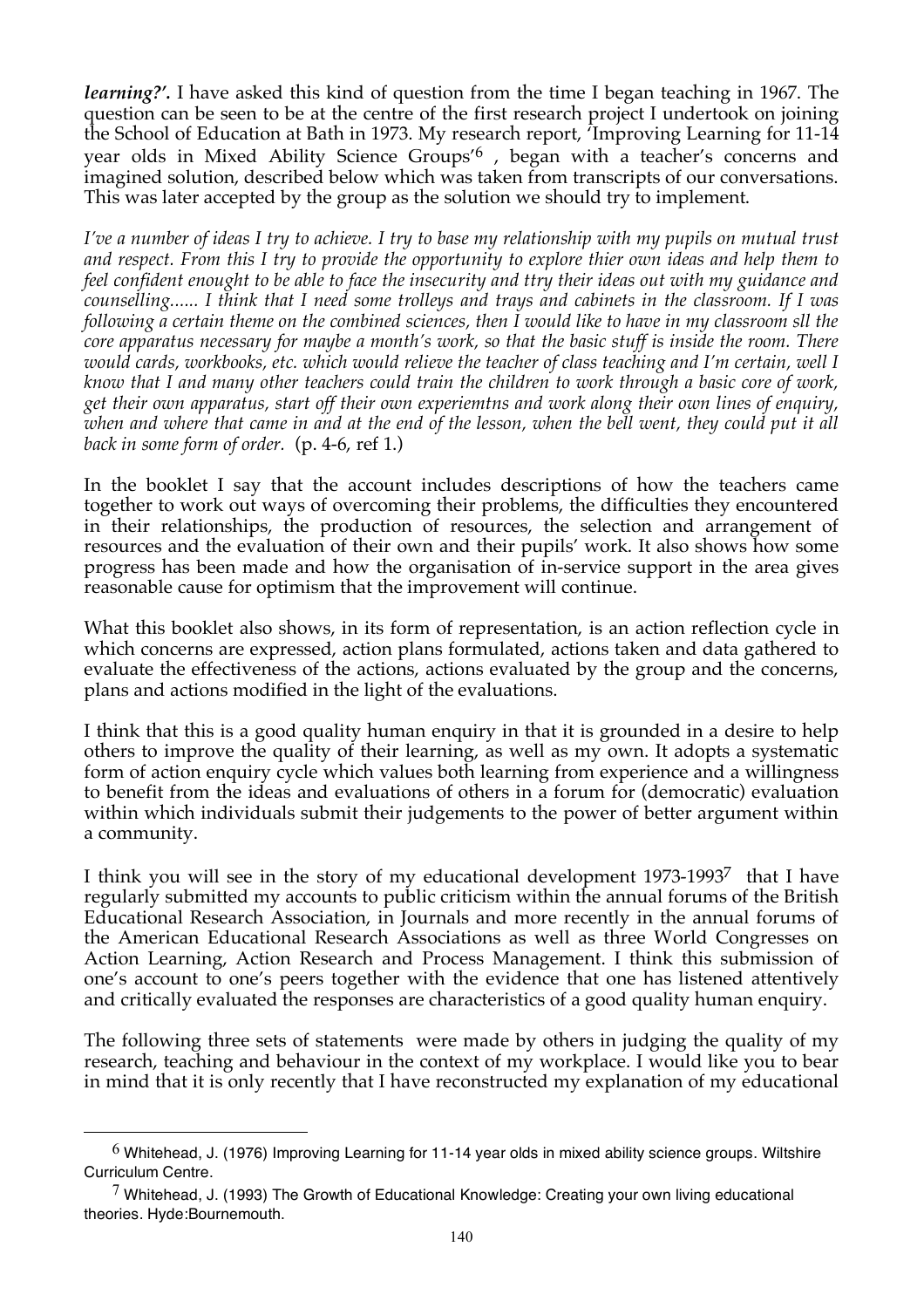*learning?'.* I have asked this kind of question from the time I began teaching in 1967. The question can be seen to be at the centre of the first research project I undertook on joining the School of Education at Bath in 1973. My research report, 'Improving Learning for 11-14 year olds in Mixed Ability Science Groups'<sup>6</sup>, began with a teacher's concerns and imagined solution, described below which was taken from transcripts of our conversations. This was later accepted by the group as the solution we should try to implement.

*I've a number of ideas I try to achieve. I try to base my relationship with my pupils on mutual trust and respect. From this I try to provide the opportunity to explore thier own ideas and help them to feel confident enought to be able to face the insecurity and ttry their ideas out with my guidance and counselling...... I think that I need some trolleys and trays and cabinets in the classroom. If I was following a certain theme on the combined sciences, then I would like to have in my classroom sll the core apparatus necessary for maybe a month's work, so that the basic stuff is inside the room. There would cards, workbooks, etc. which would relieve the teacher of class teaching and I'm certain, well I know that I and many other teachers could train the children to work through a basic core of work, get their own apparatus, start off their own experiemtns and work along their own lines of enquiry, when and where that came in and at the end of the lesson, when the bell went, they could put it all back in some form of order.* (p. 4-6, ref 1.)

In the booklet I say that the account includes descriptions of how the teachers came together to work out ways of overcoming their problems, the difficulties they encountered in their relationships, the production of resources, the selection and arrangement of resources and the evaluation of their own and their pupils' work. It also shows how some progress has been made and how the organisation of in-service support in the area gives reasonable cause for optimism that the improvement will continue.

What this booklet also shows, in its form of representation, is an action reflection cycle in which concerns are expressed, action plans formulated, actions taken and data gathered to evaluate the effectiveness of the actions, actions evaluated by the group and the concerns, plans and actions modified in the light of the evaluations.

I think that this is a good quality human enquiry in that it is grounded in a desire to help others to improve the quality of their learning, as well as my own. It adopts a systematic form of action enquiry cycle which values both learning from experience and a willingness to benefit from the ideas and evaluations of others in a forum for (democratic) evaluation within which individuals submit their judgements to the power of better argument within a community.

I think you will see in the story of my educational development 1973-19937 that I have regularly submitted my accounts to public criticism within the annual forums of the British Educational Research Association, in Journals and more recently in the annual forums of the American Educational Research Associations as well as three World Congresses on Action Learning, Action Research and Process Management. I think this submission of one's account to one's peers together with the evidence that one has listened attentively and critically evaluated the responses are characteristics of a good quality human enquiry.

The following three sets of statements were made by others in judging the quality of my research, teaching and behaviour in the context of my workplace. I would like you to bear in mind that it is only recently that I have reconstructed my explanation of my educational

 $6$  Whitehead, J. (1976) Improving Learning for 11-14 year olds in mixed ability science groups. Wiltshire Curriculum Centre.

 $7$  Whitehead, J. (1993) The Growth of Educational Knowledge: Creating your own living educational theories. Hyde:Bournemouth.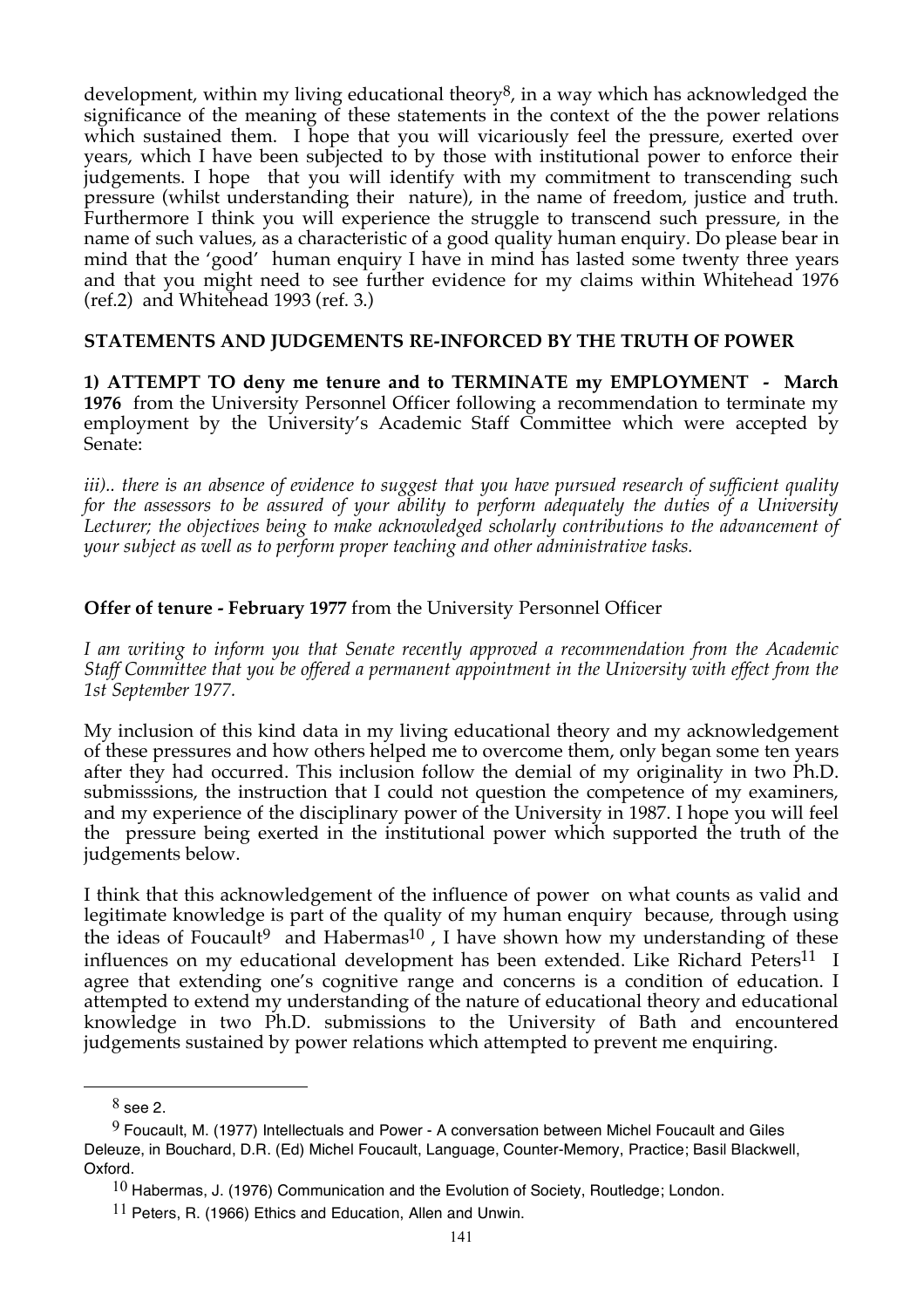development, within my living educational theory<sup>8</sup>, in a way which has acknowledged the significance of the meaning of these statements in the context of the the power relations which sustained them. I hope that you will vicariously feel the pressure, exerted over years, which I have been subjected to by those with institutional power to enforce their judgements. I hope that you will identify with my commitment to transcending such pressure (whilst understanding their nature), in the name of freedom, justice and truth. Furthermore I think you will experience the struggle to transcend such pressure, in the name of such values, as a characteristic of a good quality human enquiry. Do please bear in mind that the 'good' human enquiry I have in mind has lasted some twenty three years and that you might need to see further evidence for my claims within Whitehead 1976 (ref.2) and Whitehead 1993 (ref. 3.)

## **STATEMENTS AND JUDGEMENTS RE-INFORCED BY THE TRUTH OF POWER**

**1) ATTEMPT TO deny me tenure and to TERMINATE my EMPLOYMENT - March 1976** from the University Personnel Officer following a recommendation to terminate my employment by the University's Academic Staff Committee which were accepted by Senate:

*iii).. there is an absence of evidence to suggest that you have pursued research of sufficient quality for the assessors to be assured of your ability to perform adequately the duties of a University Lecturer; the objectives being to make acknowledged scholarly contributions to the advancement of your subject as well as to perform proper teaching and other administrative tasks.*

### **Offer of tenure - February 1977** from the University Personnel Officer

*I am writing to inform you that Senate recently approved a recommendation from the Academic Staff Committee that you be offered a permanent appointment in the University with effect from the 1st September 1977.*

My inclusion of this kind data in my living educational theory and my acknowledgement of these pressures and how others helped me to overcome them, only began some ten years after they had occurred. This inclusion follow the demial of my originality in two Ph.D. submisssions, the instruction that I could not question the competence of my examiners, and my experience of the disciplinary power of the University in 1987. I hope you will feel the pressure being exerted in the institutional power which supported the truth of the judgements below.

I think that this acknowledgement of the influence of power on what counts as valid and legitimate knowledge is part of the quality of my human enquiry because, through using the ideas of Foucault<sup>9</sup> and Habermas<sup>10</sup>, I have shown how my understanding of these influences on my educational development has been extended. Like Richard Peters<sup>11</sup> I agree that extending one's cognitive range and concerns is a condition of education. I attempted to extend my understanding of the nature of educational theory and educational knowledge in two Ph.D. submissions to the University of Bath and encountered judgements sustained by power relations which attempted to prevent me enquiring.

 $8$  see 2.

 $9$  Foucault, M. (1977) Intellectuals and Power - A conversation between Michel Foucault and Giles Deleuze, in Bouchard, D.R. (Ed) Michel Foucault, Language, Counter-Memory, Practice; Basil Blackwell, Oxford.

 $10$  Habermas, J. (1976) Communication and the Evolution of Society, Routledge; London.

 $11$  Peters, R. (1966) Ethics and Education, Allen and Unwin.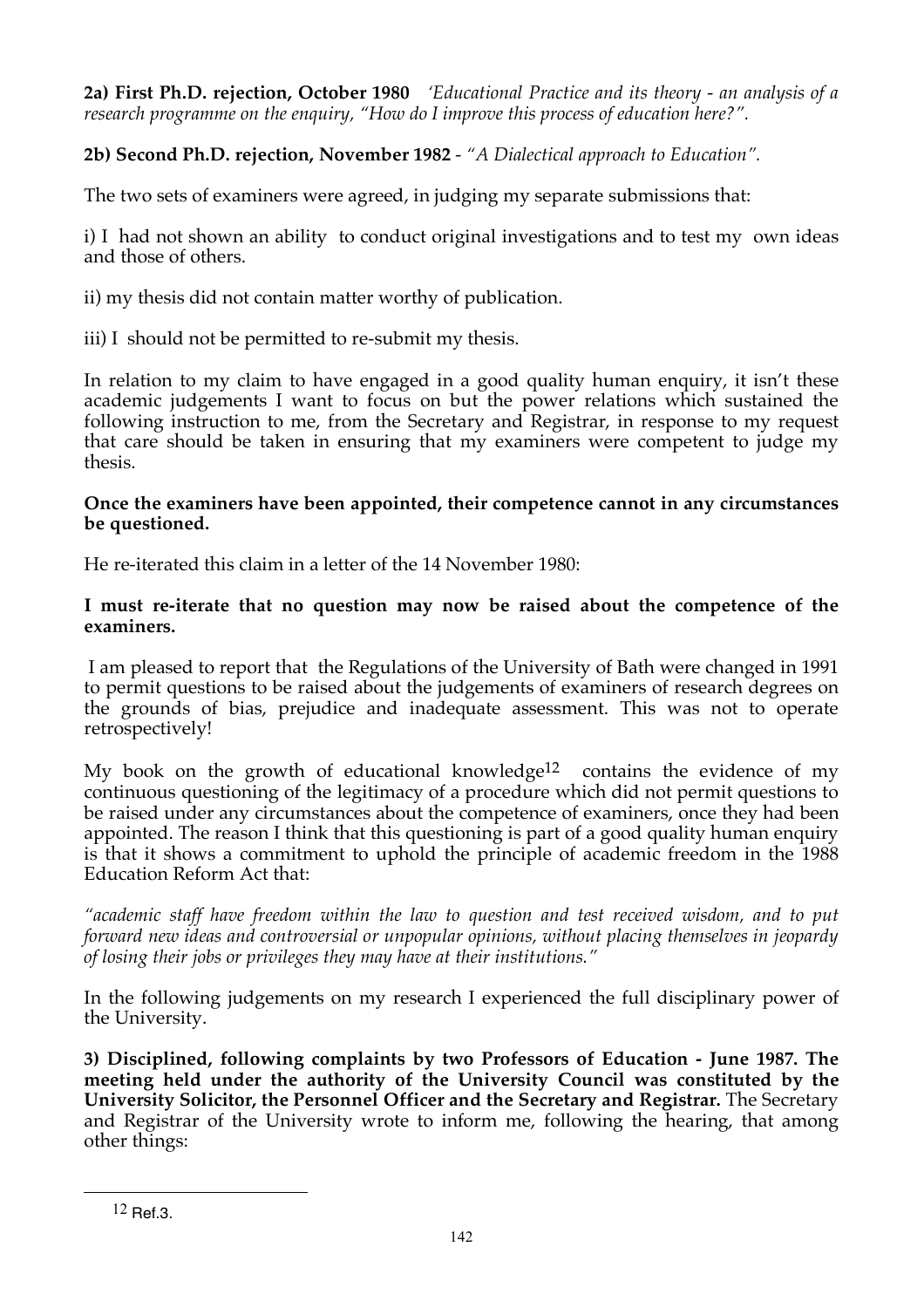**2a) First Ph.D. rejection, October 1980** *'Educational Practice and its theory - an analysis of a research programme on the enquiry, "How do I improve this process of education here?".*

**2b) Second Ph.D. rejection, November 1982** - *"A Dialectical approach to Education".*

The two sets of examiners were agreed, in judging my separate submissions that:

i) I had not shown an ability to conduct original investigations and to test my own ideas and those of others.

ii) my thesis did not contain matter worthy of publication.

iii) I should not be permitted to re-submit my thesis.

In relation to my claim to have engaged in a good quality human enquiry, it isn't these academic judgements I want to focus on but the power relations which sustained the following instruction to me, from the Secretary and Registrar, in response to my request that care should be taken in ensuring that my examiners were competent to judge my thesis.

# **Once the examiners have been appointed, their competence cannot in any circumstances be questioned.**

He re-iterated this claim in a letter of the 14 November 1980:

# **I must re-iterate that no question may now be raised about the competence of the examiners.**

I am pleased to report that the Regulations of the University of Bath were changed in 1991 to permit questions to be raised about the judgements of examiners of research degrees on the grounds of bias, prejudice and inadequate assessment. This was not to operate retrospectively!

My book on the growth of educational knowledge<sup>12</sup> contains the evidence of my continuous questioning of the legitimacy of a procedure which did not permit questions to be raised under any circumstances about the competence of examiners, once they had been appointed. The reason I think that this questioning is part of a good quality human enquiry is that it shows a commitment to uphold the principle of academic freedom in the 1988 Education Reform Act that:

*"academic staff have freedom within the law to question and test received wisdom, and to put forward new ideas and controversial or unpopular opinions, without placing themselves in jeopardy of losing their jobs or privileges they may have at their institutions."*

In the following judgements on my research I experienced the full disciplinary power of the University.

**3) Disciplined, following complaints by two Professors of Education - June 1987. The meeting held under the authority of the University Council was constituted by the University Solicitor, the Personnel Officer and the Secretary and Registrar.** The Secretary and Registrar of the University wrote to inform me, following the hearing, that among other things:

<sup>12</sup> Ref.3.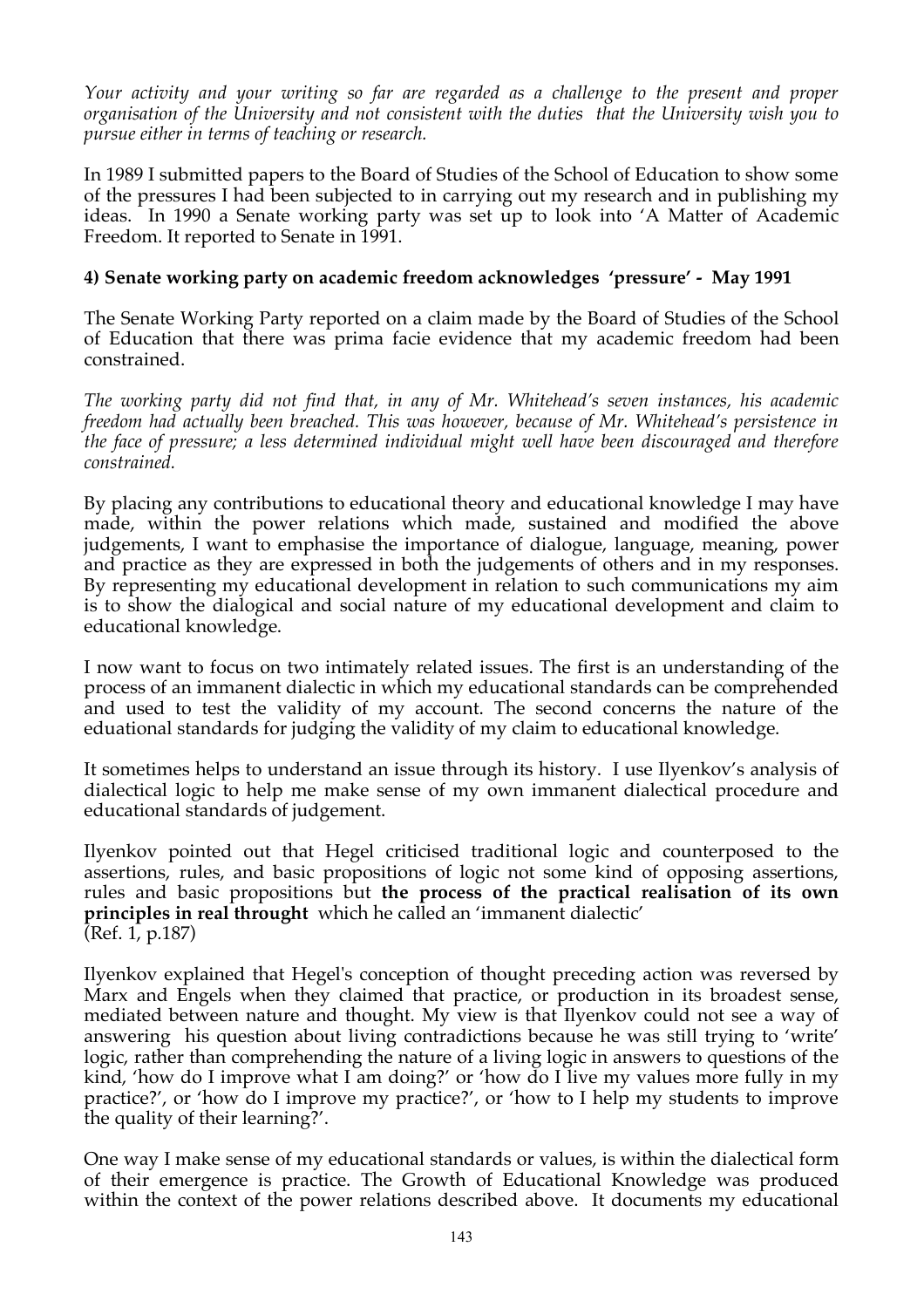*Your activity and your writing so far are regarded as a challenge to the present and proper organisation of the University and not consistent with the duties that the University wish you to pursue either in terms of teaching or research.*

In 1989 I submitted papers to the Board of Studies of the School of Education to show some of the pressures I had been subjected to in carrying out my research and in publishing my ideas. In 1990 a Senate working party was set up to look into 'A Matter of Academic Freedom. It reported to Senate in 1991.

## **4) Senate working party on academic freedom acknowledges 'pressure' - May 1991**

The Senate Working Party reported on a claim made by the Board of Studies of the School of Education that there was prima facie evidence that my academic freedom had been constrained.

*The working party did not find that, in any of Mr. Whitehead's seven instances, his academic freedom had actually been breached. This was however, because of Mr. Whitehead's persistence in the face of pressure; a less determined individual might well have been discouraged and therefore constrained.*

By placing any contributions to educational theory and educational knowledge I may have made, within the power relations which made, sustained and modified the above judgements, I want to emphasise the importance of dialogue, language, meaning, power and practice as they are expressed in both the judgements of others and in my responses. By representing my educational development in relation to such communications my aim is to show the dialogical and social nature of my educational development and claim to educational knowledge.

I now want to focus on two intimately related issues. The first is an understanding of the process of an immanent dialectic in which my educational standards can be comprehended and used to test the validity of my account. The second concerns the nature of the eduational standards for judging the validity of my claim to educational knowledge.

It sometimes helps to understand an issue through its history. I use Ilyenkov's analysis of dialectical logic to help me make sense of my own immanent dialectical procedure and educational standards of judgement.

Ilyenkov pointed out that Hegel criticised traditional logic and counterposed to the assertions, rules, and basic propositions of logic not some kind of opposing assertions, rules and basic propositions but **the process of the practical realisation of its own principles in real throught** which he called an 'immanent dialectic' (Ref. 1, p.187)

Ilyenkov explained that Hegel's conception of thought preceding action was reversed by Marx and Engels when they claimed that practice, or production in its broadest sense, mediated between nature and thought. My view is that Ilyenkov could not see a way of answering his question about living contradictions because he was still trying to 'write' logic, rather than comprehending the nature of a living logic in answers to questions of the kind, 'how do I improve what I am doing?' or 'how do I live my values more fully in my practice?', or 'how do I improve my practice?', or 'how to I help my students to improve the quality of their learning?'.

One way I make sense of my educational standards or values, is within the dialectical form of their emergence is practice. The Growth of Educational Knowledge was produced within the context of the power relations described above. It documents my educational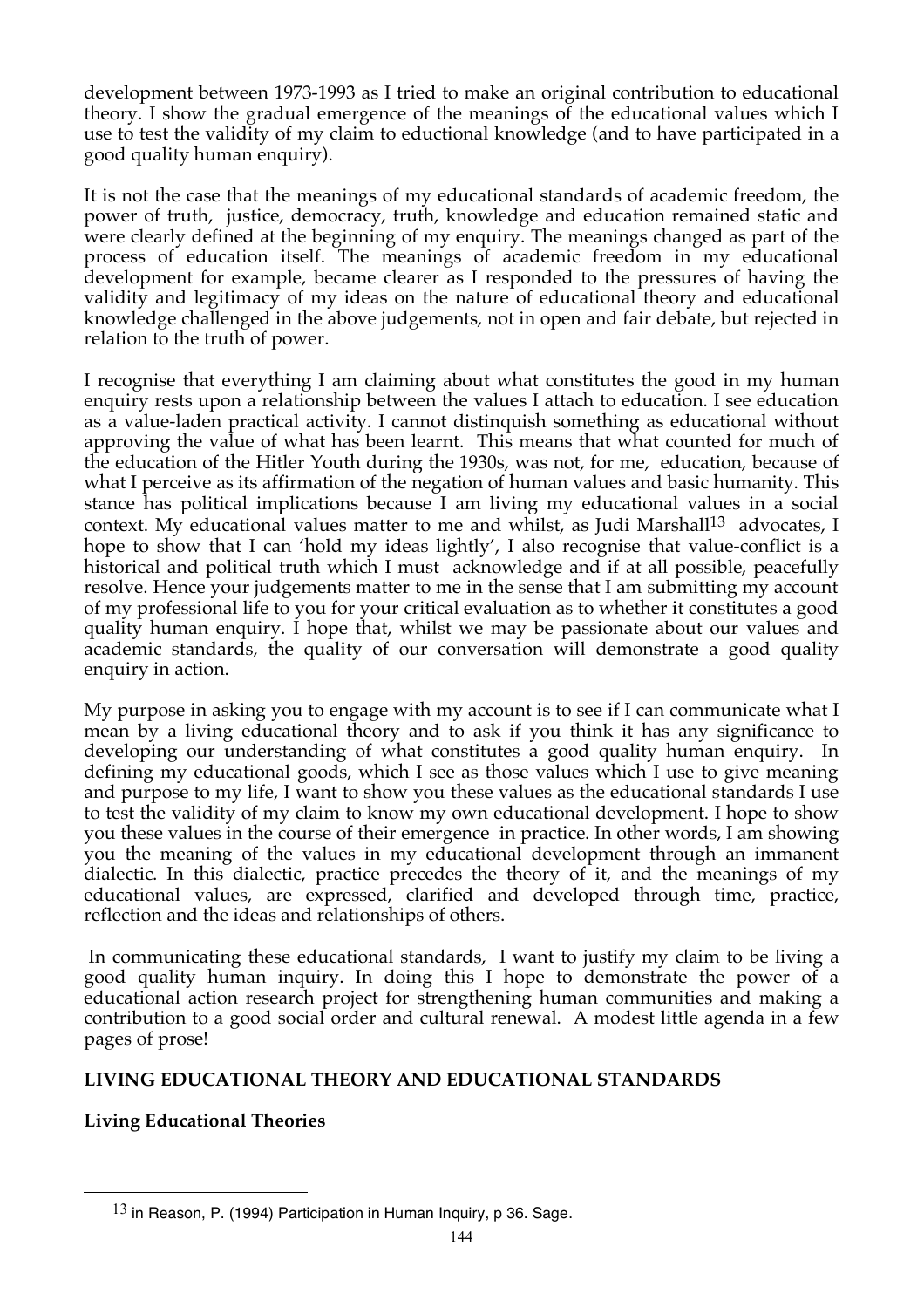development between 1973-1993 as I tried to make an original contribution to educational theory. I show the gradual emergence of the meanings of the educational values which I use to test the validity of my claim to eductional knowledge (and to have participated in a good quality human enquiry).

It is not the case that the meanings of my educational standards of academic freedom, the power of truth, justice, democracy, truth, knowledge and education remained static and were clearly defined at the beginning of my enquiry. The meanings changed as part of the process of education itself. The meanings of academic freedom in my educational development for example, became clearer as I responded to the pressures of having the validity and legitimacy of my ideas on the nature of educational theory and educational knowledge challenged in the above judgements, not in open and fair debate, but rejected in relation to the truth of power.

I recognise that everything I am claiming about what constitutes the good in my human enquiry rests upon a relationship between the values I attach to education. I see education as a value-laden practical activity. I cannot distinquish something as educational without approving the value of what has been learnt. This means that what counted for much of the education of the Hitler Youth during the 1930s, was not, for me, education, because of what I perceive as its affirmation of the negation of human values and basic humanity. This stance has political implications because I am living my educational values in a social context. My educational values matter to me and whilst, as Judi Marshall<sup>13</sup> advocates, I hope to show that I can 'hold my ideas lightly', I also recognise that value-conflict is a historical and political truth which I must acknowledge and if at all possible, peacefully resolve. Hence your judgements matter to me in the sense that I am submitting my account of my professional life to you for your critical evaluation as to whether it constitutes a good quality human enquiry. I hope that, whilst we may be passionate about our values and academic standards, the quality of our conversation will demonstrate a good quality enquiry in action.

My purpose in asking you to engage with my account is to see if I can communicate what I mean by a living educational theory and to ask if you think it has any significance to developing our understanding of what constitutes a good quality human enquiry. In defining my educational goods, which I see as those values which I use to give meaning and purpose to my life, I want to show you these values as the educational standards I use to test the validity of my claim to know my own educational development. I hope to show you these values in the course of their emergence in practice. In other words, I am showing you the meaning of the values in my educational development through an immanent dialectic. In this dialectic, practice precedes the theory of it, and the meanings of my educational values, are expressed, clarified and developed through time, practice, reflection and the ideas and relationships of others.

In communicating these educational standards, I want to justify my claim to be living a good quality human inquiry. In doing this I hope to demonstrate the power of a educational action research project for strengthening human communities and making a contribution to a good social order and cultural renewal. A modest little agenda in a few pages of prose!

## **LIVING EDUCATIONAL THEORY AND EDUCATIONAL STANDARDS**

# **Living Educational Theories**

 $13$  in Reason, P. (1994) Participation in Human Inquiry, p 36. Sage.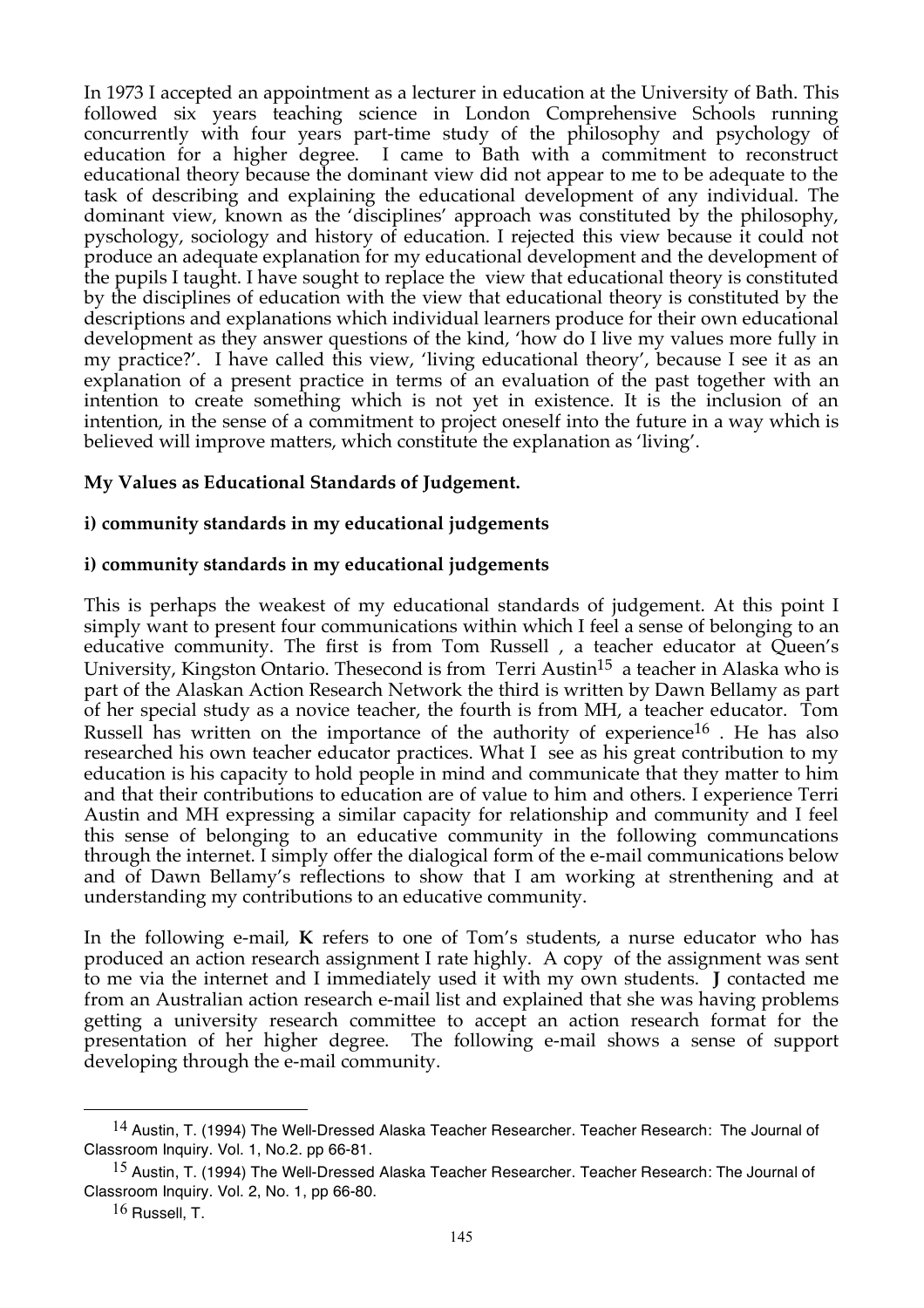In 1973 I accepted an appointment as a lecturer in education at the University of Bath. This followed six years teaching science in London Comprehensive Schools running concurrently with four years part-time study of the philosophy and psychology of education for a higher degree. I came to Bath with a commitment to reconstruct educational theory because the dominant view did not appear to me to be adequate to the task of describing and explaining the educational development of any individual. The dominant view, known as the 'disciplines' approach was constituted by the philosophy, pyschology, sociology and history of education. I rejected this view because it could not produce an adequate explanation for my educational development and the development of the pupils I taught. I have sought to replace the view that educational theory is constituted by the disciplines of education with the view that educational theory is constituted by the descriptions and explanations which individual learners produce for their own educational development as they answer questions of the kind, 'how do I live my values more fully in my practice?'. I have called this view, 'living educational theory', because I see it as an explanation of a present practice in terms of an evaluation of the past together with an intention to create something which is not yet in existence. It is the inclusion of an intention, in the sense of a commitment to project oneself into the future in a way which is believed will improve matters, which constitute the explanation as 'living'.

# **My Values as Educational Standards of Judgement.**

# **i) community standards in my educational judgements**

## **i) community standards in my educational judgements**

This is perhaps the weakest of my educational standards of judgement. At this point I simply want to present four communications within which I feel a sense of belonging to an educative community. The first is from Tom Russell , a teacher educator at Queen's University, Kingston Ontario. Thesecond is from Terri Austin<sup>15</sup> a teacher in Alaska who is part of the Alaskan Action Research Network the third is written by Dawn Bellamy as part of her special study as a novice teacher, the fourth is from MH, a teacher educator. Tom Russell has written on the importance of the authority of experience<sup>16</sup>. He has also researched his own teacher educator practices. What I see as his great contribution to my education is his capacity to hold people in mind and communicate that they matter to him and that their contributions to education are of value to him and others. I experience Terri Austin and MH expressing a similar capacity for relationship and community and I feel this sense of belonging to an educative community in the following communcations through the internet. I simply offer the dialogical form of the e-mail communications below and of Dawn Bellamy's reflections to show that I am working at strenthening and at understanding my contributions to an educative community.

In the following e-mail, **K** refers to one of Tom's students, a nurse educator who has produced an action research assignment I rate highly. A copy of the assignment was sent to me via the internet and I immediately used it with my own students. **J** contacted me from an Australian action research e-mail list and explained that she was having problems getting a university research committee to accept an action research format for the presentation of her higher degree. The following e-mail shows a sense of support developing through the e-mail community.

<sup>&</sup>lt;sup>14</sup> Austin, T. (1994) The Well-Dressed Alaska Teacher Researcher. Teacher Research: The Journal of Classroom Inquiry. Vol. 1, No.2. pp 66-81.

 $15$  Austin, T. (1994) The Well-Dressed Alaska Teacher Researcher. Teacher Research: The Journal of Classroom Inquiry. Vol. 2, No. 1, pp 66-80.

 $16$  Russell, T.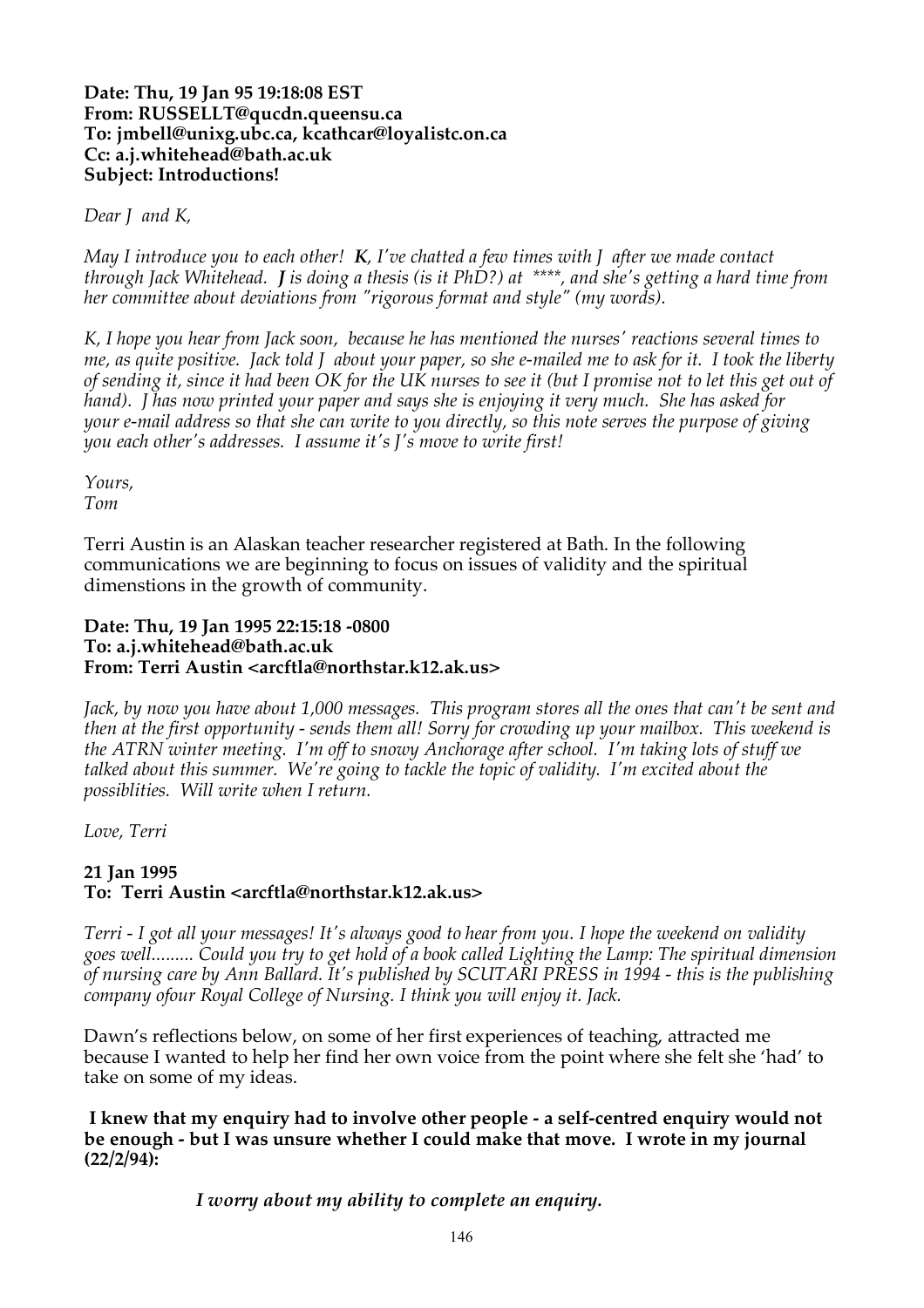### **Date: Thu, 19 Jan 95 19:18:08 EST From: RUSSELLT@qucdn.queensu.ca To: jmbell@unixg.ubc.ca, kcathcar@loyalistc.on.ca Cc: a.j.whitehead@bath.ac.uk Subject: Introductions!**

*Dear J and K,*

*May I introduce you to each other! K, I've chatted a few times with J after we made contact through Jack Whitehead. J is doing a thesis (is it PhD?) at \*\*\*\*, and she's getting a hard time from her committee about deviations from "rigorous format and style" (my words).*

*K, I hope you hear from Jack soon, because he has mentioned the nurses' reactions several times to* me, as quite positive. Jack told J about your paper, so she e-mailed me to ask for it. I took the liberty of sending it, since it had been OK for the UK nurses to see it (but I promise not to let this get out of *hand). J has now printed your paper and says she is enjoying it very much. She has asked for* your e-mail address so that she can write to you directly, so this note serves the purpose of giving *you each other's addresses. I assume it's J's move to write first!*

*Yours, Tom*

Terri Austin is an Alaskan teacher researcher registered at Bath. In the following communications we are beginning to focus on issues of validity and the spiritual dimenstions in the growth of community.

### **Date: Thu, 19 Jan 1995 22:15:18 -0800 To: a.j.whitehead@bath.ac.uk From: Terri Austin <arcftla@northstar.k12.ak.us>**

*Jack, by now you have about 1,000 messages. This program stores all the ones that can't be sent and then at the first opportunity - sends them all! Sorry for crowding up your mailbox. This weekend is the ATRN winter meeting. I'm off to snowy Anchorage after school. I'm taking lots of stuff we talked about this summer. We're going to tackle the topic of validity. I'm excited about the possiblities. Will write when I return.*

*Love, Terri*

# **21 Jan 1995 To: Terri Austin <arcftla@northstar.k12.ak.us>**

Terri - I got all your messages! It's always good to hear from you. I hope the weekend on validity *goes well......... Could you try to get hold of a book called Lighting the Lamp: The spiritual dimension of nursing care by Ann Ballard. It's published by SCUTARI PRESS in 1994 - this is the publishing company ofour Royal College of Nursing. I think you will enjoy it. Jack.*

Dawn's reflections below, on some of her first experiences of teaching, attracted me because I wanted to help her find her own voice from the point where she felt she 'had' to take on some of my ideas.

**I knew that my enquiry had to involve other people - a self-centred enquiry would not be enough - but I was unsure whether I could make that move. I wrote in my journal (22/2/94):**

*I worry about my ability to complete an enquiry.*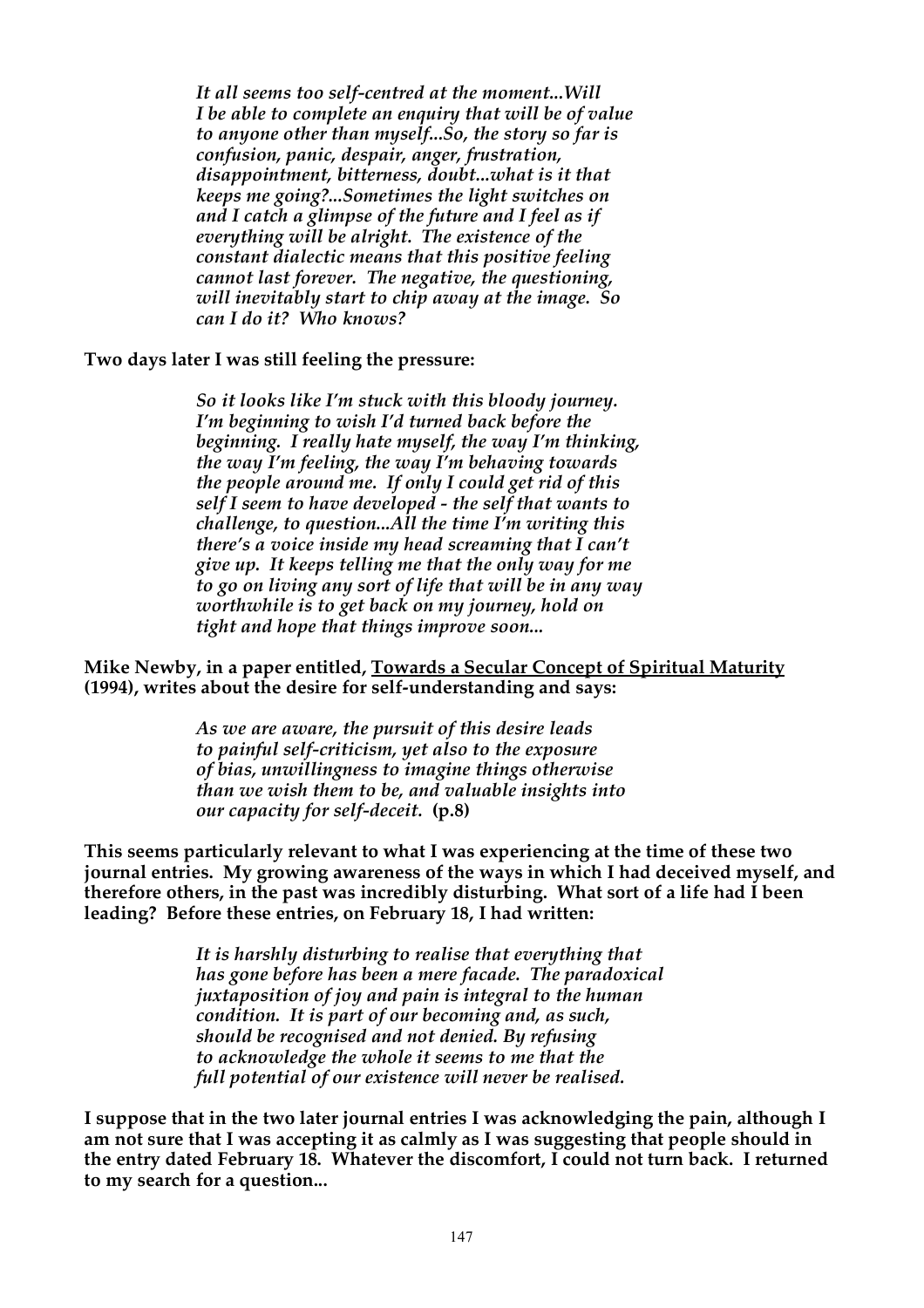*It all seems too self-centred at the moment...Will I be able to complete an enquiry that will be of value to anyone other than myself...So, the story so far is confusion, panic, despair, anger, frustration, disappointment, bitterness, doubt...what is it that keeps me going?...Sometimes the light switches on and I catch a glimpse of the future and I feel as if everything will be alright. The existence of the constant dialectic means that this positive feeling cannot last forever. The negative, the questioning, will inevitably start to chip away at the image. So can I do it? Who knows?*

**Two days later I was still feeling the pressure:**

*So it looks like I'm stuck with this bloody journey. I'm beginning to wish I'd turned back before the beginning. I really hate myself, the way I'm thinking, the way I'm feeling, the way I'm behaving towards the people around me. If only I could get rid of this self I seem to have developed - the self that wants to challenge, to question...All the time I'm writing this there's a voice inside my head screaming that I can't give up. It keeps telling me that the only way for me to go on living any sort of life that will be in any way worthwhile is to get back on my journey, hold on tight and hope that things improve soon...*

**Mike Newby, in a paper entitled, Towards a Secular Concept of Spiritual Maturity (1994), writes about the desire for self-understanding and says:**

> *As we are aware, the pursuit of this desire leads to painful self-criticism, yet also to the exposure of bias, unwillingness to imagine things otherwise than we wish them to be, and valuable insights into our capacity for self-deceit.* **(p.8)**

**This seems particularly relevant to what I was experiencing at the time of these two journal entries. My growing awareness of the ways in which I had deceived myself, and therefore others, in the past was incredibly disturbing. What sort of a life had I been leading? Before these entries, on February 18, I had written:**

> *It is harshly disturbing to realise that everything that has gone before has been a mere facade. The paradoxical juxtaposition of joy and pain is integral to the human condition. It is part of our becoming and, as such, should be recognised and not denied. By refusing to acknowledge the whole it seems to me that the full potential of our existence will never be realised.*

**I suppose that in the two later journal entries I was acknowledging the pain, although I am not sure that I was accepting it as calmly as I was suggesting that people should in the entry dated February 18. Whatever the discomfort, I could not turn back. I returned to my search for a question...**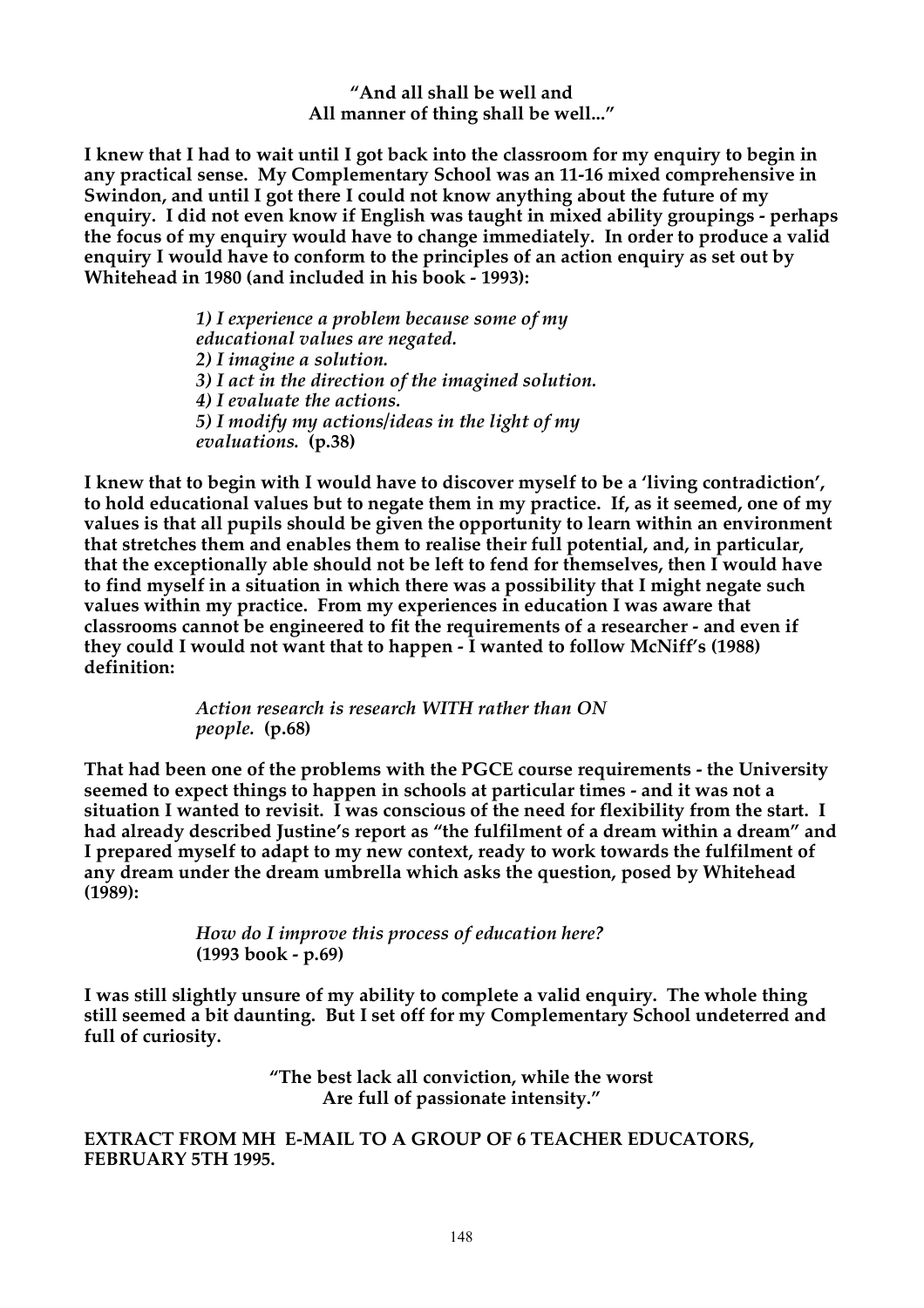**"And all shall be well and All manner of thing shall be well..."**

**I knew that I had to wait until I got back into the classroom for my enquiry to begin in any practical sense. My Complementary School was an 11-16 mixed comprehensive in Swindon, and until I got there I could not know anything about the future of my enquiry. I did not even know if English was taught in mixed ability groupings - perhaps the focus of my enquiry would have to change immediately. In order to produce a valid enquiry I would have to conform to the principles of an action enquiry as set out by Whitehead in 1980 (and included in his book - 1993):**

> *1) I experience a problem because some of my educational values are negated. 2) I imagine a solution. 3) I act in the direction of the imagined solution. 4) I evaluate the actions. 5) I modify my actions/ideas in the light of my evaluations.* **(p.38)**

**I knew that to begin with I would have to discover myself to be a 'living contradiction', to hold educational values but to negate them in my practice. If, as it seemed, one of my values is that all pupils should be given the opportunity to learn within an environment that stretches them and enables them to realise their full potential, and, in particular, that the exceptionally able should not be left to fend for themselves, then I would have to find myself in a situation in which there was a possibility that I might negate such values within my practice. From my experiences in education I was aware that classrooms cannot be engineered to fit the requirements of a researcher - and even if they could I would not want that to happen - I wanted to follow McNiff's (1988) definition:**

> *Action research is research WITH rather than ON people.* **(p.68)**

**That had been one of the problems with the PGCE course requirements - the University seemed to expect things to happen in schools at particular times - and it was not a situation I wanted to revisit. I was conscious of the need for flexibility from the start. I had already described Justine's report as "the fulfilment of a dream within a dream" and I prepared myself to adapt to my new context, ready to work towards the fulfilment of any dream under the dream umbrella which asks the question, posed by Whitehead (1989):**

> *How do I improve this process of education here?* **(1993 book - p.69)**

**I was still slightly unsure of my ability to complete a valid enquiry. The whole thing still seemed a bit daunting. But I set off for my Complementary School undeterred and full of curiosity.**

> **"The best lack all conviction, while the worst Are full of passionate intensity."**

**EXTRACT FROM MH E-MAIL TO A GROUP OF 6 TEACHER EDUCATORS, FEBRUARY 5TH 1995.**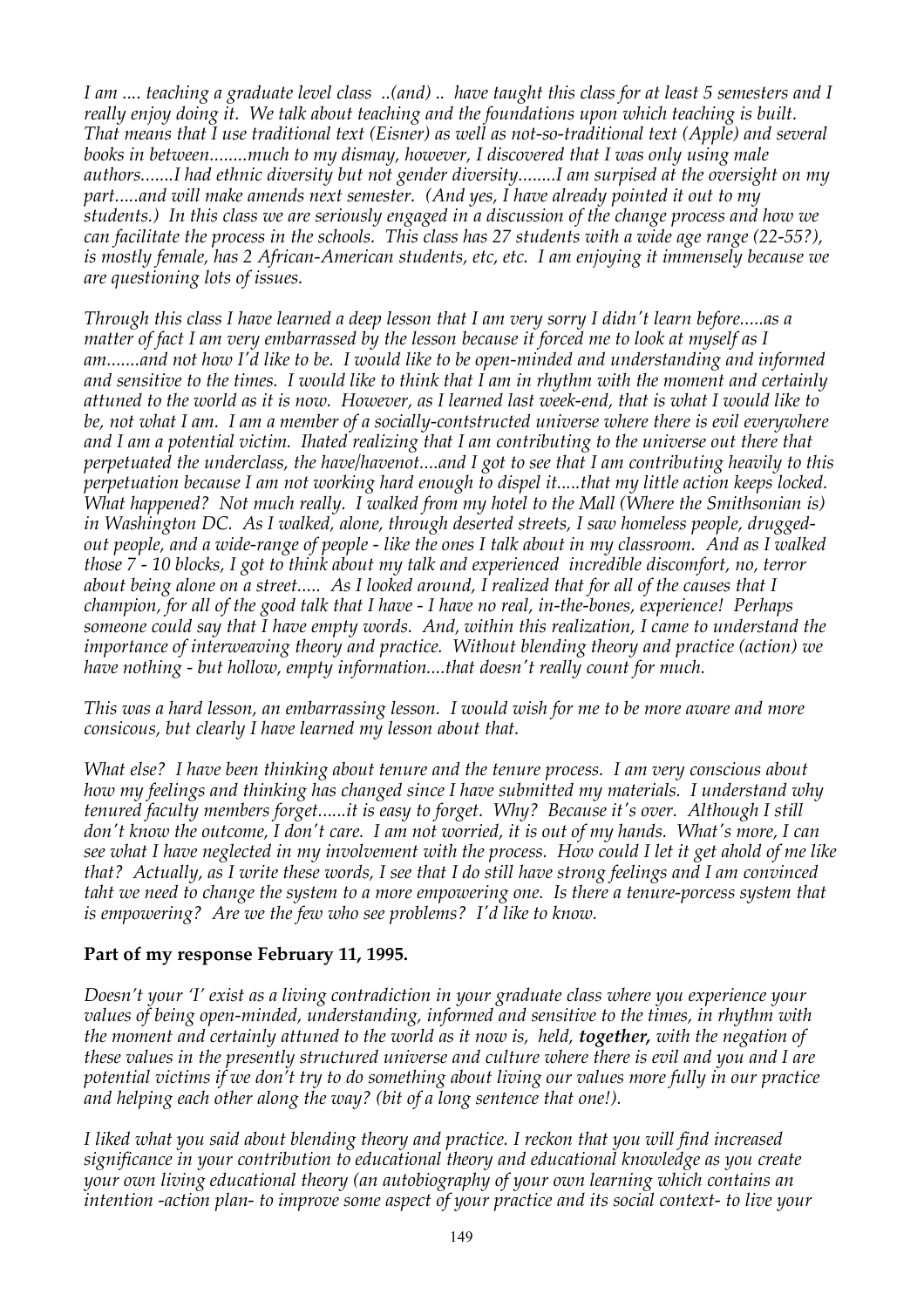I am .... teaching a graduate level class ..(and) .. have taught this class for at least 5 semesters and I *really enjoy doing it. We talk about teaching and the foundations upon which teaching is built. That means that I use traditional text (Eisner) as well as not-so-traditional text (Apple) and several books in between........much to my dismay, however, I discovered that I was only using male authors.......I had ethnic diversity but not gender diversity........I am surpised at the oversight on my part.....and will make amends next semester. (And yes, I have already pointed it out to my students.) In this class we are seriously engaged in a discussion of the change process and how we can facilitate the process in the schools. This class has 27 students with a wide age range (22-55?), is mostly female, has 2 African-American students, etc, etc. I am enjoying it immensely because we are questioning lots of issues.*

*Through this class I have learned a deep lesson that I am very sorry I didn't learn before.....as a matter of fact I am very embarrassed by the lesson because it forced me to look at myself as I am.......and not how I'd like to be. I would like to be open-minded and understanding and informed*  and sensitive to the times. I would like to think that I am in rhythm with the moment and certainly attuned to the world as it is now. However, as I learned last week-end, that is what I would like to *be, not what I am. I am a member of a socially-contstructed universe where there is evil everywhere and I am a potential victim. Ihated realizing that I am contributing to the universe out there that perpetuated the underclass, the have/havenot....and I got to see that I am contributing heavily to this perpetuation because I am not working hard enough to dispel it.....that my little action keeps locked. What happened? Not much really. I walked from my hotel to the Mall (Where the Smithsonian is) in Washington DC. As I walked, alone, through deserted streets, I saw homeless people, drugged*out people, and a wide-range of people - like the ones I talk about in my classroom. And as I walked *those 7 - 10 blocks, I got to think about my talk and experienced incredible discomfort, no, terror about being alone on a street..... As I looked around, I realized that for all of the causes that I champion, for all of the good talk that I have - I have no real, in-the-bones, experience! Perhaps someone could say that I have empty words. And, within this realization, I came to understand the importance of interweaving theory and practice. Without blending theory and practice (action) we have nothing - but hollow, empty information....that doesn't really count for much.*

*This was a hard lesson, an embarrassing lesson. I would wish for me to be more aware and more consicous, but clearly I have learned my lesson about that.*

*What else? I have been thinking about tenure and the tenure process. I am very conscious about how my feelings and thinking has changed since I have submitted my materials. I understand why tenured faculty members forget......it is easy to forget. Why? Because it's over. Although I still* don't know the outcome, I don't care. I am not worried, it is out of my hands. What's more, I can *see what I have neglected in my involvement with the process. How could I let it get ahold of me like that? Actually, as I write these words, I see that I do still have strong feelings and I am convinced taht we need to change the system to a more empowering one. Is there a tenure-porcess system that is empowering? Are we the few who see problems? I'd like to know.*

## **Part of my response February 11, 1995.**

*Doesn't your 'I' exist as a living contradiction in your graduate class where you experience your values of being open-minded, understanding, informed and sensitive to the times, in rhythm with the moment and certainly attuned to the world as it now is, held, together, with the negation of these values in the presently structured universe and culture where there is evil and you and I are potential victims if we don't try to do something about living our values more fully in our practice and helping each other along the way? (bit of a long sentence that one!).*

*I liked what you said about blending theory and practice. I reckon that you will find increased significance in your contribution to educational theory and educational knowledge as you create your own living educational theory (an autobiography of your own learning which contains an intention -action plan- to improve some aspect of your practice and its social context- to live your*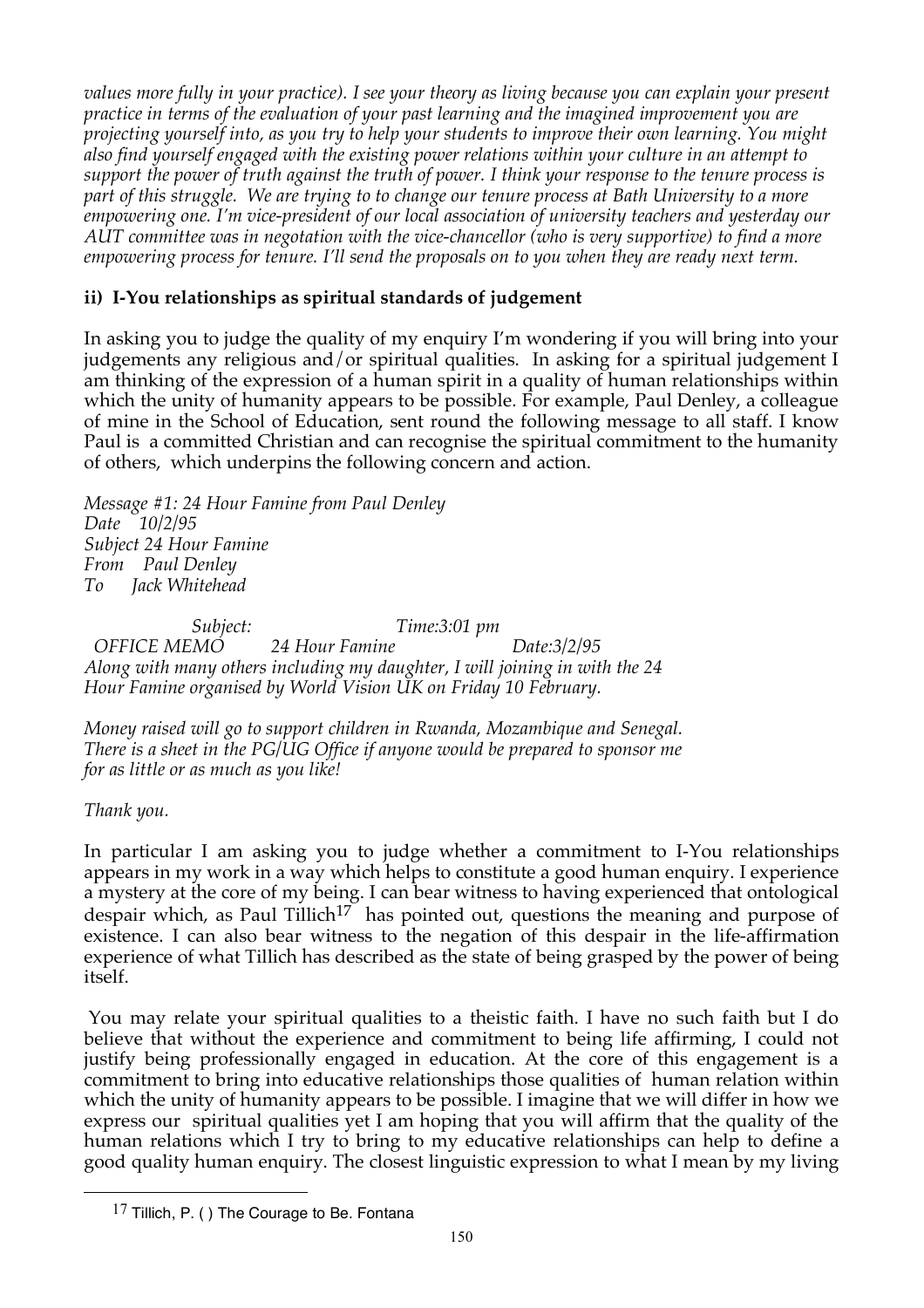*values more fully in your practice). I see your theory as living because you can explain your present practice in terms of the evaluation of your past learning and the imagined improvement you are projecting yourself into, as you try to help your students to improve their own learning. You might also find yourself engaged with the existing power relations within your culture in an attempt to* support the power of truth against the truth of power. I think your response to the tenure process is *part of this struggle. We are trying to to change our tenure process at Bath University to a more empowering one. I'm vice-president of our local association of university teachers and yesterday our AUT committee was in negotation with the vice-chancellor (who is very supportive) to find a more empowering process for tenure. I'll send the proposals on to you when they are ready next term.*

# **ii) I-You relationships as spiritual standards of judgement**

In asking you to judge the quality of my enquiry I'm wondering if you will bring into your judgements any religious and/or spiritual qualities. In asking for a spiritual judgement I am thinking of the expression of a human spirit in a quality of human relationships within which the unity of humanity appears to be possible. For example, Paul Denley, a colleague of mine in the School of Education, sent round the following message to all staff. I know Paul is a committed Christian and can recognise the spiritual commitment to the humanity of others, which underpins the following concern and action.

*Message #1: 24 Hour Famine from Paul Denley Date 10/2/95 Subject 24 Hour Famine From Paul Denley To Jack Whitehead*

*Subject: Time:3:01 pm OFFICE MEMO 24 Hour Famine Date:3/2/95 Along with many others including my daughter, I will joining in with the 24 Hour Famine organised by World Vision UK on Friday 10 February.*

*Money raised will go to support children in Rwanda, Mozambique and Senegal. There is a sheet in the PG/UG Office if anyone would be prepared to sponsor me for as little or as much as you like!*

## *Thank you.*

l

In particular I am asking you to judge whether a commitment to I-You relationships appears in my work in a way which helps to constitute a good human enquiry. I experience a mystery at the core of my being. I can bear witness to having experienced that ontological despair which, as Paul Tillich<sup>17</sup> has pointed out, questions the meaning and purpose of existence. I can also bear witness to the negation of this despair in the life-affirmation experience of what Tillich has described as the state of being grasped by the power of being itself.

You may relate your spiritual qualities to a theistic faith. I have no such faith but I do believe that without the experience and commitment to being life affirming, I could not justify being professionally engaged in education. At the core of this engagement is a commitment to bring into educative relationships those qualities of human relation within which the unity of humanity appears to be possible. I imagine that we will differ in how we express our spiritual qualities yet I am hoping that you will affirm that the quality of the human relations which I try to bring to my educative relationships can help to define a good quality human enquiry. The closest linguistic expression to what I mean by my living

 $17$  Tillich, P. () The Courage to Be. Fontana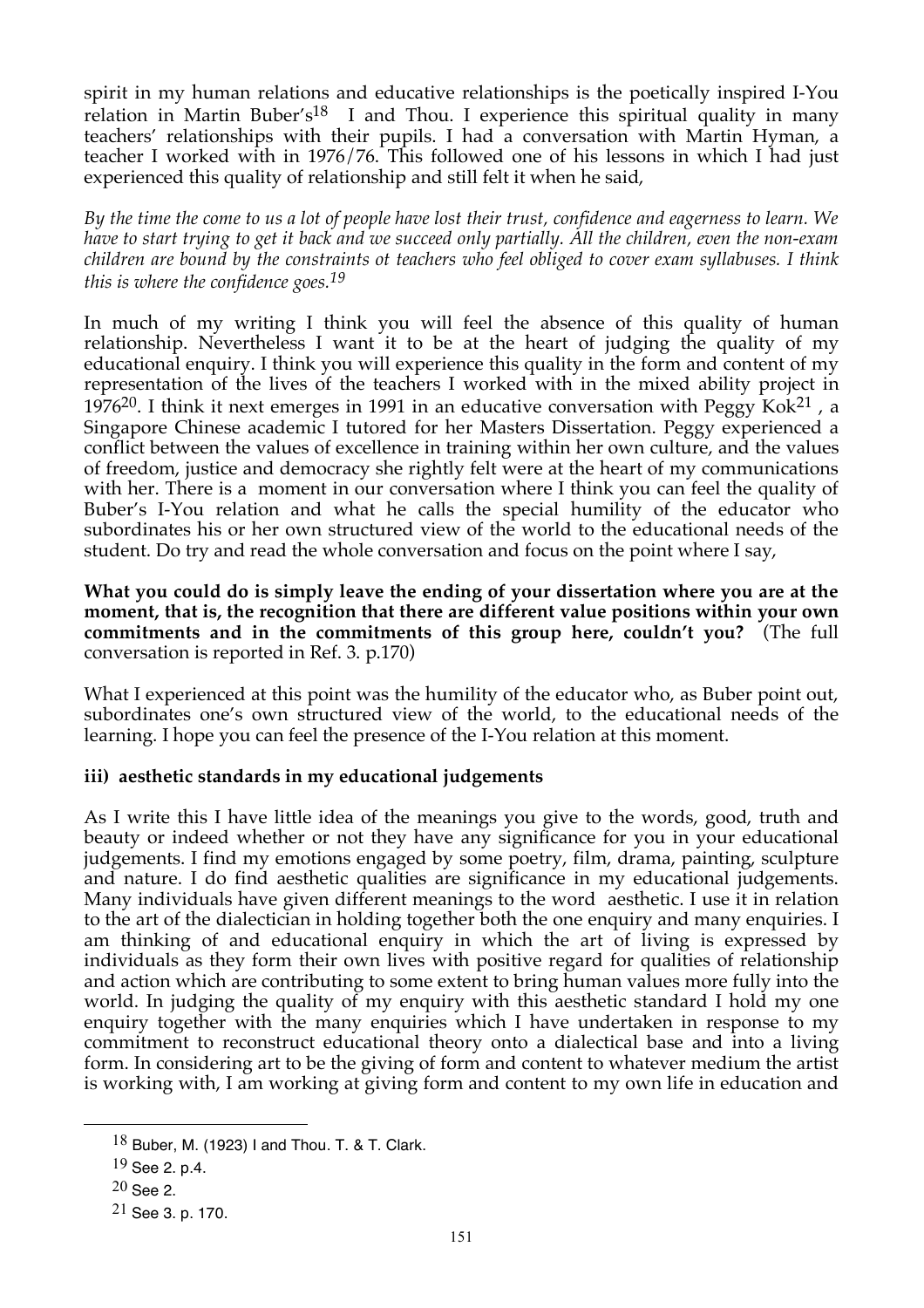spirit in my human relations and educative relationships is the poetically inspired I-You relation in Martin Buber's<sup>18</sup> I and Thou. I experience this spiritual quality in many teachers' relationships with their pupils. I had a conversation with Martin Hyman, a teacher I worked with in 1976/76. This followed one of his lessons in which I had just experienced this quality of relationship and still felt it when he said,

By the time the come to us a lot of people have lost their trust, confidence and eagerness to learn. We *have to start trying to get it back and we succeed only partially. All the children, even the non-exam children are bound by the constraints ot teachers who feel obliged to cover exam syllabuses. I think this is where the confidence goes.19*

In much of my writing I think you will feel the absence of this quality of human relationship. Nevertheless I want it to be at the heart of judging the quality of my educational enquiry. I think you will experience this quality in the form and content of my representation of the lives of the teachers I worked with in the mixed ability project in 1976<sup>20</sup>. I think it next emerges in 1991 in an educative conversation with Peggy Kok<sup>21</sup>, a Singapore Chinese academic I tutored for her Masters Dissertation. Peggy experienced a conflict between the values of excellence in training within her own culture, and the values of freedom, justice and democracy she rightly felt were at the heart of my communications with her. There is a moment in our conversation where I think you can feel the quality of Buber's I-You relation and what he calls the special humility of the educator who subordinates his or her own structured view of the world to the educational needs of the student. Do try and read the whole conversation and focus on the point where I say,

**What you could do is simply leave the ending of your dissertation where you are at the moment, that is, the recognition that there are different value positions within your own commitments and in the commitments of this group here, couldn't you?** (The full conversation is reported in Ref. 3. p.170)

What I experienced at this point was the humility of the educator who, as Buber point out, subordinates one's own structured view of the world, to the educational needs of the learning. I hope you can feel the presence of the I-You relation at this moment.

## **iii) aesthetic standards in my educational judgements**

As I write this I have little idea of the meanings you give to the words, good, truth and beauty or indeed whether or not they have any significance for you in your educational judgements. I find my emotions engaged by some poetry, film, drama, painting, sculpture and nature. I do find aesthetic qualities are significance in my educational judgements. Many individuals have given different meanings to the word aesthetic. I use it in relation to the art of the dialectician in holding together both the one enquiry and many enquiries. I am thinking of and educational enquiry in which the art of living is expressed by individuals as they form their own lives with positive regard for qualities of relationship and action which are contributing to some extent to bring human values more fully into the world. In judging the quality of my enquiry with this aesthetic standard I hold my one enquiry together with the many enquiries which I have undertaken in response to my commitment to reconstruct educational theory onto a dialectical base and into a living form. In considering art to be the giving of form and content to whatever medium the artist is working with, I am working at giving form and content to my own life in education and

 $18$  Buber, M. (1923) I and Thou. T. & T. Clark.

 $19$  See 2, p.4.

 $20$  See 2.

<sup>21</sup> See 3. p. 170.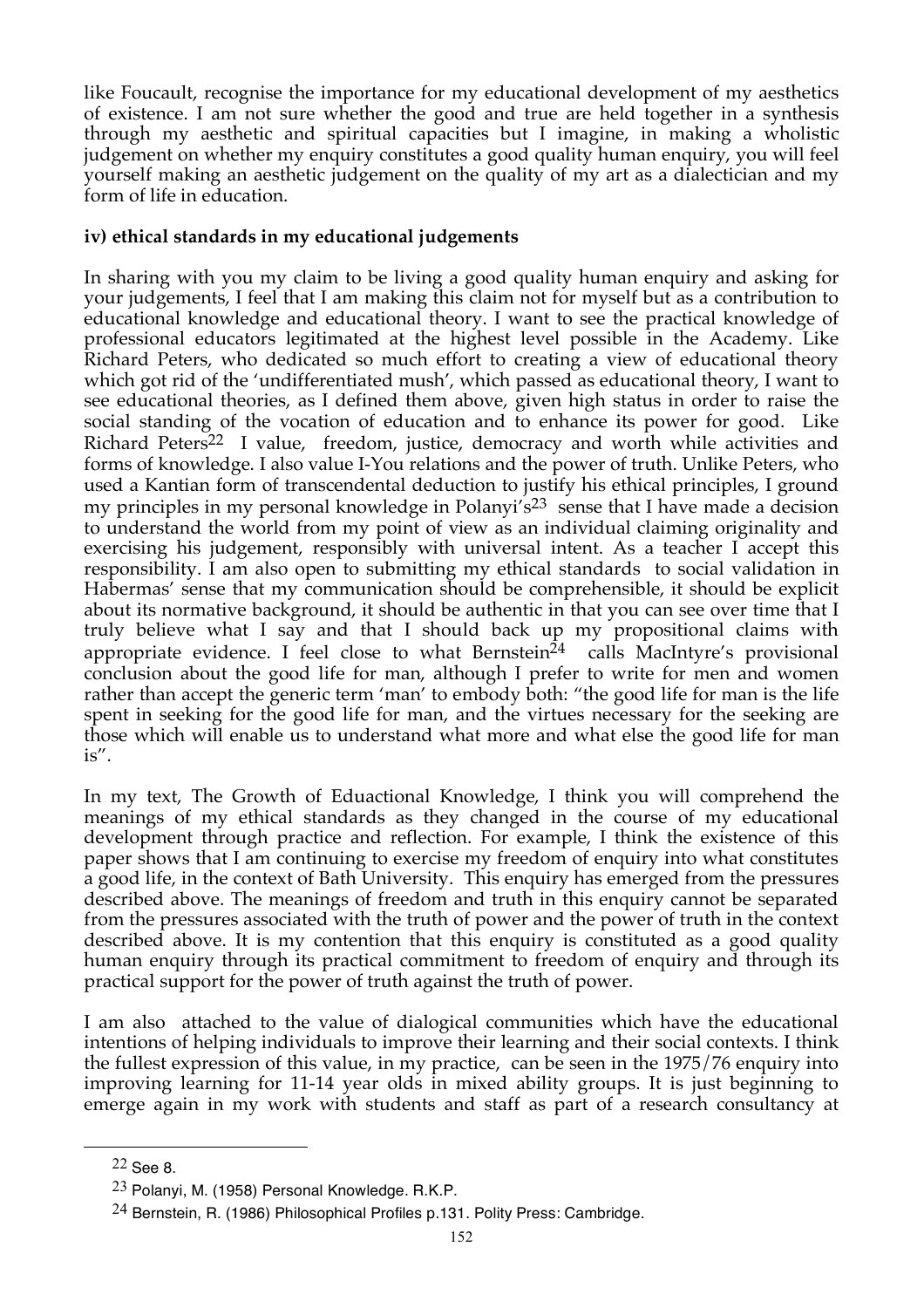like Foucault, recognise the importance for my educational development of my aesthetics of existence. I am not sure whether the good and true are held together in a synthesis through my aesthetic and spiritual capacities but I imagine, in making a wholistic judgement on whether my enquiry constitutes a good quality human enquiry, you will feel yourself making an aesthetic judgement on the quality of my art as a dialectician and my form of life in education.

## **iv) ethical standards in my educational judgements**

In sharing with you my claim to be living a good quality human enquiry and asking for your judgements, I feel that I am making this claim not for myself but as a contribution to educational knowledge and educational theory. I want to see the practical knowledge of professional educators legitimated at the highest level possible in the Academy. Like Richard Peters, who dedicated so much effort to creating a view of educational theory which got rid of the 'undifferentiated mush', which passed as educational theory, I want to see educational theories, as I defined them above, given high status in order to raise the social standing of the vocation of education and to enhance its power for good. Like Richard Peters<sup>22</sup> I value, freedom, justice, democracy and worth while activities and forms of knowledge. I also value I-You relations and the power of truth. Unlike Peters, who used a Kantian form of transcendental deduction to justify his ethical principles, I ground my principles in my personal knowledge in Polanyi's<sup>23</sup> sense that I have made a decision to understand the world from my point of view as an individual claiming originality and exercising his judgement, responsibly with universal intent. As a teacher I accept this responsibility. I am also open to submitting my ethical standards to social validation in Habermas' sense that my communication should be comprehensible, it should be explicit about its normative background, it should be authentic in that you can see over time that I truly believe what I say and that I should back up my propositional claims with appropriate evidence. I feel close to what Bernstein<sup>24</sup> calls MacIntyre's provisional conclusion about the good life for man, although I prefer to write for men and women rather than accept the generic term 'man' to embody both: "the good life for man is the life spent in seeking for the good life for man, and the virtues necessary for the seeking are those which will enable us to understand what more and what else the good life for man is".

In my text, The Growth of Eduactional Knowledge, I think you will comprehend the meanings of my ethical standards as they changed in the course of my educational development through practice and reflection. For example, I think the existence of this paper shows that I am continuing to exercise my freedom of enquiry into what constitutes a good life, in the context of Bath University. This enquiry has emerged from the pressures described above. The meanings of freedom and truth in this enquiry cannot be separated from the pressures associated with the truth of power and the power of truth in the context described above. It is my contention that this enquiry is constituted as a good quality human enquiry through its practical commitment to freedom of enquiry and through its practical support for the power of truth against the truth of power.

I am also attached to the value of dialogical communities which have the educational intentions of helping individuals to improve their learning and their social contexts. I think the fullest expression of this value, in my practice, can be seen in the 1975/76 enquiry into improving learning for 11-14 year olds in mixed ability groups. It is just beginning to emerge again in my work with students and staff as part of a research consultancy at

<sup>22</sup> See 8.

<sup>23</sup> Polanyi, M. (1958) Personal Knowledge. R.K.P.

 $24$  Bernstein, R. (1986) Philosophical Profiles p.131. Polity Press: Cambridge.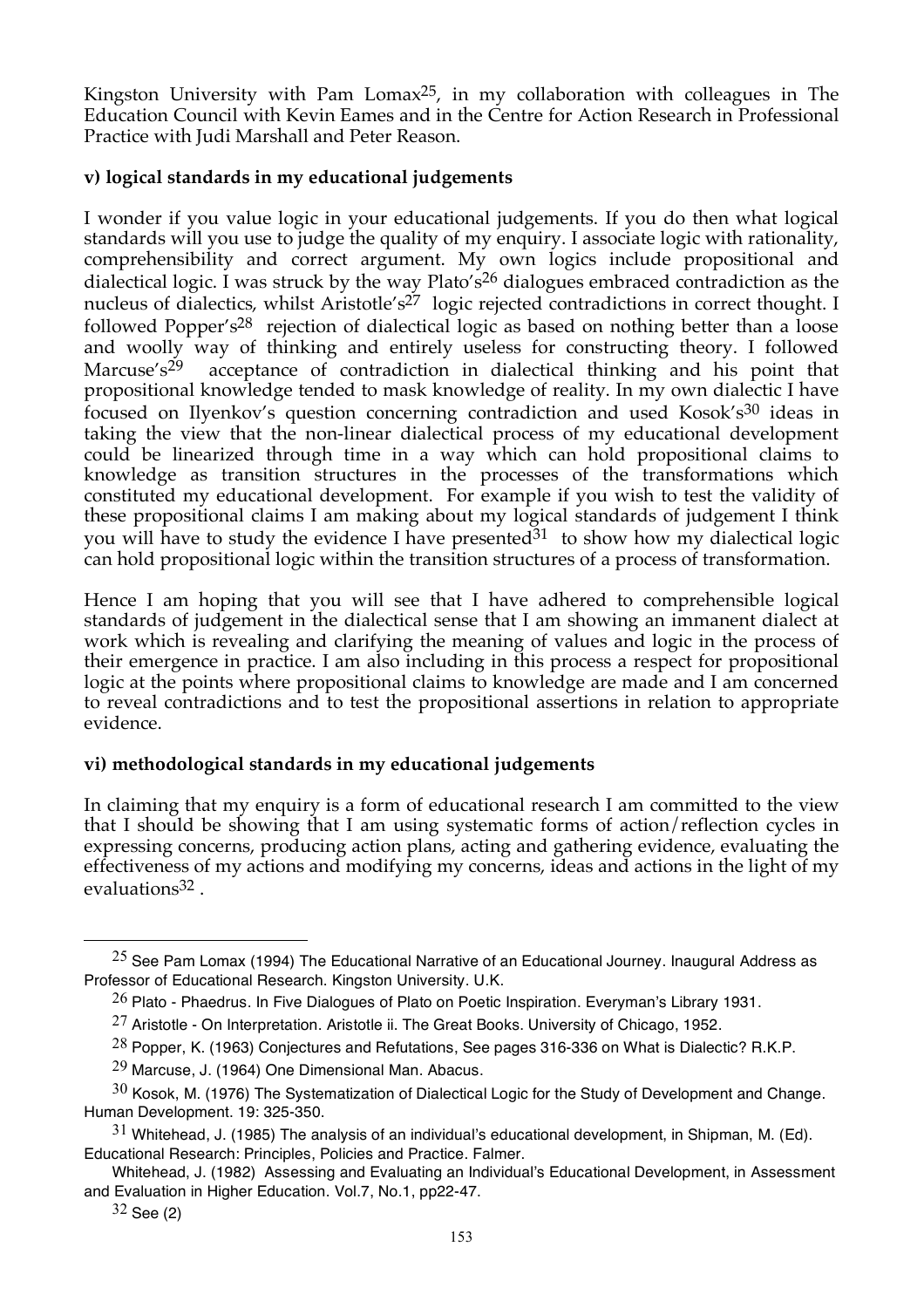Kingston University with Pam Lomax<sup>25</sup>, in my collaboration with colleagues in The Education Council with Kevin Eames and in the Centre for Action Research in Professional Practice with Judi Marshall and Peter Reason.

# **v) logical standards in my educational judgements**

I wonder if you value logic in your educational judgements. If you do then what logical standards will you use to judge the quality of my enquiry. I associate logic with rationality, comprehensibility and correct argument. My own logics include propositional and dialectical logic. I was struck by the way Plato's26 dialogues embraced contradiction as the nucleus of dialectics, whilst Aristotle's<sup>27</sup> logic rejected contradictions in correct thought. I followed Popper's<sup>28</sup> rejection of dialectical logic as based on nothing better than a loose and woolly way of thinking and entirely useless for constructing theory. I followed Marcuse's<sup>29</sup> acceptance of contradiction in dialectical thinking and his point that acceptance of contradiction in dialectical thinking and his point that propositional knowledge tended to mask knowledge of reality. In my own dialectic I have focused on Ilyenkov's question concerning contradiction and used Kosok's<sup>30</sup> ideas in taking the view that the non-linear dialectical process of my educational development could be linearized through time in a way which can hold propositional claims to knowledge as transition structures in the processes of the transformations which constituted my educational development. For example if you wish to test the validity of these propositional claims I am making about my logical standards of judgement I think you will have to study the evidence I have presented  $\frac{31}{10}$  to show how my dialectical logic can hold propositional logic within the transition structures of a process of transformation.

Hence I am hoping that you will see that I have adhered to comprehensible logical standards of judgement in the dialectical sense that I am showing an immanent dialect at work which is revealing and clarifying the meaning of values and logic in the process of their emergence in practice. I am also including in this process a respect for propositional logic at the points where propositional claims to knowledge are made and I am concerned to reveal contradictions and to test the propositional assertions in relation to appropriate evidence.

# **vi) methodological standards in my educational judgements**

In claiming that my enquiry is a form of educational research I am committed to the view that I should be showing that I am using systematic forms of action/reflection cycles in expressing concerns, producing action plans, acting and gathering evidence, evaluating the effectiveness of my actions and modifying my concerns, ideas and actions in the light of my evaluations<sup>32</sup>.

 $25$  See Pam Lomax (1994) The Educational Narrative of an Educational Journey. Inaugural Address as Professor of Educational Research. Kingston University. U.K.

 $26$  Plato - Phaedrus. In Five Dialogues of Plato on Poetic Inspiration. Everyman's Library 1931.

 $27$  Aristotle - On Interpretation. Aristotle ii. The Great Books. University of Chicago, 1952.

 $28$  Popper, K. (1963) Conjectures and Refutations, See pages 316-336 on What is Dialectic? R.K.P.

<sup>29</sup> Marcuse, J. (1964) One Dimensional Man. Abacus.

 $30$  Kosok, M. (1976) The Systematization of Dialectical Logic for the Study of Development and Change. Human Development. 19: 325-350.

 $31$  Whitehead, J. (1985) The analysis of an individual's educational development, in Shipman, M. (Ed). Educational Research: Principles, Policies and Practice. Falmer.

Whitehead, J. (1982) Assessing and Evaluating an Individual's Educational Development, in Assessment and Evaluation in Higher Education. Vol.7, No.1, pp22-47.

<sup>32</sup> See (2)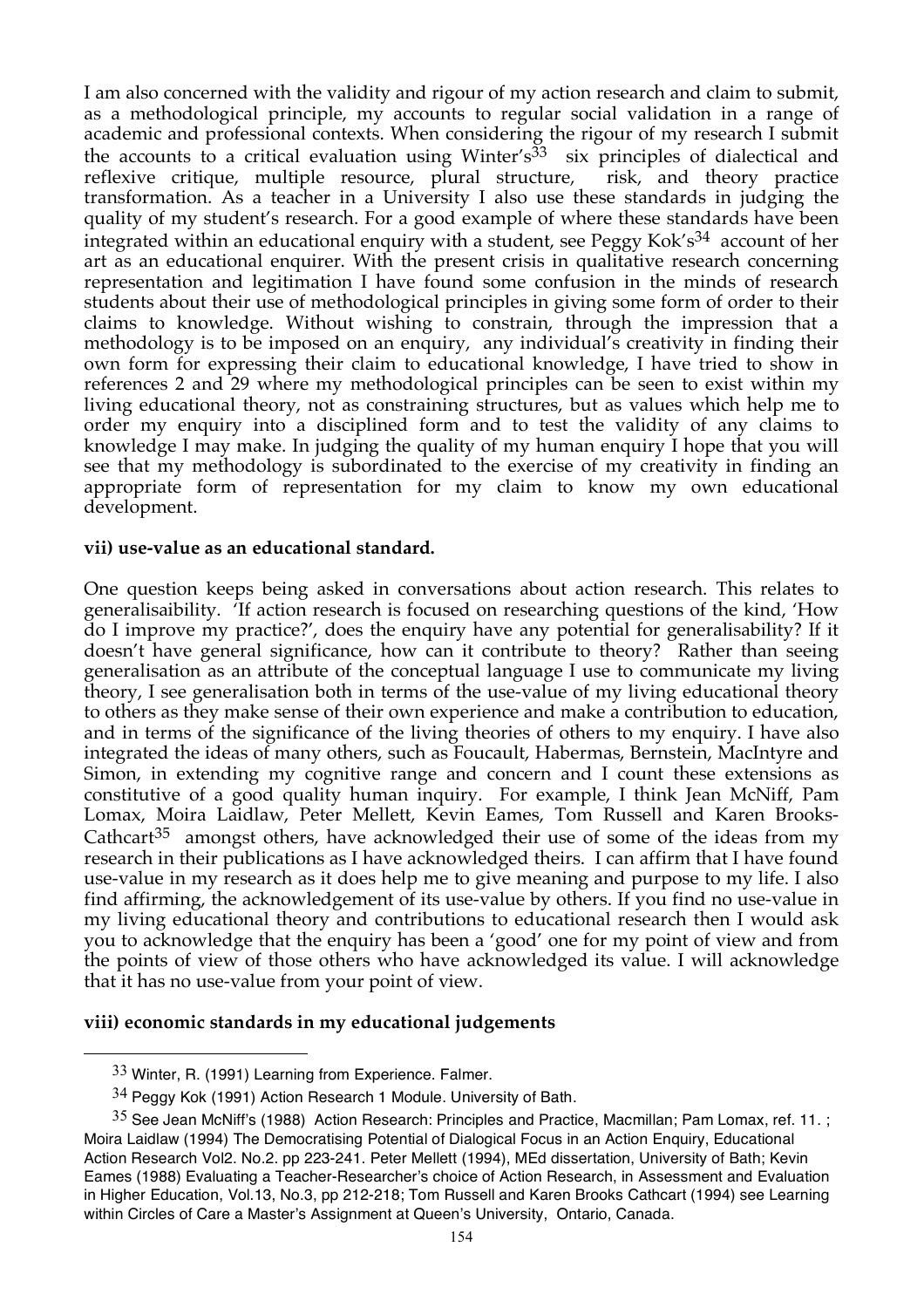I am also concerned with the validity and rigour of my action research and claim to submit, as a methodological principle, my accounts to regular social validation in a range of academic and professional contexts. When considering the rigour of my research I submit the accounts to a critical evaluation using Winter's $33$  six principles of dialectical and reflexive critique, multiple resource, plural structure, risk, and theory practice transformation. As a teacher in a University I also use these standards in judging the quality of my student's research. For a good example of where these standards have been integrated within an educational enquiry with a student, see Peggy Kok's<sup>34</sup> account of her art as an educational enquirer. With the present crisis in qualitative research concerning representation and legitimation I have found some confusion in the minds of research students about their use of methodological principles in giving some form of order to their claims to knowledge. Without wishing to constrain, through the impression that a methodology is to be imposed on an enquiry, any individual's creativity in finding their own form for expressing their claim to educational knowledge, I have tried to show in references 2 and 29 where my methodological principles can be seen to exist within my living educational theory, not as constraining structures, but as values which help me to order my enquiry into a disciplined form and to test the validity of any claims to knowledge I may make. In judging the quality of my human enquiry I hope that you will see that my methodology is subordinated to the exercise of my creativity in finding an appropriate form of representation for my claim to know my own educational development.

### **vii) use-value as an educational standard.**

One question keeps being asked in conversations about action research. This relates to generalisaibility. 'If action research is focused on researching questions of the kind, 'How do I improve my practice?', does the enquiry have any potential for generalisability? If it doesn't have general significance, how can it contribute to theory? Rather than seeing generalisation as an attribute of the conceptual language I use to communicate my living theory, I see generalisation both in terms of the use-value of my living educational theory to others as they make sense of their own experience and make a contribution to education, and in terms of the significance of the living theories of others to my enquiry. I have also integrated the ideas of many others, such as Foucault, Habermas, Bernstein, MacIntyre and Simon, in extending my cognitive range and concern and I count these extensions as constitutive of a good quality human inquiry. For example, I think Jean McNiff, Pam Lomax, Moira Laidlaw, Peter Mellett, Kevin Eames, Tom Russell and Karen Brooks-Cathcart<sup>35</sup> amongst others, have acknowledged their use of some of the ideas from my research in their publications as I have acknowledged theirs. I can affirm that I have found use-value in my research as it does help me to give meaning and purpose to my life. I also find affirming, the acknowledgement of its use-value by others. If you find no use-value in my living educational theory and contributions to educational research then I would ask you to acknowledge that the enquiry has been a 'good' one for my point of view and from the points of view of those others who have acknowledged its value. I will acknowledge that it has no use-value from your point of view.

### **viii) economic standards in my educational judgements**

<sup>33</sup> Winter, R. (1991) Learning from Experience. Falmer.

 $34$  Peggy Kok (1991) Action Research 1 Module. University of Bath.

 $35$  See Jean McNiff's (1988) Action Research: Principles and Practice, Macmillan; Pam Lomax, ref. 11.; Moira Laidlaw (1994) The Democratising Potential of Dialogical Focus in an Action Enquiry, Educational Action Research Vol2. No.2. pp 223-241. Peter Mellett (1994), MEd dissertation, University of Bath; Kevin Eames (1988) Evaluating a Teacher-Researcher's choice of Action Research, in Assessment and Evaluation in Higher Education, Vol.13, No.3, pp 212-218; Tom Russell and Karen Brooks Cathcart (1994) see Learning within Circles of Care a Master's Assignment at Queen's University, Ontario, Canada.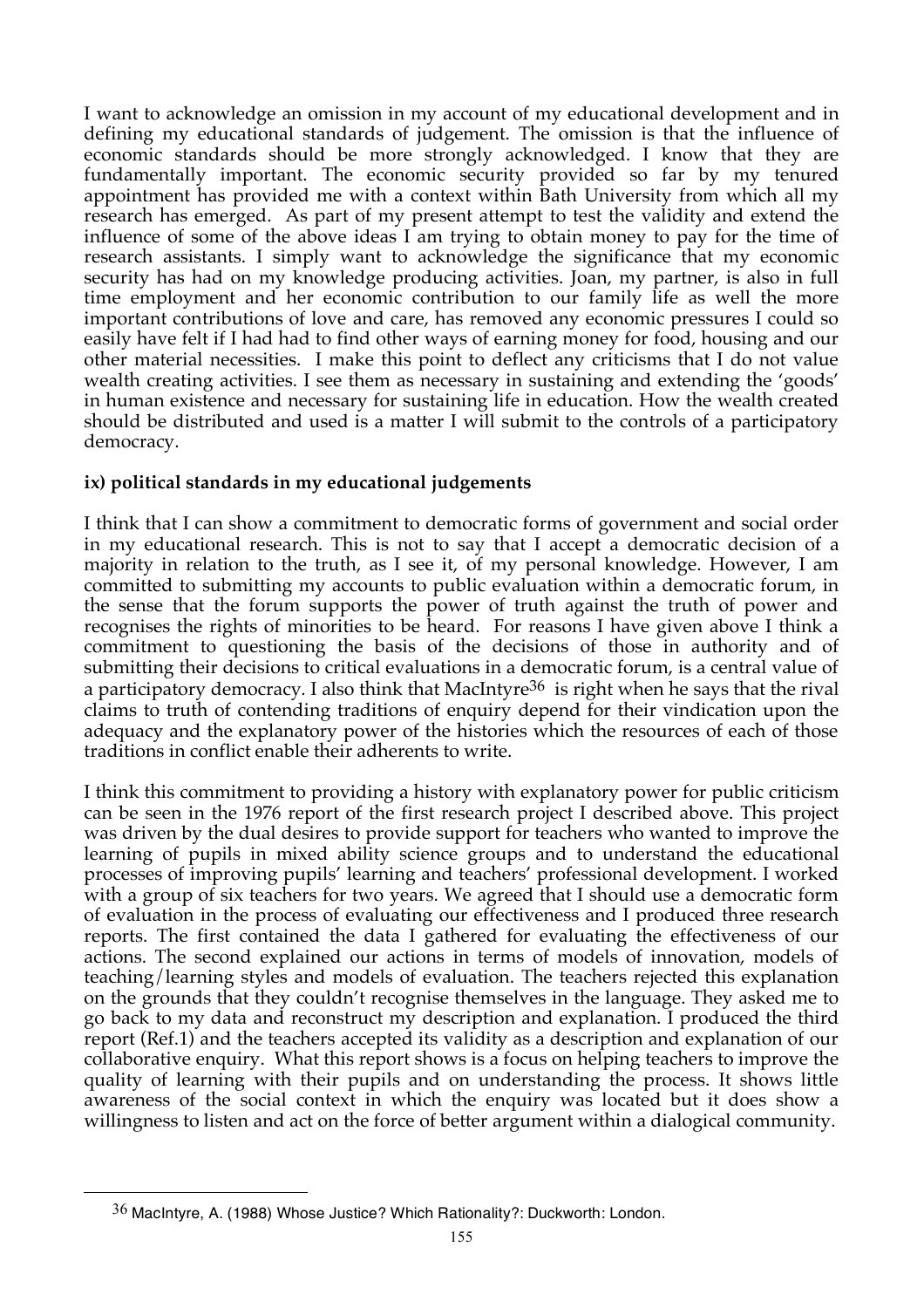I want to acknowledge an omission in my account of my educational development and in defining my educational standards of judgement. The omission is that the influence of economic standards should be more strongly acknowledged. I know that they are fundamentally important. The economic security provided so far by my tenured appointment has provided me with a context within Bath University from which all my research has emerged. As part of my present attempt to test the validity and extend the influence of some of the above ideas I am trying to obtain money to pay for the time of research assistants. I simply want to acknowledge the significance that my economic security has had on my knowledge producing activities. Joan, my partner, is also in full time employment and her economic contribution to our family life as well the more important contributions of love and care, has removed any economic pressures I could so easily have felt if I had had to find other ways of earning money for food, housing and our other material necessities. I make this point to deflect any criticisms that I do not value wealth creating activities. I see them as necessary in sustaining and extending the 'goods' in human existence and necessary for sustaining life in education. How the wealth created should be distributed and used is a matter I will submit to the controls of a participatory democracy.

# **ix) political standards in my educational judgements**

I think that I can show a commitment to democratic forms of government and social order in my educational research. This is not to say that I accept a democratic decision of a majority in relation to the truth, as I see it, of my personal knowledge. However, I am committed to submitting my accounts to public evaluation within a democratic forum, in the sense that the forum supports the power of truth against the truth of power and recognises the rights of minorities to be heard. For reasons I have given above I think a commitment to questioning the basis of the decisions of those in authority and of submitting their decisions to critical evaluations in a democratic forum, is a central value of a participatory democracy. I also think that MacIntyre<sup>36</sup> is right when he says that the rival claims to truth of contending traditions of enquiry depend for their vindication upon the adequacy and the explanatory power of the histories which the resources of each of those traditions in conflict enable their adherents to write.

I think this commitment to providing a history with explanatory power for public criticism can be seen in the 1976 report of the first research project I described above. This project was driven by the dual desires to provide support for teachers who wanted to improve the learning of pupils in mixed ability science groups and to understand the educational processes of improving pupils' learning and teachers' professional development. I worked with a group of six teachers for two years. We agreed that I should use a democratic form of evaluation in the process of evaluating our effectiveness and I produced three research reports. The first contained the data I gathered for evaluating the effectiveness of our actions. The second explained our actions in terms of models of innovation, models of teaching/learning styles and models of evaluation. The teachers rejected this explanation on the grounds that they couldn't recognise themselves in the language. They asked me to go back to my data and reconstruct my description and explanation. I produced the third report (Ref.1) and the teachers accepted its validity as a description and explanation of our collaborative enquiry. What this report shows is a focus on helping teachers to improve the quality of learning with their pupils and on understanding the process. It shows little awareness of the social context in which the enquiry was located but it does show a willingness to listen and act on the force of better argument within a dialogical community.

<sup>36</sup> MacIntyre, A. (1988) Whose Justice? Which Rationality?: Duckworth: London.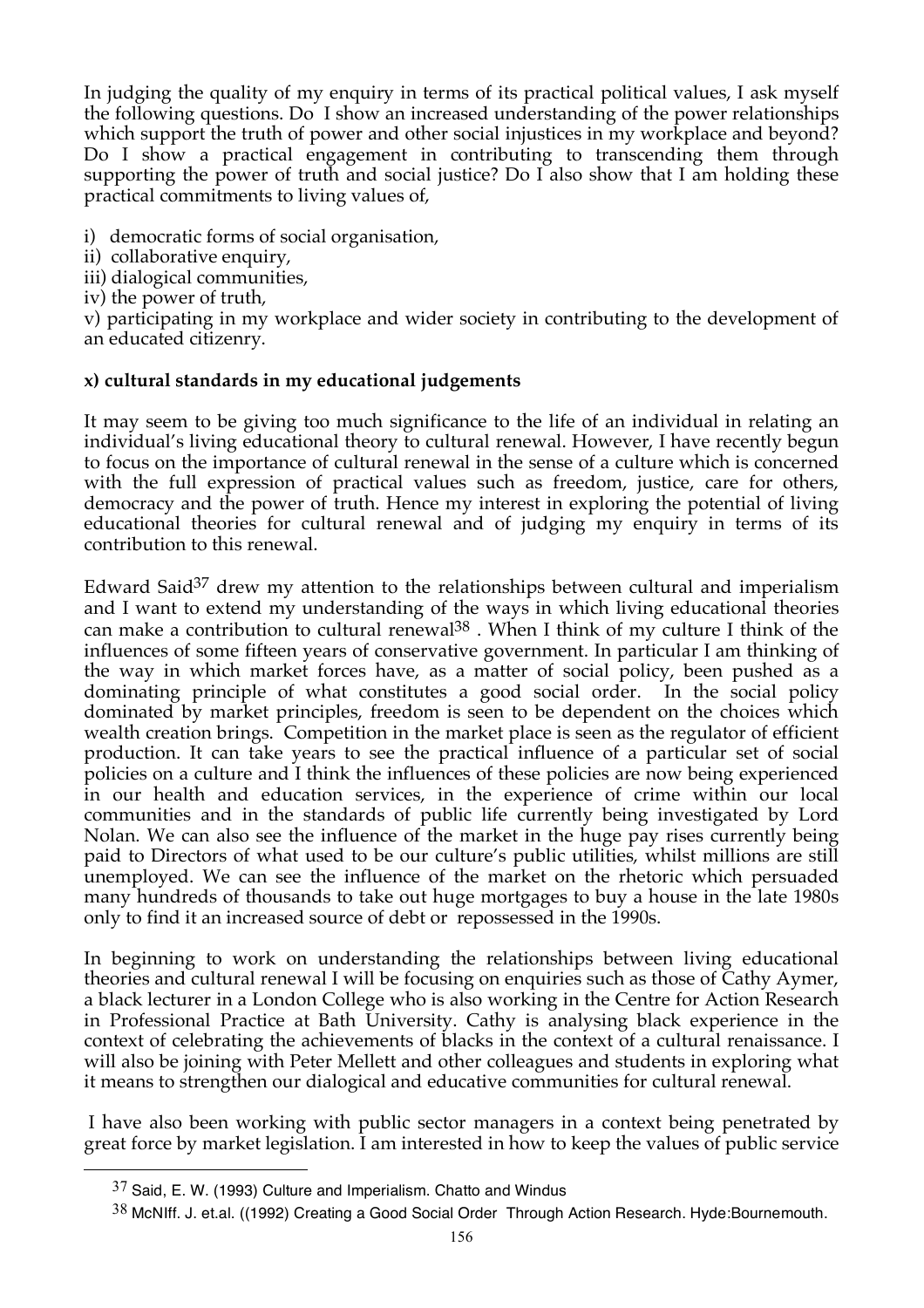In judging the quality of my enquiry in terms of its practical political values, I ask myself the following questions. Do I show an increased understanding of the power relationships which support the truth of power and other social injustices in my workplace and beyond? Do I show a practical engagement in contributing to transcending them through supporting the power of truth and social justice? Do I also show that I am holding these practical commitments to living values of,

- i) democratic forms of social organisation,
- ii) collaborative enquiry,
- iii) dialogical communities,
- iv) the power of truth,

v) participating in my workplace and wider society in contributing to the development of an educated citizenry.

## **x) cultural standards in my educational judgements**

It may seem to be giving too much significance to the life of an individual in relating an individual's living educational theory to cultural renewal. However, I have recently begun to focus on the importance of cultural renewal in the sense of a culture which is concerned with the full expression of practical values such as freedom, justice, care for others, democracy and the power of truth. Hence my interest in exploring the potential of living educational theories for cultural renewal and of judging my enquiry in terms of its contribution to this renewal.

Edward Said37 drew my attention to the relationships between cultural and imperialism and I want to extend my understanding of the ways in which living educational theories can make a contribution to cultural renewal38 . When I think of my culture I think of the influences of some fifteen years of conservative government. In particular I am thinking of the way in which market forces have, as a matter of social policy, been pushed as a dominating principle of what constitutes a good social order. In the social policy dominated by market principles, freedom is seen to be dependent on the choices which wealth creation brings. Competition in the market place is seen as the regulator of efficient production. It can take years to see the practical influence of a particular set of social policies on a culture and I think the influences of these policies are now being experienced in our health and education services, in the experience of crime within our local communities and in the standards of public life currently being investigated by Lord Nolan. We can also see the influence of the market in the huge pay rises currently being paid to Directors of what used to be our culture's public utilities, whilst millions are still unemployed. We can see the influence of the market on the rhetoric which persuaded many hundreds of thousands to take out huge mortgages to buy a house in the late 1980s only to find it an increased source of debt or repossessed in the 1990s.

In beginning to work on understanding the relationships between living educational theories and cultural renewal I will be focusing on enquiries such as those of Cathy Aymer, a black lecturer in a London College who is also working in the Centre for Action Research in Professional Practice at Bath University. Cathy is analysing black experience in the context of celebrating the achievements of blacks in the context of a cultural renaissance. I will also be joining with Peter Mellett and other colleagues and students in exploring what it means to strengthen our dialogical and educative communities for cultural renewal.

I have also been working with public sector managers in a context being penetrated by great force by market legislation. I am interested in how to keep the values of public service

<sup>37</sup> Said, E. W. (1993) Culture and Imperialism. Chatto and Windus

 $38$  McNIff. J. et.al. ((1992) Creating a Good Social Order Through Action Research. Hyde: Bournemouth.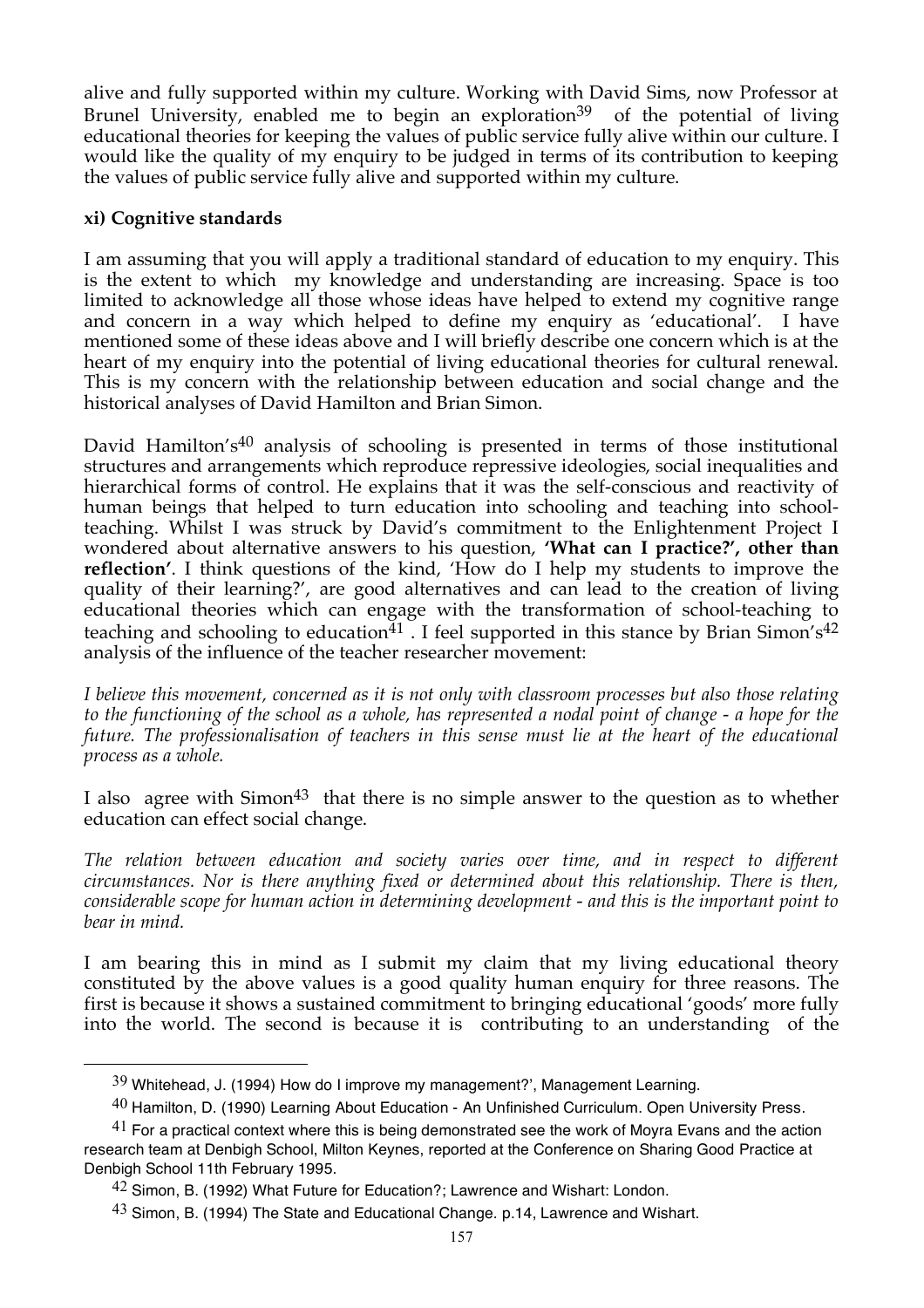alive and fully supported within my culture. Working with David Sims, now Professor at Brunel University, enabled me to begin an exploration<sup>39</sup> of the potential of living educational theories for keeping the values of public service fully alive within our culture. I would like the quality of my enquiry to be judged in terms of its contribution to keeping the values of public service fully alive and supported within my culture.

## **xi) Cognitive standards**

l

I am assuming that you will apply a traditional standard of education to my enquiry. This is the extent to which my knowledge and understanding are increasing. Space is too limited to acknowledge all those whose ideas have helped to extend my cognitive range and concern in a way which helped to define my enquiry as 'educational'. I have mentioned some of these ideas above and I will briefly describe one concern which is at the heart of my enquiry into the potential of living educational theories for cultural renewal. This is my concern with the relationship between education and social change and the historical analyses of David Hamilton and Brian Simon.

David Hamilton's<sup>40</sup> analysis of schooling is presented in terms of those institutional structures and arrangements which reproduce repressive ideologies, social inequalities and hierarchical forms of control. He explains that it was the self-conscious and reactivity of human beings that helped to turn education into schooling and teaching into schoolteaching. Whilst I was struck by David's commitment to the Enlightenment Project I wondered about alternative answers to his question, **'What can I practice?', other than reflection'**. I think questions of the kind, 'How do I help my students to improve the quality of their learning?', are good alternatives and can lead to the creation of living educational theories which can engage with the transformation of school-teaching to teaching and schooling to education<sup>41</sup>. I feel supported in this stance by Brian Simon's<sup>42</sup> analysis of the influence of the teacher researcher movement:

*I believe this movement, concerned as it is not only with classroom processes but also those relating*  to the functioning of the school as a whole, has represented a nodal point of change - a hope for the *future. The professionalisation of teachers in this sense must lie at the heart of the educational process as a whole.*

I also agree with Simon<sup>43</sup> that there is no simple answer to the question as to whether education can effect social change.

*The relation between education and society varies over time, and in respect to different circumstances. Nor is there anything fixed or determined about this relationship. There is then, considerable scope for human action in determining development - and this is the important point to bear in mind.*

I am bearing this in mind as I submit my claim that my living educational theory constituted by the above values is a good quality human enquiry for three reasons. The first is because it shows a sustained commitment to bringing educational 'goods' more fully into the world. The second is because it is contributing to an understanding of the

 $39$  Whitehead, J. (1994) How do I improve my management?', Management Learning.

 $40$  Hamilton, D. (1990) Learning About Education - An Unfinished Curriculum. Open University Press.

 $41$  For a practical context where this is being demonstrated see the work of Moyra Evans and the action research team at Denbigh School, Milton Keynes, reported at the Conference on Sharing Good Practice at Denbigh School 11th February 1995.

<sup>42</sup> Simon, B. (1992) What Future for Education?; Lawrence and Wishart: London.

 $43$  Simon, B. (1994) The State and Educational Change. p.14, Lawrence and Wishart.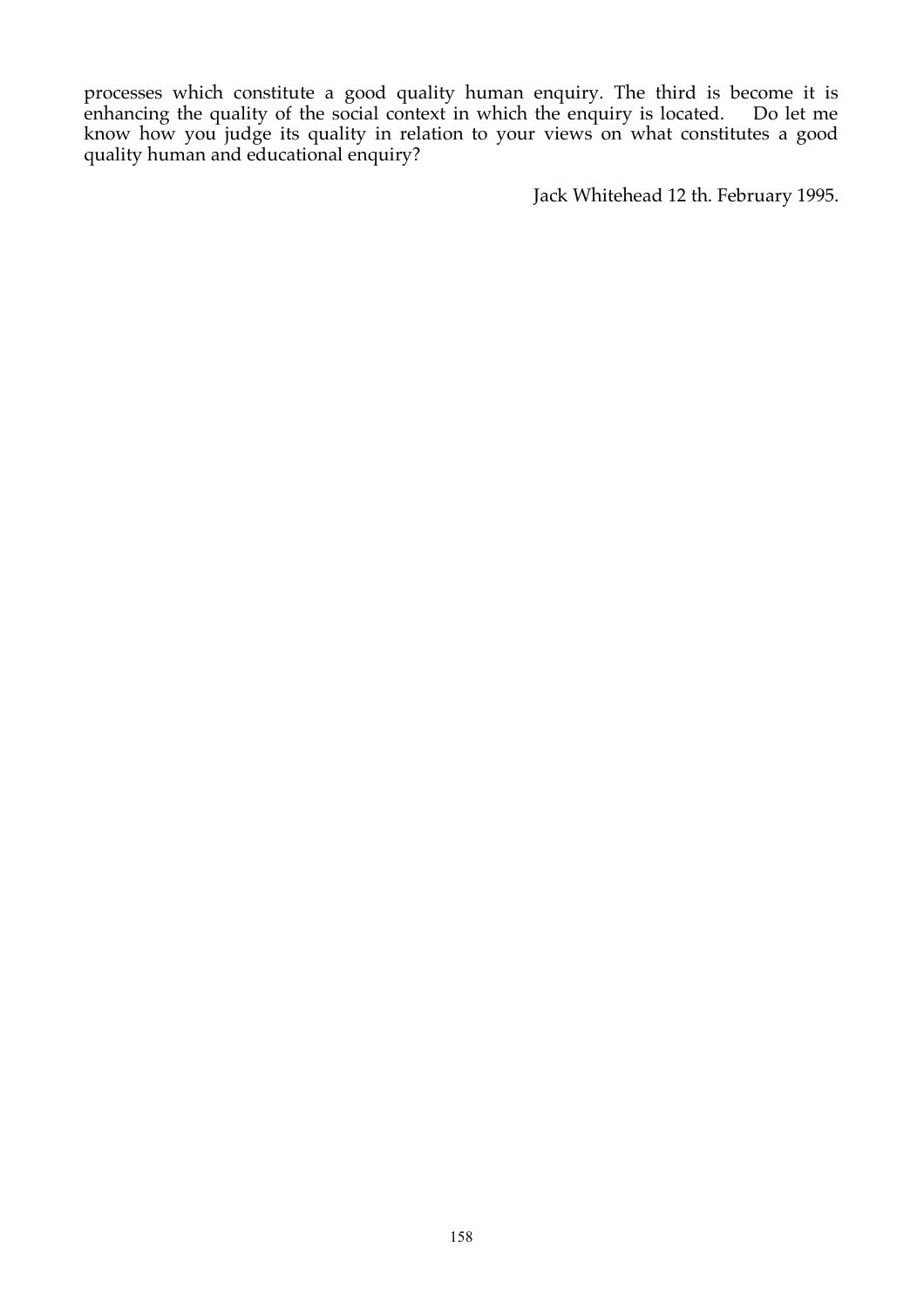processes which constitute a good quality human enquiry. The third is become it is enhancing the quality of the social context in which the enquiry is located. Do let me know how you judge its quality in relation to your views on what constitutes a good quality human and educational enquiry?

Jack Whitehead 12 th. February 1995.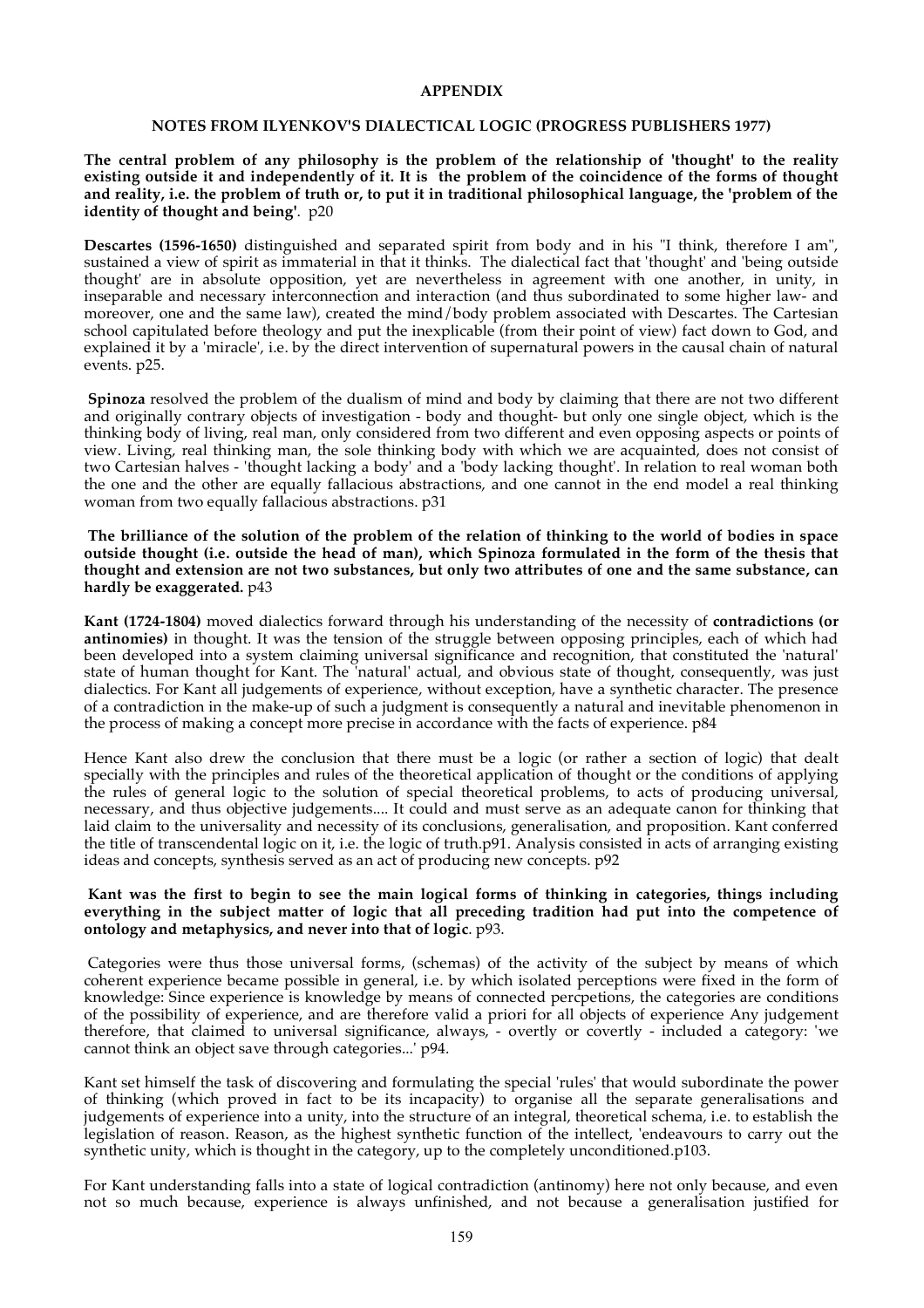#### **APPENDIX**

#### **NOTES FROM ILYENKOV'S DIALECTICAL LOGIC (PROGRESS PUBLISHERS 1977)**

**The central problem of any philosophy is the problem of the relationship of 'thought' to the reality** existing outside it and independently of it. It is the problem of the coincidence of the forms of thought and reality, i.e. the problem of truth or, to put it in traditional philosophical language, the 'problem of the **identity of thought and being'**. p20

**Descartes (1596-1650)** distinguished and separated spirit from body and in his "I think, therefore I am", sustained a view of spirit as immaterial in that it thinks. The dialectical fact that 'thought' and 'being outside thought' are in absolute opposition, yet are nevertheless in agreement with one another, in unity, in inseparable and necessary interconnection and interaction (and thus subordinated to some higher law- and moreover, one and the same law), created the mind/body problem associated with Descartes. The Cartesian school capitulated before theology and put the inexplicable (from their point of view) fact down to God, and explained it by a 'miracle', i.e. by the direct intervention of supernatural powers in the causal chain of natural events. p25.

**Spinoza** resolved the problem of the dualism of mind and body by claiming that there are not two different and originally contrary objects of investigation - body and thought- but only one single object, which is the thinking body of living, real man, only considered from two different and even opposing aspects or points of view. Living, real thinking man, the sole thinking body with which we are acquainted, does not consist of two Cartesian halves - 'thought lacking a body' and a 'body lacking thought'. In relation to real woman both the one and the other are equally fallacious abstractions, and one cannot in the end model a real thinking woman from two equally fallacious abstractions. p31

#### The brilliance of the solution of the problem of the relation of thinking to the world of bodies in space outside thought (i.e. outside the head of man), which Spinoza formulated in the form of the thesis that thought and extension are not two substances, but only two attributes of one and the same substance, can **hardly be exaggerated.** p43

**Kant (1724-1804)** moved dialectics forward through his understanding of the necessity of **contradictions (or** antinomies) in thought. It was the tension of the struggle between opposing principles, each of which had been developed into a system claiming universal significance and recognition, that constituted the 'natural' state of human thought for Kant. The 'natural' actual, and obvious state of thought, consequently, was just dialectics. For Kant all judgements of experience, without exception, have a synthetic character. The presence of a contradiction in the make-up of such a judgment is consequently a natural and inevitable phenomenon in the process of making a concept more precise in accordance with the facts of experience. p84

Hence Kant also drew the conclusion that there must be a logic (or rather a section of logic) that dealt specially with the principles and rules of the theoretical application of thought or the conditions of applying the rules of general logic to the solution of special theoretical problems, to acts of producing universal, necessary, and thus objective judgements.... It could and must serve as an adequate canon for thinking that laid claim to the universality and necessity of its conclusions, generalisation, and proposition. Kant conferred the title of transcendental logic on it, i.e. the logic of truth.p91. Analysis consisted in acts of arranging existing ideas and concepts, synthesis served as an act of producing new concepts. p92

#### Kant was the first to begin to see the main logical forms of thinking in categories, things including **everything in the subject matter of logic that all preceding tradition had put into the competence of ontology and metaphysics, and never into that of logic**. p93.

Categories were thus those universal forms, (schemas) of the activity of the subject by means of which coherent experience became possible in general, i.e. by which isolated perceptions were fixed in the form of knowledge: Since experience is knowledge by means of connected percpetions, the categories are conditions of the possibility of experience, and are therefore valid a priori for all objects of experience Any judgement therefore, that claimed to universal significance, always, - overtly or covertly - included a category: 'we cannot think an object save through categories...' p94.

Kant set himself the task of discovering and formulating the special 'rules' that would subordinate the power of thinking (which proved in fact to be its incapacity) to organise all the separate generalisations and judgements of experience into a unity, into the structure of an integral, theoretical schema, i.e. to establish the legislation of reason. Reason, as the highest synthetic function of the intellect, 'endeavours to carry out the synthetic unity, which is thought in the category, up to the completely unconditioned.p103.

For Kant understanding falls into a state of logical contradiction (antinomy) here not only because, and even not so much because, experience is always unfinished, and not because a generalisation justified for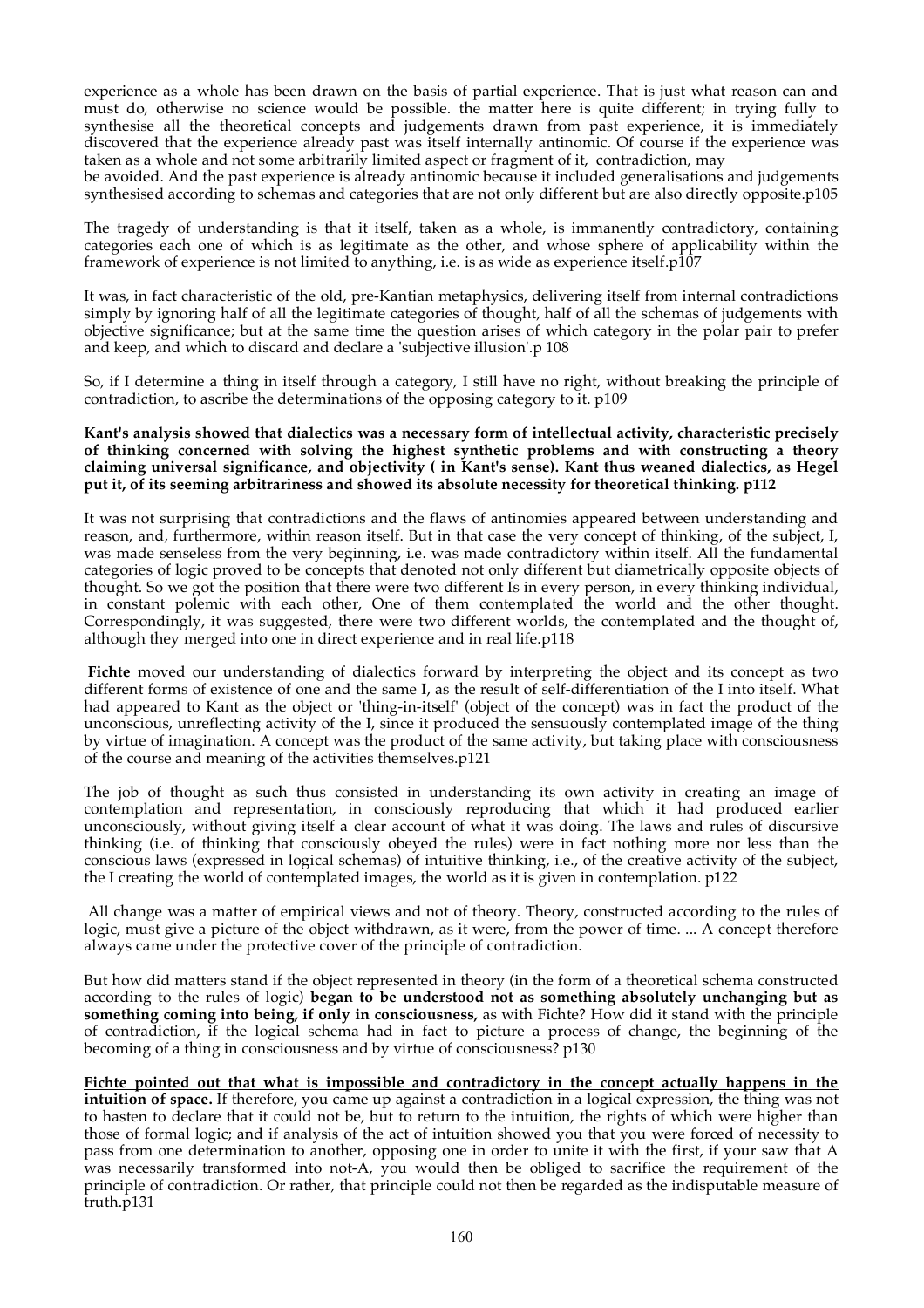experience as a whole has been drawn on the basis of partial experience. That is just what reason can and must do, otherwise no science would be possible. the matter here is quite different; in trying fully to synthesise all the theoretical concepts and judgements drawn from past experience, it is immediately discovered that the experience already past was itself internally antinomic. Of course if the experience was taken as a whole and not some arbitrarily limited aspect or fragment of it, contradiction, may

be avoided. And the past experience is already antinomic because it included generalisations and judgements synthesised according to schemas and categories that are not only different but are also directly opposite.p105

The tragedy of understanding is that it itself, taken as a whole, is immanently contradictory, containing categories each one of which is as legitimate as the other, and whose sphere of applicability within the framework of experience is not limited to anything, i.e. is as wide as experience itself.p107

It was, in fact characteristic of the old, pre-Kantian metaphysics, delivering itself from internal contradictions simply by ignoring half of all the legitimate categories of thought, half of all the schemas of judgements with objective significance; but at the same time the question arises of which category in the polar pair to prefer and keep, and which to discard and declare a 'subjective illusion'.p 108

So, if I determine a thing in itself through a category, I still have no right, without breaking the principle of contradiction, to ascribe the determinations of the opposing category to it. p109

#### **Kant's analysis showed that dialectics was a necessary form of intellectual activity, characteristic precisely of thinking concerned with solving the highest synthetic problems and with constructing a theory claiming universal significance, and objectivity ( in Kant's sense). Kant thus weaned dialectics, as Hegel put it, of its seeming arbitrariness and showed its absolute necessity for theoretical thinking. p112**

It was not surprising that contradictions and the flaws of antinomies appeared between understanding and reason, and, furthermore, within reason itself. But in that case the very concept of thinking, of the subject, I, was made senseless from the very beginning, i.e. was made contradictory within itself. All the fundamental categories of logic proved to be concepts that denoted not only different but diametrically opposite objects of thought. So we got the position that there were two different Is in every person, in every thinking individual, in constant polemic with each other, One of them contemplated the world and the other thought. Correspondingly, it was suggested, there were two different worlds, the contemplated and the thought of, although they merged into one in direct experience and in real life.p118

Fichte moved our understanding of dialectics forward by interpreting the object and its concept as two different forms of existence of one and the same I, as the result of self-differentiation of the I into itself. What had appeared to Kant as the object or 'thing-in-itself' (object of the concept) was in fact the product of the unconscious, unreflecting activity of the I, since it produced the sensuously contemplated image of the thing by virtue of imagination. A concept was the product of the same activity, but taking place with consciousness of the course and meaning of the activities themselves.p121

The job of thought as such thus consisted in understanding its own activity in creating an image of contemplation and representation, in consciously reproducing that which it had produced earlier unconsciously, without giving itself a clear account of what it was doing. The laws and rules of discursive thinking (i.e. of thinking that consciously obeyed the rules) were in fact nothing more nor less than the conscious laws (expressed in logical schemas) of intuitive thinking, i.e., of the creative activity of the subject, the I creating the world of contemplated images, the world as it is given in contemplation. p122

All change was a matter of empirical views and not of theory. Theory, constructed according to the rules of logic, must give a picture of the object withdrawn, as it were, from the power of time. ... A concept therefore always came under the protective cover of the principle of contradiction.

But how did matters stand if the object represented in theory (in the form of a theoretical schema constructed according to the rules of logic) **began to be understood not as something absolutely unchanging but as something coming into being, if only in consciousness,** as with Fichte? How did it stand with the principle of contradiction, if the logical schema had in fact to picture a process of change, the beginning of the becoming of a thing in consciousness and by virtue of consciousness? p130

**Fichte pointed out that what is impossible and contradictory in the concept actually happens in the intuition of space.** If therefore, you came up against a contradiction in a logical expression, the thing was not to hasten to declare that it could not be, but to return to the intuition, the rights of which were higher than those of formal logic; and if analysis of the act of intuition showed you that you were forced of necessity to pass from one determination to another, opposing one in order to unite it with the first, if your saw that A was necessarily transformed into not-A, you would then be obliged to sacrifice the requirement of the principle of contradiction. Or rather, that principle could not then be regarded as the indisputable measure of truth.p131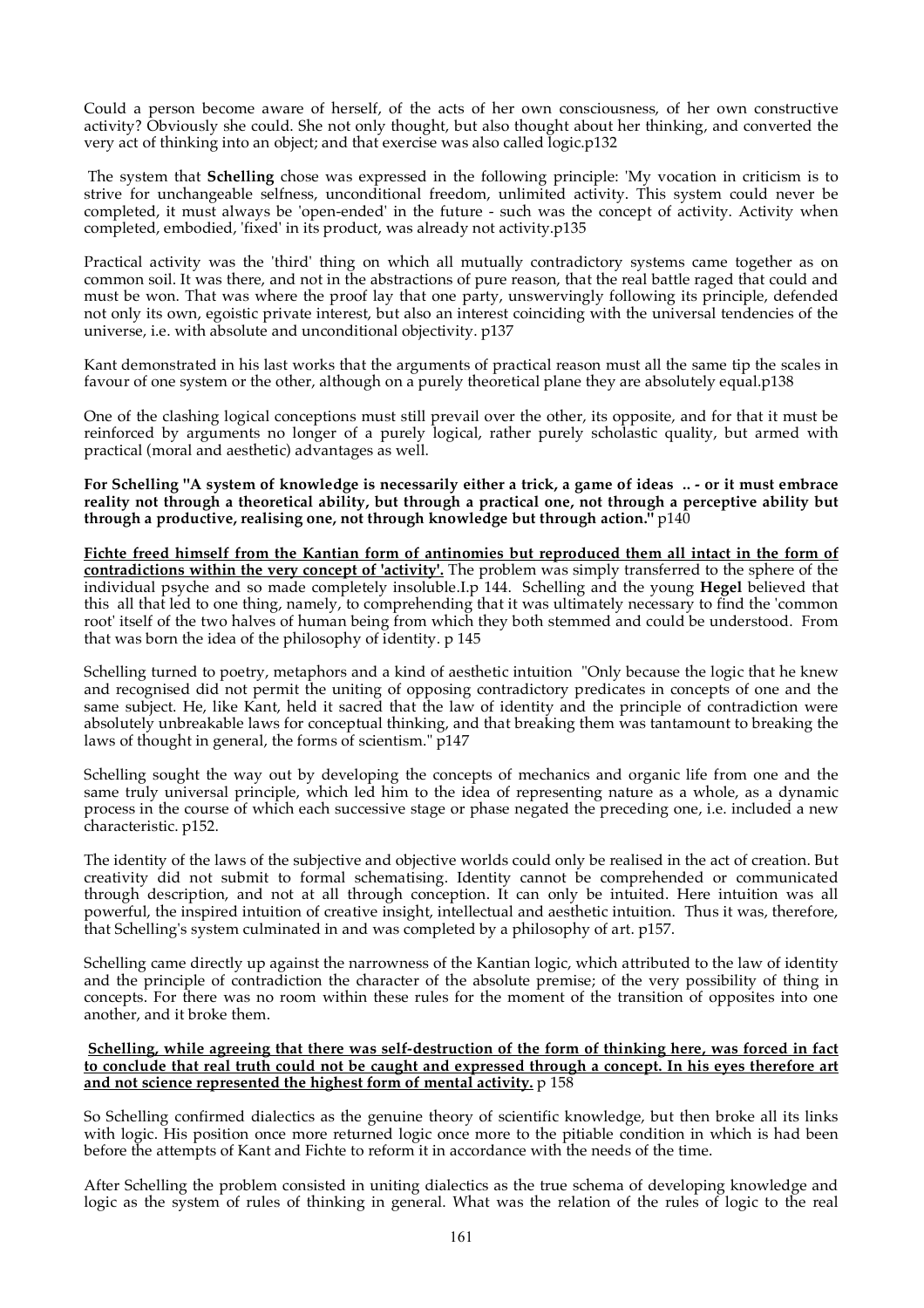Could a person become aware of herself, of the acts of her own consciousness, of her own constructive activity? Obviously she could. She not only thought, but also thought about her thinking, and converted the very act of thinking into an object; and that exercise was also called logic.p132

The system that **Schelling** chose was expressed in the following principle: 'My vocation in criticism is to strive for unchangeable selfness, unconditional freedom, unlimited activity. This system could never be completed, it must always be 'open-ended' in the future - such was the concept of activity. Activity when completed, embodied, 'fixed' in its product, was already not activity.p135

Practical activity was the 'third' thing on which all mutually contradictory systems came together as on common soil. It was there, and not in the abstractions of pure reason, that the real battle raged that could and must be won. That was where the proof lay that one party, unswervingly following its principle, defended not only its own, egoistic private interest, but also an interest coinciding with the universal tendencies of the universe, i.e. with absolute and unconditional objectivity. p137

Kant demonstrated in his last works that the arguments of practical reason must all the same tip the scales in favour of one system or the other, although on a purely theoretical plane they are absolutely equal.p138

One of the clashing logical conceptions must still prevail over the other, its opposite, and for that it must be reinforced by arguments no longer of a purely logical, rather purely scholastic quality, but armed with practical (moral and aesthetic) advantages as well.

For Schelling "A system of knowledge is necessarily either a trick, a game of ideas ... - or it must embrace reality not through a theoretical ability, but through a practical one, not through a perceptive ability but **through a productive, realising one, not through knowledge but through action."** p140

Fichte freed himself from the Kantian form of antinomies but reproduced them all intact in the form of **contradictions within the very concept of 'activity'.** The problem was simply transferred to the sphere of the individual psyche and so made completely insoluble.I.p 144. Schelling and the young **Hegel** believed that this all that led to one thing, namely, to comprehending that it was ultimately necessary to find the 'common root' itself of the two halves of human being from which they both stemmed and could be understood. From that was born the idea of the philosophy of identity. p 145

Schelling turned to poetry, metaphors and a kind of aesthetic intuition "Only because the logic that he knew and recognised did not permit the uniting of opposing contradictory predicates in concepts of one and the same subject. He, like Kant, held it sacred that the law of identity and the principle of contradiction were absolutely unbreakable laws for conceptual thinking, and that breaking them was tantamount to breaking the laws of thought in general, the forms of scientism."  $\overline{p}$ 147

Schelling sought the way out by developing the concepts of mechanics and organic life from one and the same truly universal principle, which led him to the idea of representing nature as a whole, as a dynamic process in the course of which each successive stage or phase negated the preceding one, i.e. included a new characteristic. p152.

The identity of the laws of the subjective and objective worlds could only be realised in the act of creation. But creativity did not submit to formal schematising. Identity cannot be comprehended or communicated through description, and not at all through conception. It can only be intuited. Here intuition was all powerful, the inspired intuition of creative insight, intellectual and aesthetic intuition. Thus it was, therefore, that Schelling's system culminated in and was completed by a philosophy of art. p157.

Schelling came directly up against the narrowness of the Kantian logic, which attributed to the law of identity and the principle of contradiction the character of the absolute premise; of the very possibility of thing in concepts. For there was no room within these rules for the moment of the transition of opposites into one another, and it broke them.

#### Schelling, while agreeing that there was self-destruction of the form of thinking here, was forced in fact to conclude that real truth could not be caught and expressed through a concept. In his eyes therefore art **and not science represented the highest form of mental activity.** p 158

So Schelling confirmed dialectics as the genuine theory of scientific knowledge, but then broke all its links with logic. His position once more returned logic once more to the pitiable condition in which is had been before the attempts of Kant and Fichte to reform it in accordance with the needs of the time.

After Schelling the problem consisted in uniting dialectics as the true schema of developing knowledge and logic as the system of rules of thinking in general. What was the relation of the rules of logic to the real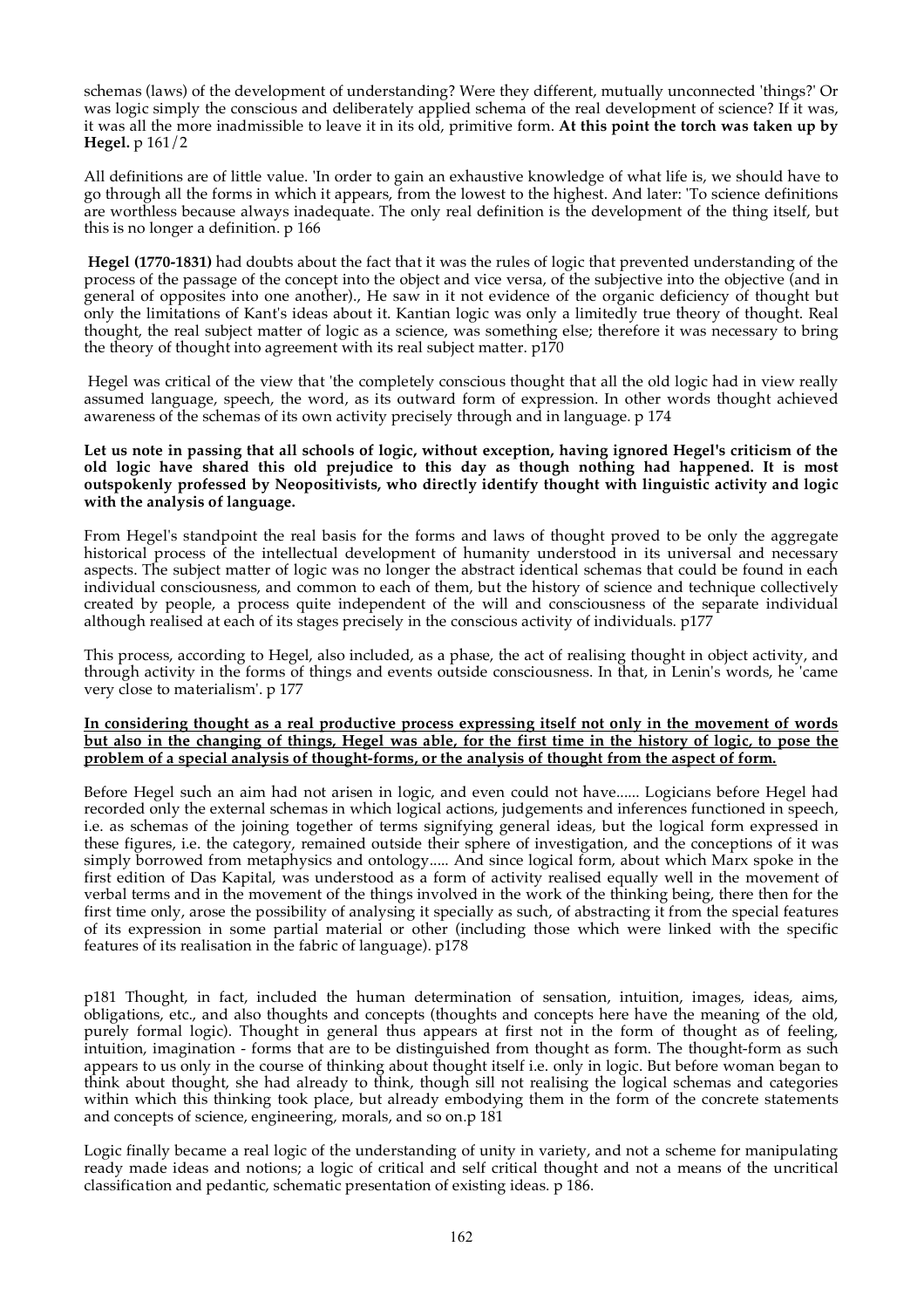schemas (laws) of the development of understanding? Were they different, mutually unconnected 'things?' Or was logic simply the conscious and deliberately applied schema of the real development of science? If it was, it was all the more inadmissible to leave it in its old, primitive form. **At this point the torch was taken up by Hegel.** p 161/2

All definitions are of little value. 'In order to gain an exhaustive knowledge of what life is, we should have to go through all the forms in which it appears, from the lowest to the highest. And later: 'To science definitions are worthless because always inadequate. The only real definition is the development of the thing itself, but this is no longer a definition. p 166

**Hegel (1770-1831)** had doubts about the fact that it was the rules of logic that prevented understanding of the process of the passage of the concept into the object and vice versa, of the subjective into the objective (and in general of opposites into one another)., He saw in it not evidence of the organic deficiency of thought but only the limitations of Kant's ideas about it. Kantian logic was only a limitedly true theory of thought. Real thought, the real subject matter of logic as a science, was something else; therefore it was necessary to bring the theory of thought into agreement with its real subject matter. p170

Hegel was critical of the view that 'the completely conscious thought that all the old logic had in view really assumed language, speech, the word, as its outward form of expression. In other words thought achieved awareness of the schemas of its own activity precisely through and in language. p 174

#### Let us note in passing that all schools of logic, without exception, having ignored Hegel's criticism of the **old logic have shared this old prejudice to this day as though nothing had happened. It is most outspokenly professed by Neopositivists, who directly identify thought with linguistic activity and logic with the analysis of language.**

From Hegel's standpoint the real basis for the forms and laws of thought proved to be only the aggregate historical process of the intellectual development of humanity understood in its universal and necessary aspects. The subject matter of logic was no longer the abstract identical schemas that could be found in each individual consciousness, and common to each of them, but the history of science and technique collectively created by people, a process quite independent of the will and consciousness of the separate individual although realised at each of its stages precisely in the conscious activity of individuals. p177

This process, according to Hegel, also included, as a phase, the act of realising thought in object activity, and through activity in the forms of things and events outside consciousness. In that, in Lenin's words, he 'came very close to materialism'. p 177

#### **In considering thought as a real productive process expressing itself not only in the movement of words** but also in the changing of things, Hegel was able, for the first time in the history of logic, to pose the **problem of a special analysis of thought-forms, or the analysis of thought from the aspect of form.**

Before Hegel such an aim had not arisen in logic, and even could not have...... Logicians before Hegel had recorded only the external schemas in which logical actions, judgements and inferences functioned in speech, i.e. as schemas of the joining together of terms signifying general ideas, but the logical form expressed in these figures, i.e. the category, remained outside their sphere of investigation, and the conceptions of it was simply borrowed from metaphysics and ontology..... And since logical form, about which Marx spoke in the first edition of Das Kapital, was understood as a form of activity realised equally well in the movement of verbal terms and in the movement of the things involved in the work of the thinking being, there then for the first time only, arose the possibility of analysing it specially as such, of abstracting it from the special features of its expression in some partial material or other (including those which were linked with the specific features of its realisation in the fabric of language). p178

p181 Thought, in fact, included the human determination of sensation, intuition, images, ideas, aims, obligations, etc., and also thoughts and concepts (thoughts and concepts here have the meaning of the old, purely formal logic). Thought in general thus appears at first not in the form of thought as of feeling, intuition, imagination - forms that are to be distinguished from thought as form. The thought-form as such appears to us only in the course of thinking about thought itself i.e. only in logic. But before woman began to think about thought, she had already to think, though sill not realising the logical schemas and categories within which this thinking took place, but already embodying them in the form of the concrete statements and concepts of science, engineering, morals, and so on.p 181

Logic finally became a real logic of the understanding of unity in variety, and not a scheme for manipulating ready made ideas and notions; a logic of critical and self critical thought and not a means of the uncritical classification and pedantic, schematic presentation of existing ideas. p 186.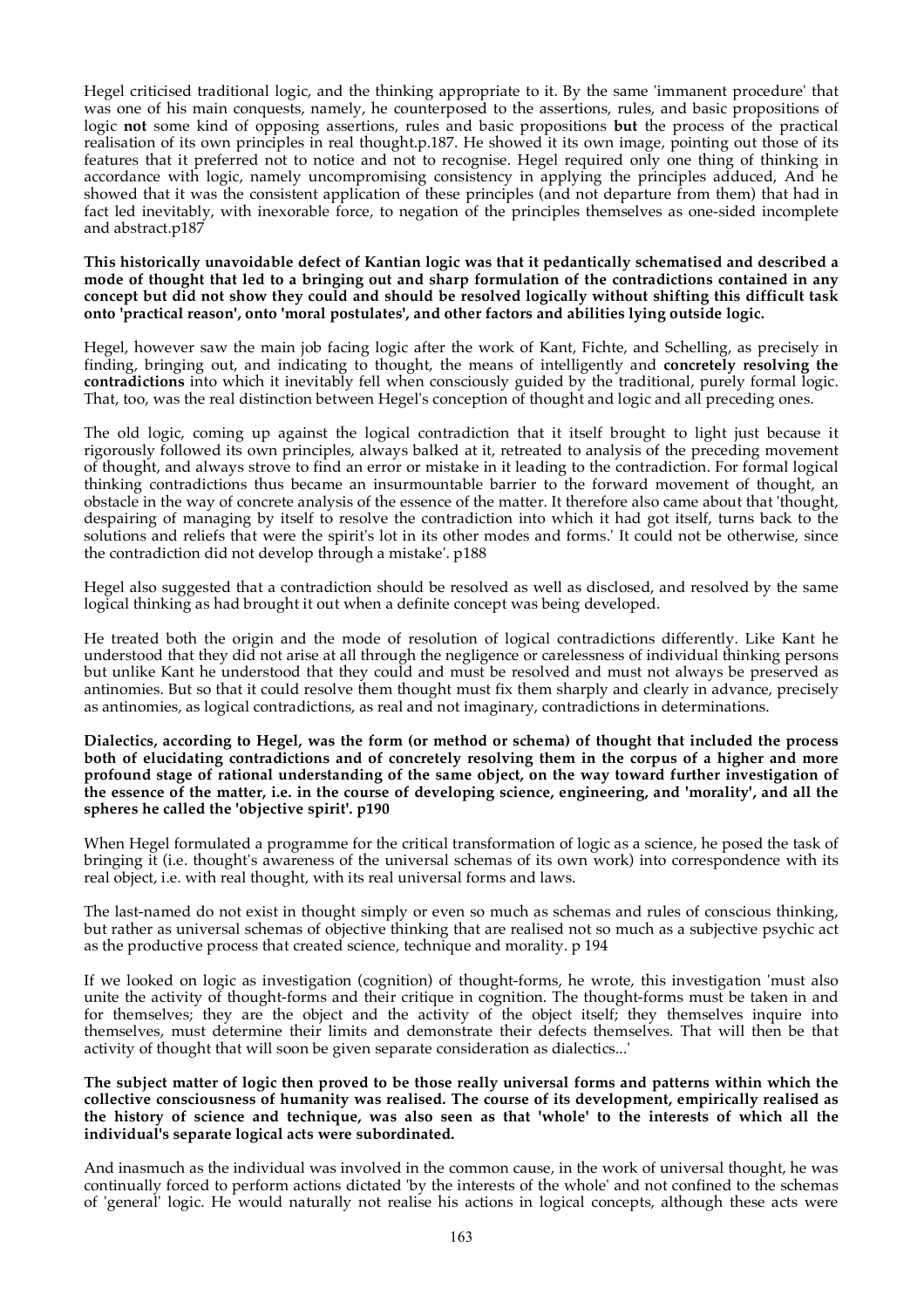Hegel criticised traditional logic, and the thinking appropriate to it. By the same 'immanent procedure' that was one of his main conquests, namely, he counterposed to the assertions, rules, and basic propositions of logic **not** some kind of opposing assertions, rules and basic propositions **but** the process of the practical realisation of its own principles in real thought.p.187. He showed it its own image, pointing out those of its features that it preferred not to notice and not to recognise. Hegel required only one thing of thinking in accordance with logic, namely uncompromising consistency in applying the principles adduced, And he showed that it was the consistent application of these principles (and not departure from them) that had in fact led inevitably, with inexorable force, to negation of the principles themselves as one-sided incomplete and abstract.p187

**This historically unavoidable defect of Kantian logic was that it pedantically schematised and described a** mode of thought that led to a bringing out and sharp formulation of the contradictions contained in any **concept but did not show they could and should be resolved logically without shifting this difficult task onto 'practical reason', onto 'moral postulates', and other factors and abilities lying outside logic.**

Hegel, however saw the main job facing logic after the work of Kant, Fichte, and Schelling, as precisely in finding, bringing out, and indicating to thought, the means of intelligently and **concretely resolving the contradictions** into which it inevitably fell when consciously guided by the traditional, purely formal logic. That, too, was the real distinction between Hegel's conception of thought and logic and all preceding ones.

The old logic, coming up against the logical contradiction that it itself brought to light just because it rigorously followed its own principles, always balked at it, retreated to analysis of the preceding movement of thought, and always strove to find an error or mistake in it leading to the contradiction. For formal logical thinking contradictions thus became an insurmountable barrier to the forward movement of thought, an obstacle in the way of concrete analysis of the essence of the matter. It therefore also came about that 'thought, despairing of managing by itself to resolve the contradiction into which it had got itself, turns back to the solutions and reliefs that were the spirit's lot in its other modes and forms.' It could not be otherwise, since the contradiction did not develop through a mistake'. p188

Hegel also suggested that a contradiction should be resolved as well as disclosed, and resolved by the same logical thinking as had brought it out when a definite concept was being developed.

He treated both the origin and the mode of resolution of logical contradictions differently. Like Kant he understood that they did not arise at all through the negligence or carelessness of individual thinking persons but unlike Kant he understood that they could and must be resolved and must not always be preserved as antinomies. But so that it could resolve them thought must fix them sharply and clearly in advance, precisely as antinomies, as logical contradictions, as real and not imaginary, contradictions in determinations.

**Dialectics, according to Hegel, was the form (or method or schema) of thought that included the process both of elucidating contradictions and of concretely resolving them in the corpus of a higher and more profound stage of rational understanding of the same object, on the way toward further investigation of** the essence of the matter, i.e. in the course of developing science, engineering, and 'morality', and all the **spheres he called the 'objective spirit'. p190**

When Hegel formulated a programme for the critical transformation of logic as a science, he posed the task of bringing it (i.e. thought's awareness of the universal schemas of its own work) into correspondence with its real object, i.e. with real thought, with its real universal forms and laws.

The last-named do not exist in thought simply or even so much as schemas and rules of conscious thinking, but rather as universal schemas of objective thinking that are realised not so much as a subjective psychic act as the productive process that created science, technique and morality. p 194

If we looked on logic as investigation (cognition) of thought-forms, he wrote, this investigation 'must also unite the activity of thought-forms and their critique in cognition. The thought-forms must be taken in and for themselves; they are the object and the activity of the object itself; they themselves inquire into themselves, must determine their limits and demonstrate their defects themselves. That will then be that activity of thought that will soon be given separate consideration as dialectics...'

The subject matter of logic then proved to be those really universal forms and patterns within which the **collective consciousness of humanity was realised. The course of its development, empirically realised as** the history of science and technique, was also seen as that 'whole' to the interests of which all the **individual's separate logical acts were subordinated.**

And inasmuch as the individual was involved in the common cause, in the work of universal thought, he was continually forced to perform actions dictated 'by the interests of the whole' and not confined to the schemas of 'general' logic. He would naturally not realise his actions in logical concepts, although these acts were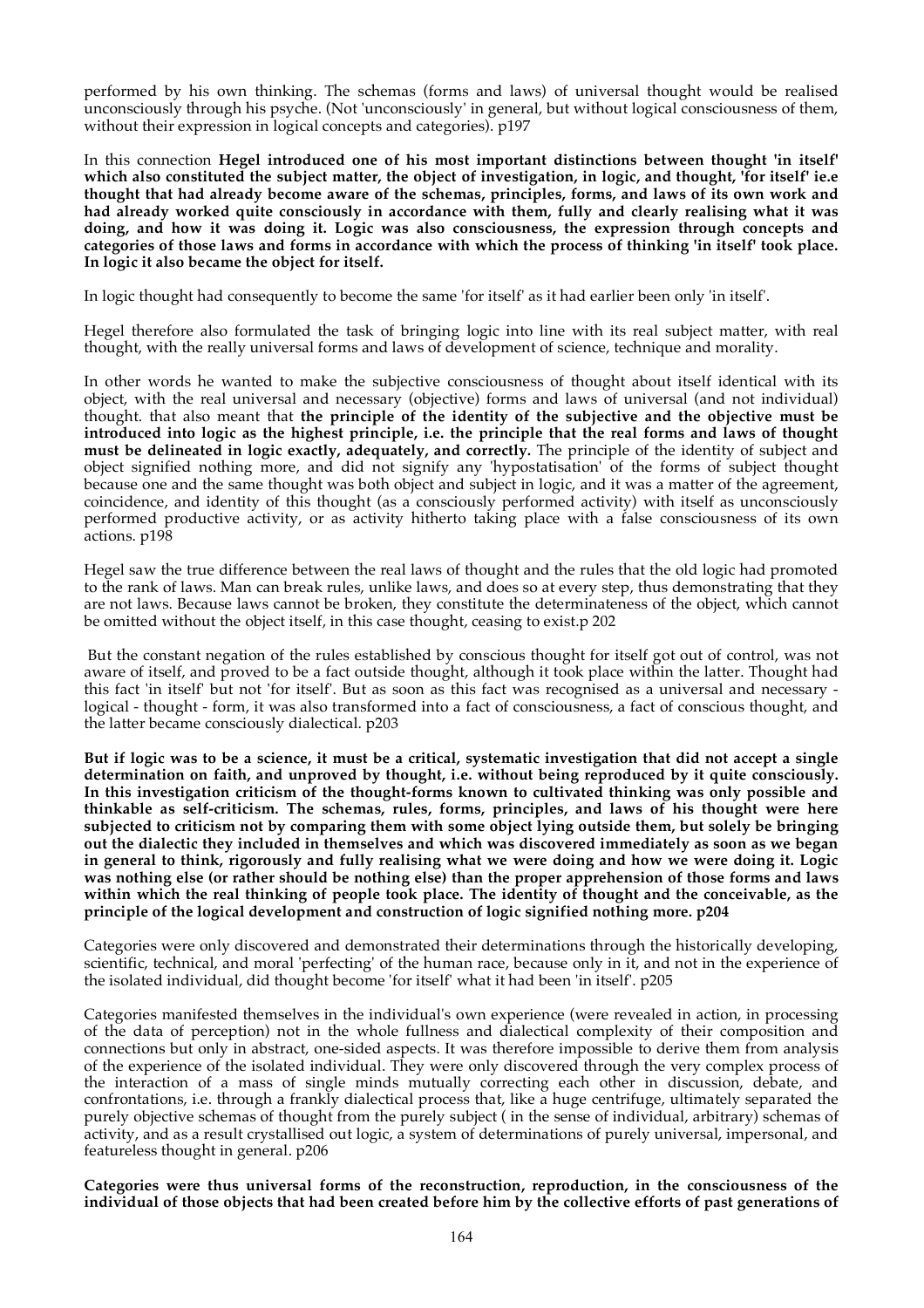performed by his own thinking. The schemas (forms and laws) of universal thought would be realised unconsciously through his psyche. (Not 'unconsciously' in general, but without logical consciousness of them, without their expression in logical concepts and categories). p197

In this connection **Hegel introduced one of his most important distinctions between thought 'in itself'** which also constituted the subject matter, the object of investigation, in logic, and thought, 'for itself' ie.e thought that had already become aware of the schemas, principles, forms, and laws of its own work and **had already worked quite consciously in accordance with them, fully and clearly realising what it was doing, and how it was doing it. Logic was also consciousness, the expression through concepts and** categories of those laws and forms in accordance with which the process of thinking 'in itself' took place. **In logic it also became the object for itself.**

In logic thought had consequently to become the same 'for itself' as it had earlier been only 'in itself'.

Hegel therefore also formulated the task of bringing logic into line with its real subject matter, with real thought, with the really universal forms and laws of development of science, technique and morality.

In other words he wanted to make the subjective consciousness of thought about itself identical with its object, with the real universal and necessary (objective) forms and laws of universal (and not individual) thought. that also meant that **the principle of the identity of the subjective and the objective must be** introduced into logic as the highest principle, i.e. the principle that the real forms and laws of thought **must be delineated in logic exactly, adequately, and correctly.** The principle of the identity of subject and object signified nothing more, and did not signify any 'hypostatisation' of the forms of subject thought because one and the same thought was both object and subject in logic, and it was a matter of the agreement, coincidence, and identity of this thought (as a consciously performed activity) with itself as unconsciously performed productive activity, or as activity hitherto taking place with a false consciousness of its own actions. p198

Hegel saw the true difference between the real laws of thought and the rules that the old logic had promoted to the rank of laws. Man can break rules, unlike laws, and does so at every step, thus demonstrating that they are not laws. Because laws cannot be broken, they constitute the determinateness of the object, which cannot be omitted without the object itself, in this case thought, ceasing to exist.p 202

But the constant negation of the rules established by conscious thought for itself got out of control, was not aware of itself, and proved to be a fact outside thought, although it took place within the latter. Thought had this fact 'in itself' but not 'for itself'. But as soon as this fact was recognised as a universal and necessary logical - thought - form, it was also transformed into a fact of consciousness, a fact of conscious thought, and the latter became consciously dialectical. p203

But if logic was to be a science, it must be a critical, systematic investigation that did not accept a single **determination on faith, and unproved by thought, i.e. without being reproduced by it quite consciously. In this investigation criticism of the thought-forms known to cultivated thinking was only possible and thinkable as self-criticism. The schemas, rules, forms, principles, and laws of his thought were here subjected to criticism not by comparing them with some object lying outside them, but solely be bringing out the dialectic they included in themselves and which was discovered immediately as soon as we began** in general to think, rigorously and fully realising what we were doing and how we were doing it. Logic was nothing else (or rather should be nothing else) than the proper apprehension of those forms and laws within which the real thinking of people took place. The identity of thought and the conceivable, as the **principle of the logical development and construction of logic signified nothing more. p204**

Categories were only discovered and demonstrated their determinations through the historically developing, scientific, technical, and moral 'perfecting' of the human race, because only in it, and not in the experience of the isolated individual, did thought become 'for itself' what it had been 'in itself'. p205

Categories manifested themselves in the individual's own experience (were revealed in action, in processing of the data of perception) not in the whole fullness and dialectical complexity of their composition and connections but only in abstract, one-sided aspects. It was therefore impossible to derive them from analysis of the experience of the isolated individual. They were only discovered through the very complex process of the interaction of a mass of single minds mutually correcting each other in discussion, debate, and confrontations, i.e. through a frankly dialectical process that, like a huge centrifuge, ultimately separated the purely objective schemas of thought from the purely subject ( in the sense of individual, arbitrary) schemas of activity, and as a result crystallised out logic, a system of determinations of purely universal, impersonal, and featureless thought in general. p206

**Categories were thus universal forms of the reconstruction, reproduction, in the consciousness of the** individual of those objects that had been created before him by the collective efforts of past generations of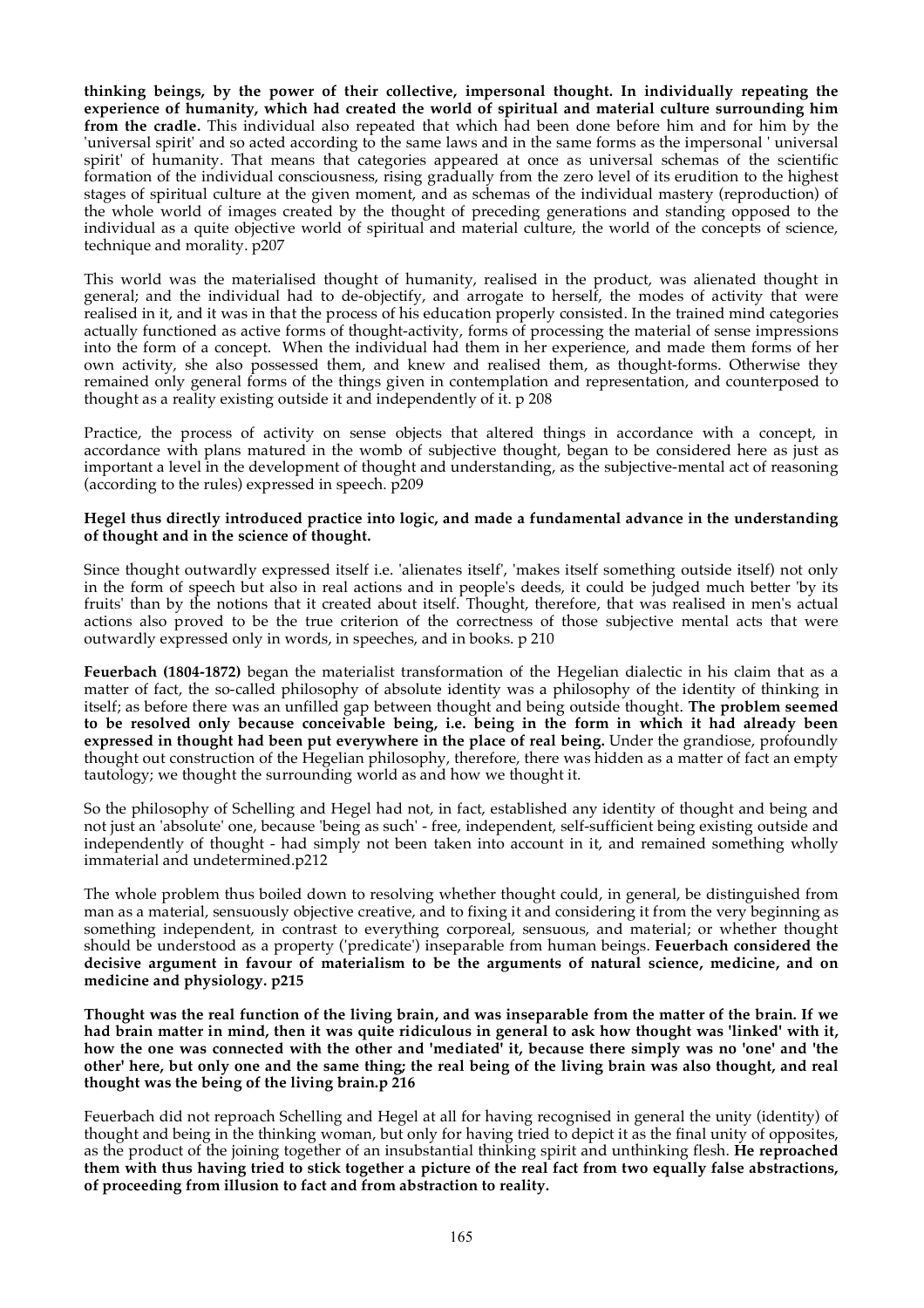**thinking beings, by the power of their collective, impersonal thought. In individually repeating the experience of humanity, which had created the world of spiritual and material culture surrounding him from the cradle.** This individual also repeated that which had been done before him and for him by the 'universal spirit' and so acted according to the same laws and in the same forms as the impersonal ' universal spirit' of humanity. That means that categories appeared at once as universal schemas of the scientific formation of the individual consciousness, rising gradually from the zero level of its erudition to the highest stages of spiritual culture at the given moment, and as schemas of the individual mastery (reproduction) of the whole world of images created by the thought of preceding generations and standing opposed to the individual as a quite objective world of spiritual and material culture, the world of the concepts of science, technique and morality. p207

This world was the materialised thought of humanity, realised in the product, was alienated thought in general; and the individual had to de-objectify, and arrogate to herself, the modes of activity that were realised in it, and it was in that the process of his education properly consisted. In the trained mind categories actually functioned as active forms of thought-activity, forms of processing the material of sense impressions into the form of a concept. When the individual had them in her experience, and made them forms of her own activity, she also possessed them, and knew and realised them, as thought-forms. Otherwise they remained only general forms of the things given in contemplation and representation, and counterposed to thought as a reality existing outside it and independently of it. p 208

Practice, the process of activity on sense objects that altered things in accordance with a concept, in accordance with plans matured in the womb of subjective thought, began to be considered here as just as important a level in the development of thought and understanding, as the subjective-mental act of reasoning (according to the rules) expressed in speech. p209

#### **Hegel thus directly introduced practice into logic, and made a fundamental advance in the understanding of thought and in the science of thought.**

Since thought outwardly expressed itself i.e. 'alienates itself', 'makes itself something outside itself) not only in the form of speech but also in real actions and in people's deeds, it could be judged much better 'by its fruits' than by the notions that it created about itself. Thought, therefore, that was realised in men's actual actions also proved to be the true criterion of the correctness of those subjective mental acts that were outwardly expressed only in words, in speeches, and in books. p 210

**Feuerbach (1804-1872)** began the materialist transformation of the Hegelian dialectic in his claim that as a matter of fact, the so-called philosophy of absolute identity was a philosophy of the identity of thinking in itself; as before there was an unfilled gap between thought and being outside thought. **The problem seemed to be resolved only because conceivable being, i.e. being in the form in which it had already been expressed in thought had been put everywhere in the place of real being.** Under the grandiose, profoundly thought out construction of the Hegelian philosophy, therefore, there was hidden as a matter of fact an empty tautology; we thought the surrounding world as and how we thought it.

So the philosophy of Schelling and Hegel had not, in fact, established any identity of thought and being and not just an 'absolute' one, because 'being as such' - free, independent, self-sufficient being existing outside and independently of thought - had simply not been taken into account in it, and remained something wholly immaterial and undetermined.p212

The whole problem thus boiled down to resolving whether thought could, in general, be distinguished from man as a material, sensuously objective creative, and to fixing it and considering it from the very beginning as something independent, in contrast to everything corporeal, sensuous, and material; or whether thought should be understood as a property ('predicate') inseparable from human beings. **Feuerbach considered the decisive argument in favour of materialism to be the arguments of natural science, medicine, and on medicine and physiology. p215**

Thought was the real function of the living brain, and was inseparable from the matter of the brain. If we had brain matter in mind, then it was quite ridiculous in general to ask how thought was 'linked' with it, how the one was connected with the other and 'mediated' it, because there simply was no 'one' and 'the other' here, but only one and the same thing; the real being of the living brain was also thought, and real **thought was the being of the living brain.p 216**

Feuerbach did not reproach Schelling and Hegel at all for having recognised in general the unity (identity) of thought and being in the thinking woman, but only for having tried to depict it as the final unity of opposites, as the product of the joining together of an insubstantial thinking spirit and unthinking flesh. **He reproached** them with thus having tried to stick together a picture of the real fact from two equally false abstractions, **of proceeding from illusion to fact and from abstraction to reality.**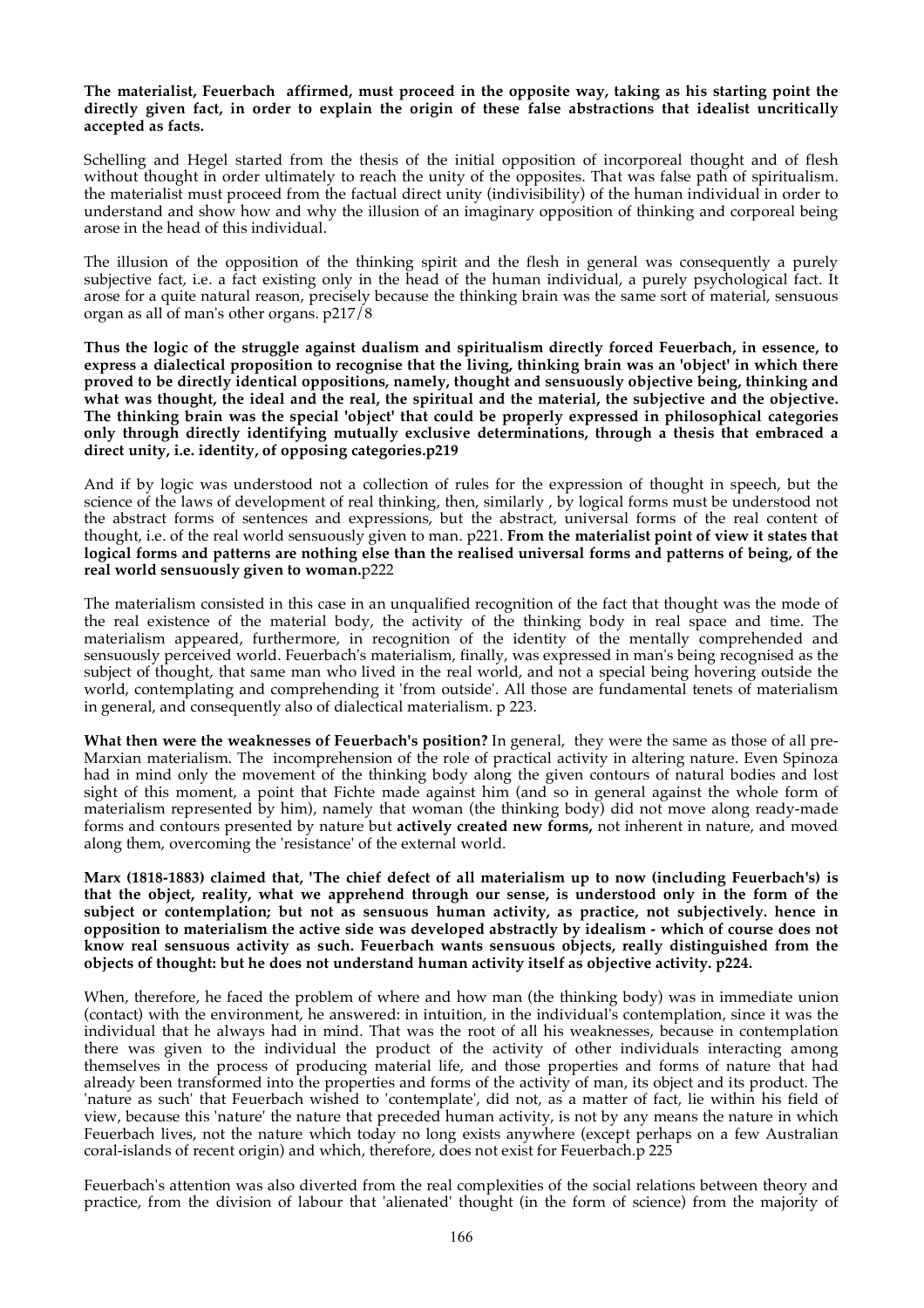#### **The materialist, Feuerbach affirmed, must proceed in the opposite way, taking as his starting point the directly given fact, in order to explain the origin of these false abstractions that idealist uncritically accepted as facts.**

Schelling and Hegel started from the thesis of the initial opposition of incorporeal thought and of flesh without thought in order ultimately to reach the unity of the opposites. That was false path of spiritualism. the materialist must proceed from the factual direct unity (indivisibility) of the human individual in order to understand and show how and why the illusion of an imaginary opposition of thinking and corporeal being arose in the head of this individual.

The illusion of the opposition of the thinking spirit and the flesh in general was consequently a purely subjective fact, i.e. a fact existing only in the head of the human individual, a purely psychological fact. It arose for a quite natural reason, precisely because the thinking brain was the same sort of material, sensuous organ as all of man's other organs. p217/8

**Thus the logic of the struggle against dualism and spiritualism directly forced Feuerbach, in essence, to** express a dialectical proposition to recognise that the living, thinking brain was an 'object' in which there **proved to be directly identical oppositions, namely, thought and sensuously objective being, thinking and** what was thought, the ideal and the real, the spiritual and the material, the subjective and the objective. **The thinking brain was the special 'object' that could be properly expressed in philosophical categories only through directly identifying mutually exclusive determinations, through a thesis that embraced a direct unity, i.e. identity, of opposing categories.p219**

And if by logic was understood not a collection of rules for the expression of thought in speech, but the science of the laws of development of real thinking, then, similarly , by logical forms must be understood not the abstract forms of sentences and expressions, but the abstract, universal forms of the real content of thought, i.e. of the real world sensuously given to man. p221. **From the materialist point of view it states that** logical forms and patterns are nothing else than the realised universal forms and patterns of being, of the **real world sensuously given to woman.**p222

The materialism consisted in this case in an unqualified recognition of the fact that thought was the mode of the real existence of the material body, the activity of the thinking body in real space and time. The materialism appeared, furthermore, in recognition of the identity of the mentally comprehended and sensuously perceived world. Feuerbach's materialism, finally, was expressed in man's being recognised as the subject of thought, that same man who lived in the real world, and not a special being hovering outside the world, contemplating and comprehending it 'from outside'. All those are fundamental tenets of materialism in general, and consequently also of dialectical materialism. p 223.

**What then were the weaknesses of Feuerbach's position?** In general, they were the same as those of all pre-Marxian materialism. The incomprehension of the role of practical activity in altering nature. Even Spinoza had in mind only the movement of the thinking body along the given contours of natural bodies and lost sight of this moment, a point that Fichte made against him (and so in general against the whole form of materialism represented by him), namely that woman (the thinking body) did not move along ready-made forms and contours presented by nature but **actively created new forms,** not inherent in nature, and moved along them, overcoming the 'resistance' of the external world.

**Marx (1818-1883) claimed that, 'The chief defect of all materialism up to now (including Feuerbach's) is** that the object, reality, what we apprehend through our sense, is understood only in the form of the **subject or contemplation; but not as sensuous human activity, as practice, not subjectively. hence in opposition to materialism the active side was developed abstractly by idealism - which of course does not know real sensuous activity as such. Feuerbach wants sensuous objects, really distinguished from the objects of thought: but he does not understand human activity itself as objective activity. p224.**

When, therefore, he faced the problem of where and how man (the thinking body) was in immediate union (contact) with the environment, he answered: in intuition, in the individual's contemplation, since it was the individual that he always had in mind. That was the root of all his weaknesses, because in contemplation there was given to the individual the product of the activity of other individuals interacting among themselves in the process of producing material life, and those properties and forms of nature that had already been transformed into the properties and forms of the activity of man, its object and its product. The 'nature as such' that Feuerbach wished to 'contemplate', did not, as a matter of fact, lie within his field of view, because this 'nature' the nature that preceded human activity, is not by any means the nature in which Feuerbach lives, not the nature which today no long exists anywhere (except perhaps on a few Australian coral-islands of recent origin) and which, therefore, does not exist for Feuerbach.p 225

Feuerbach's attention was also diverted from the real complexities of the social relations between theory and practice, from the division of labour that 'alienated' thought (in the form of science) from the majority of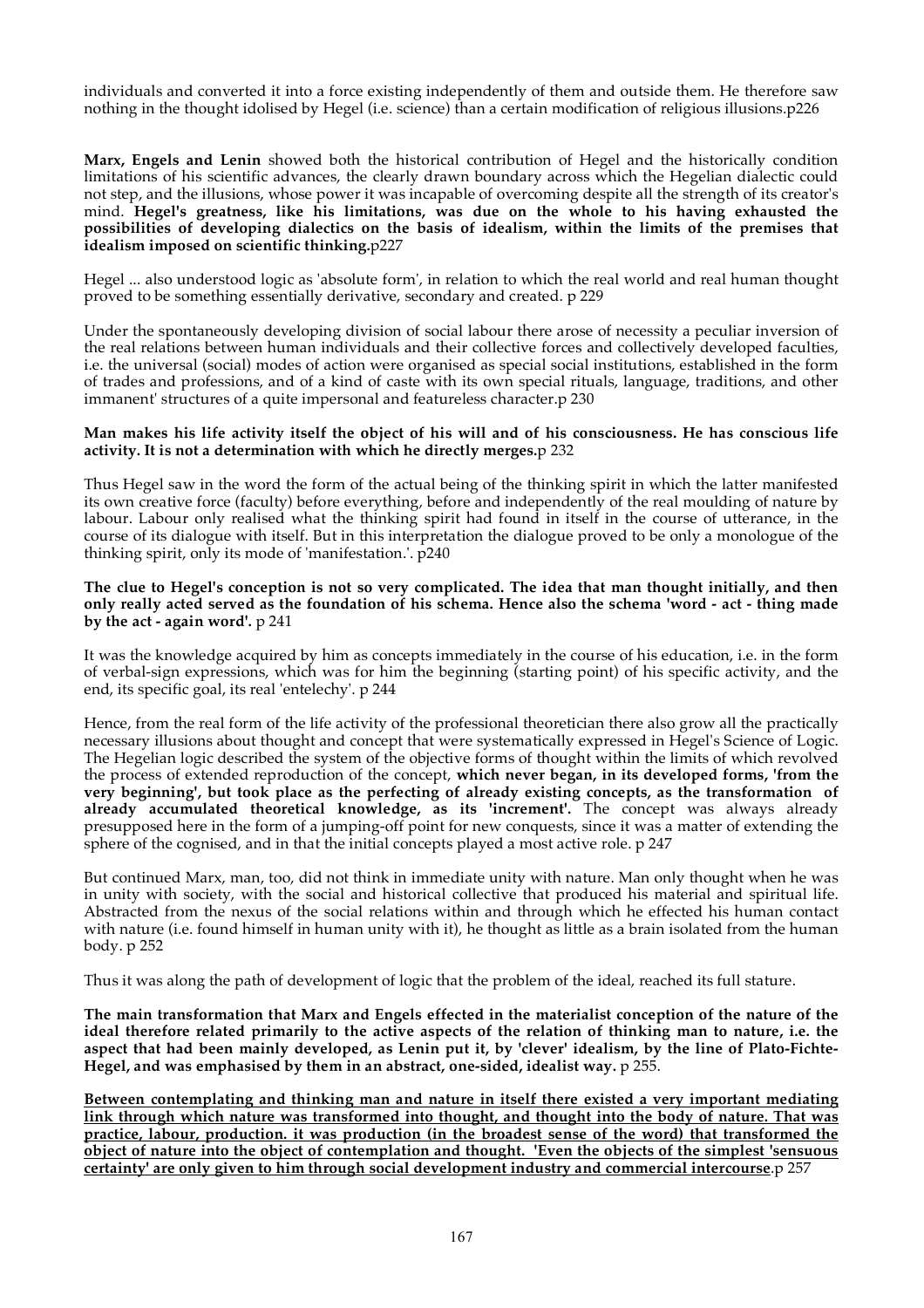individuals and converted it into a force existing independently of them and outside them. He therefore saw nothing in the thought idolised by Hegel (i.e. science) than a certain modification of religious illusions.p226

**Marx, Engels and Lenin** showed both the historical contribution of Hegel and the historically condition limitations of his scientific advances, the clearly drawn boundary across which the Hegelian dialectic could not step, and the illusions, whose power it was incapable of overcoming despite all the strength of its creator's mind. **Hegel's greatness, like his limitations, was due on the whole to his having exhausted the possibilities of developing dialectics on the basis of idealism, within the limits of the premises that idealism imposed on scientific thinking.**p227

Hegel ... also understood logic as 'absolute form', in relation to which the real world and real human thought proved to be something essentially derivative, secondary and created. p 229

Under the spontaneously developing division of social labour there arose of necessity a peculiar inversion of the real relations between human individuals and their collective forces and collectively developed faculties, i.e. the universal (social) modes of action were organised as special social institutions, established in the form of trades and professions, and of a kind of caste with its own special rituals, language, traditions, and other immanent' structures of a quite impersonal and featureless character.p 230

#### Man makes his life activity itself the object of his will and of his consciousness. He has conscious life **activity. It is not a determination with which he directly merges.**p 232

Thus Hegel saw in the word the form of the actual being of the thinking spirit in which the latter manifested its own creative force (faculty) before everything, before and independently of the real moulding of nature by labour. Labour only realised what the thinking spirit had found in itself in the course of utterance, in the course of its dialogue with itself. But in this interpretation the dialogue proved to be only a monologue of the thinking spirit, only its mode of 'manifestation.'. p240

#### The clue to Hegel's conception is not so very complicated. The idea that man thought initially, and then only really acted served as the foundation of his schema. Hence also the schema 'word - act - thing made **by the act - again word'.** p 241

It was the knowledge acquired by him as concepts immediately in the course of his education, i.e. in the form of verbal-sign expressions, which was for him the beginning (starting point) of his specific activity, and the end, its specific goal, its real 'entelechy'. p 244

Hence, from the real form of the life activity of the professional theoretician there also grow all the practically necessary illusions about thought and concept that were systematically expressed in Hegel's Science of Logic. The Hegelian logic described the system of the objective forms of thought within the limits of which revolved the process of extended reproduction of the concept, **which never began, in its developed forms, 'from the very beginning', but took place as the perfecting of already existing concepts, as the transformation of already accumulated theoretical knowledge, as its 'increment'.** The concept was always already presupposed here in the form of a jumping-off point for new conquests, since it was a matter of extending the sphere of the cognised, and in that the initial concepts played a most active role. p 247

But continued Marx, man, too, did not think in immediate unity with nature. Man only thought when he was in unity with society, with the social and historical collective that produced his material and spiritual life. Abstracted from the nexus of the social relations within and through which he effected his human contact with nature (i.e. found himself in human unity with it), he thought as little as a brain isolated from the human body. p 252

Thus it was along the path of development of logic that the problem of the ideal, reached its full stature.

**The main transformation that Marx and Engels effected in the materialist conception of the nature of the** ideal therefore related primarily to the active aspects of the relation of thinking man to nature, i.e. the aspect that had been mainly developed, as Lenin put it, by 'clever' idealism, by the line of Plato-Fichte-**Hegel, and was emphasised by them in an abstract, one-sided, idealist way.** p 255.

**Between contemplating and thinking man and nature in itself there existed a very important mediating link through which nature was transformed into thought, and thought into the body of nature. That was practice, labour, production. it was production (in the broadest sense of the word) that transformed the** object of nature into the object of contemplation and thought. 'Even the objects of the simplest 'sensuous **certainty' are only given to him through social development industry and commercial intercourse**.p 257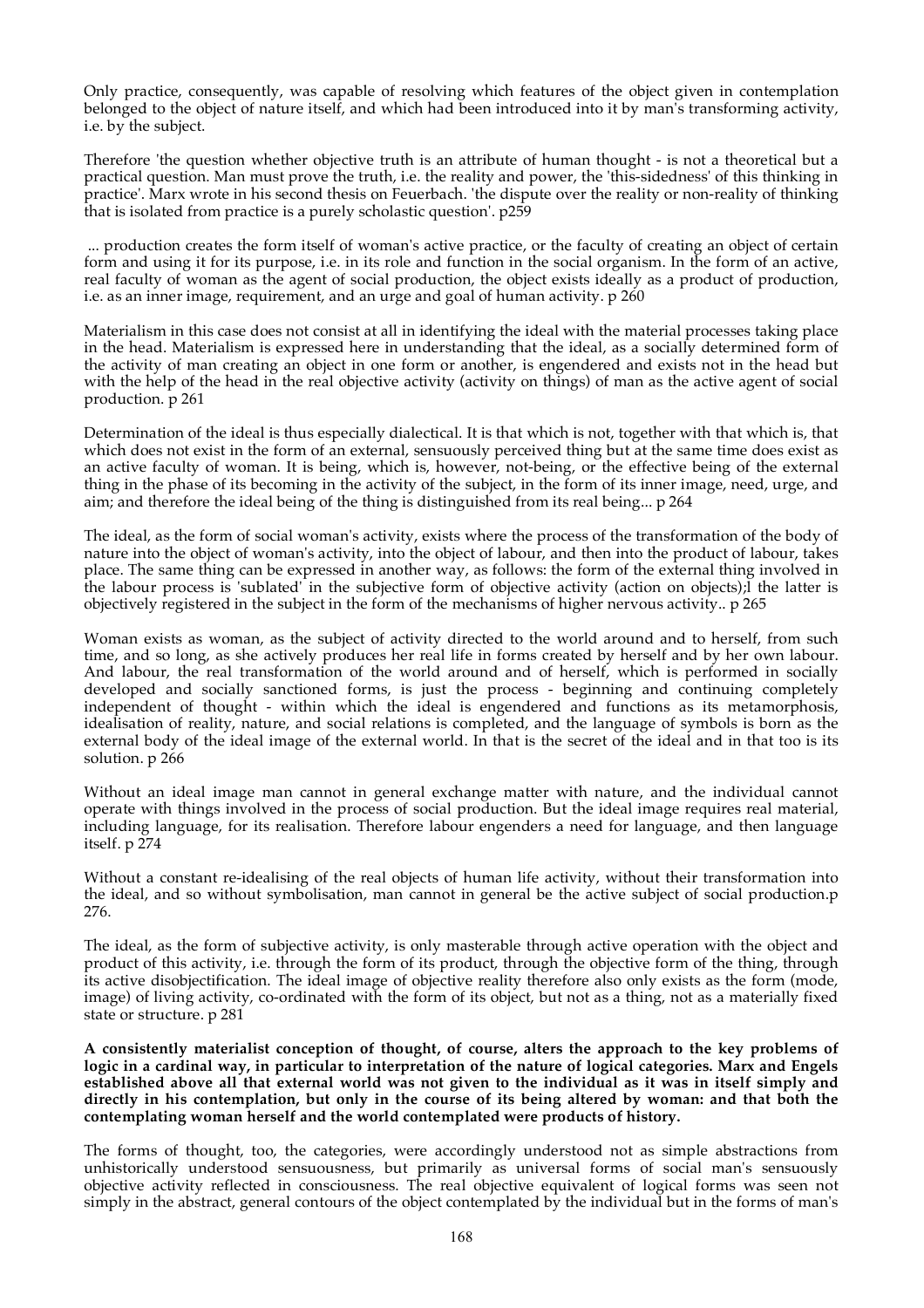Only practice, consequently, was capable of resolving which features of the object given in contemplation belonged to the object of nature itself, and which had been introduced into it by man's transforming activity, i.e. by the subject.

Therefore 'the question whether objective truth is an attribute of human thought - is not a theoretical but a practical question. Man must prove the truth, i.e. the reality and power, the 'this-sidedness' of this thinking in practice'. Marx wrote in his second thesis on Feuerbach. 'the dispute over the reality or non-reality of thinking that is isolated from practice is a purely scholastic question'. p259

... production creates the form itself of woman's active practice, or the faculty of creating an object of certain form and using it for its purpose, i.e. in its role and function in the social organism. In the form of an active, real faculty of woman as the agent of social production, the object exists ideally as a product of production, i.e. as an inner image, requirement, and an urge and goal of human activity. p 260

Materialism in this case does not consist at all in identifying the ideal with the material processes taking place in the head. Materialism is expressed here in understanding that the ideal, as a socially determined form of the activity of man creating an object in one form or another, is engendered and exists not in the head but with the help of the head in the real objective activity (activity on things) of man as the active agent of social production. p 261

Determination of the ideal is thus especially dialectical. It is that which is not, together with that which is, that which does not exist in the form of an external, sensuously perceived thing but at the same time does exist as an active faculty of woman. It is being, which is, however, not-being, or the effective being of the external thing in the phase of its becoming in the activity of the subject, in the form of its inner image, need, urge, and aim; and therefore the ideal being of the thing is distinguished from its real being... p 264

The ideal, as the form of social woman's activity, exists where the process of the transformation of the body of nature into the object of woman's activity, into the object of labour, and then into the product of labour, takes place. The same thing can be expressed in another way, as follows: the form of the external thing involved in the labour process is 'sublated' in the subjective form of objective activity (action on objects);l the latter is objectively registered in the subject in the form of the mechanisms of higher nervous activity.. p 265

Woman exists as woman, as the subject of activity directed to the world around and to herself, from such time, and so long, as she actively produces her real life in forms created by herself and by her own labour. And labour, the real transformation of the world around and of herself, which is performed in socially developed and socially sanctioned forms, is just the process - beginning and continuing completely independent of thought - within which the ideal is engendered and functions as its metamorphosis, idealisation of reality, nature, and social relations is completed, and the language of symbols is born as the external body of the ideal image of the external world. In that is the secret of the ideal and in that too is its solution. p 266

Without an ideal image man cannot in general exchange matter with nature, and the individual cannot operate with things involved in the process of social production. But the ideal image requires real material, including language, for its realisation. Therefore labour engenders a need for language, and then language itself. p 274

Without a constant re-idealising of the real objects of human life activity, without their transformation into the ideal, and so without symbolisation, man cannot in general be the active subject of social production.p 276.

The ideal, as the form of subjective activity, is only masterable through active operation with the object and product of this activity, i.e. through the form of its product, through the objective form of the thing, through its active disobjectification. The ideal image of objective reality therefore also only exists as the form (mode, image) of living activity, co-ordinated with the form of its object, but not as a thing, not as a materially fixed state or structure. p 281

**A consistently materialist conception of thought, of course, alters the approach to the key problems of** logic in a cardinal way, in particular to interpretation of the nature of logical categories. Marx and Engels established above all that external world was not given to the individual as it was in itself simply and directly in his contemplation, but only in the course of its being altered by woman: and that both the **contemplating woman herself and the world contemplated were products of history.**

The forms of thought, too, the categories, were accordingly understood not as simple abstractions from unhistorically understood sensuousness, but primarily as universal forms of social man's sensuously objective activity reflected in consciousness. The real objective equivalent of logical forms was seen not simply in the abstract, general contours of the object contemplated by the individual but in the forms of man's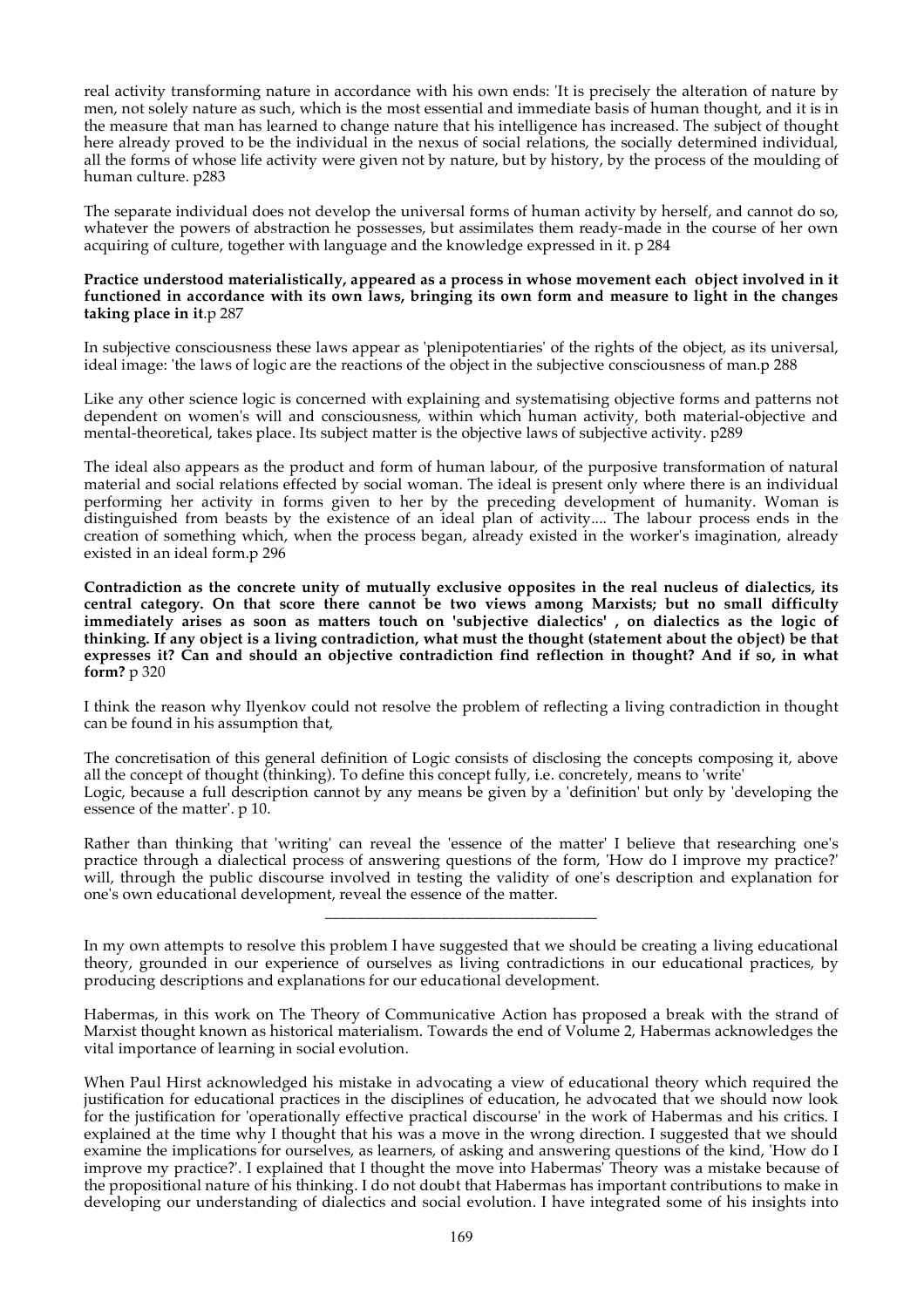real activity transforming nature in accordance with his own ends: 'It is precisely the alteration of nature by men, not solely nature as such, which is the most essential and immediate basis of human thought, and it is in the measure that man has learned to change nature that his intelligence has increased. The subject of thought here already proved to be the individual in the nexus of social relations, the socially determined individual, all the forms of whose life activity were given not by nature, but by history, by the process of the moulding of human culture. p283

The separate individual does not develop the universal forms of human activity by herself, and cannot do so, whatever the powers of abstraction he possesses, but assimilates them ready-made in the course of her own acquiring of culture, together with language and the knowledge expressed in it. p 284

#### **Practice understood materialistically, appeared as a process in whose movement each object involved in it** functioned in accordance with its own laws, bringing its own form and measure to light in the changes **taking place in it**.p 287

In subjective consciousness these laws appear as 'plenipotentiaries' of the rights of the object, as its universal, ideal image: 'the laws of logic are the reactions of the object in the subjective consciousness of man.p 288

Like any other science logic is concerned with explaining and systematising objective forms and patterns not dependent on women's will and consciousness, within which human activity, both material-objective and mental-theoretical, takes place. Its subject matter is the objective laws of subjective activity. p289

The ideal also appears as the product and form of human labour, of the purposive transformation of natural material and social relations effected by social woman. The ideal is present only where there is an individual performing her activity in forms given to her by the preceding development of humanity. Woman is distinguished from beasts by the existence of an ideal plan of activity.... The labour process ends in the creation of something which, when the process began, already existed in the worker's imagination, already existed in an ideal form.p 296

**Contradiction as the concrete unity of mutually exclusive opposites in the real nucleus of dialectics, its central category. On that score there cannot be two views among Marxists; but no small difficulty immediately arises as soon as matters touch on 'subjective dialectics' , on dialectics as the logic of** thinking. If any object is a living contradiction, what must the thought (statement about the object) be that **expresses it? Can and should an objective contradiction find reflection in thought? And if so, in what form?** p 320

I think the reason why Ilyenkov could not resolve the problem of reflecting a living contradiction in thought can be found in his assumption that,

The concretisation of this general definition of Logic consists of disclosing the concepts composing it, above all the concept of thought (thinking). To define this concept fully, i.e. concretely, means to 'write' Logic, because a full description cannot by any means be given by a 'definition' but only by 'developing the essence of the matter'. p 10.

Rather than thinking that 'writing' can reveal the 'essence of the matter' I believe that researching one's practice through a dialectical process of answering questions of the form, 'How do I improve my practice?' will, through the public discourse involved in testing the validity of one's description and explanation for one's own educational development, reveal the essence of the matter.

\_\_\_\_\_\_\_\_\_\_\_\_\_\_\_\_\_\_\_\_\_\_\_\_\_\_\_\_\_\_\_\_\_\_\_

In my own attempts to resolve this problem I have suggested that we should be creating a living educational theory, grounded in our experience of ourselves as living contradictions in our educational practices, by producing descriptions and explanations for our educational development.

Habermas, in this work on The Theory of Communicative Action has proposed a break with the strand of Marxist thought known as historical materialism. Towards the end of Volume 2, Habermas acknowledges the vital importance of learning in social evolution.

When Paul Hirst acknowledged his mistake in advocating a view of educational theory which required the justification for educational practices in the disciplines of education, he advocated that we should now look for the justification for 'operationally effective practical discourse' in the work of Habermas and his critics. I explained at the time why I thought that his was a move in the wrong direction. I suggested that we should examine the implications for ourselves, as learners, of asking and answering questions of the kind, 'How do I improve my practice?'. I explained that I thought the move into Habermas' Theory was a mistake because of the propositional nature of his thinking. I do not doubt that Habermas has important contributions to make in developing our understanding of dialectics and social evolution. I have integrated some of his insights into